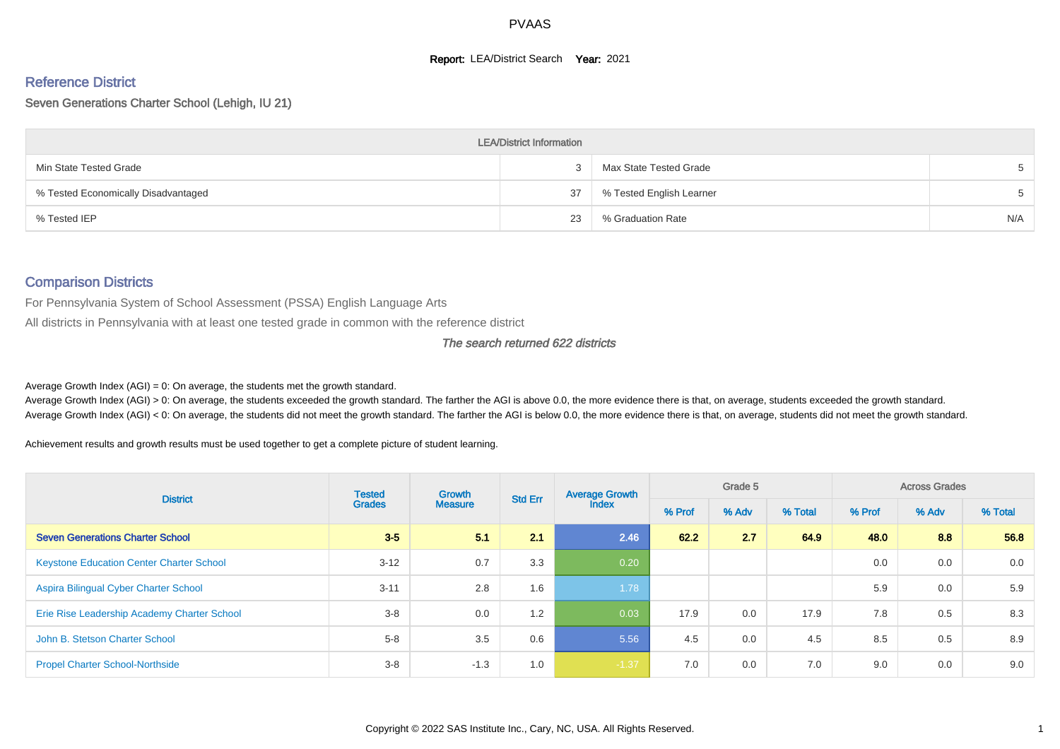# **Report: LEA/District Search Year: 2021**

# Reference District

Seven Generations Charter School (Lehigh, IU 21)

| <b>LEA/District Information</b>     |    |                          |     |  |  |  |  |  |  |  |
|-------------------------------------|----|--------------------------|-----|--|--|--|--|--|--|--|
| Min State Tested Grade              |    | Max State Tested Grade   |     |  |  |  |  |  |  |  |
| % Tested Economically Disadvantaged | 37 | % Tested English Learner |     |  |  |  |  |  |  |  |
| % Tested IEP                        | 23 | % Graduation Rate        | N/A |  |  |  |  |  |  |  |

#### Comparison Districts

For Pennsylvania System of School Assessment (PSSA) English Language Arts

All districts in Pennsylvania with at least one tested grade in common with the reference district

#### The search returned 622 districts

Average Growth Index  $(AGI) = 0$ : On average, the students met the growth standard.

Average Growth Index (AGI) > 0: On average, the students exceeded the growth standard. The farther the AGI is above 0.0, the more evidence there is that, on average, students exceeded the growth standard. Average Growth Index (AGI) < 0: On average, the students did not meet the growth standard. The farther the AGI is below 0.0, the more evidence there is that, on average, students did not meet the growth standard.

Achievement results and growth results must be used together to get a complete picture of student learning.

| <b>District</b>                                 | <b>Tested</b> | <b>Growth</b><br><b>Measure</b> | <b>Std Err</b> | <b>Average Growth</b> |        | Grade 5 |         |        | <b>Across Grades</b> |         |  |
|-------------------------------------------------|---------------|---------------------------------|----------------|-----------------------|--------|---------|---------|--------|----------------------|---------|--|
|                                                 | <b>Grades</b> |                                 |                | <b>Index</b>          | % Prof | % Adv   | % Total | % Prof | % Adv                | % Total |  |
| <b>Seven Generations Charter School</b>         | $3-5$         | 5.1                             | 2.1            | 2.46                  | 62.2   | 2.7     | 64.9    | 48.0   | 8.8                  | 56.8    |  |
| <b>Keystone Education Center Charter School</b> | $3 - 12$      | 0.7                             | 3.3            | 0.20                  |        |         |         | 0.0    | 0.0                  | 0.0     |  |
| Aspira Bilingual Cyber Charter School           | $3 - 11$      | 2.8                             | 1.6            | 1.78                  |        |         |         | 5.9    | 0.0                  | 5.9     |  |
| Erie Rise Leadership Academy Charter School     | $3 - 8$       | 0.0                             | 1.2            | 0.03                  | 17.9   | 0.0     | 17.9    | 7.8    | 0.5                  | 8.3     |  |
| John B. Stetson Charter School                  | $5 - 8$       | 3.5                             | 0.6            | 5.56                  | 4.5    | 0.0     | 4.5     | 8.5    | 0.5                  | 8.9     |  |
| <b>Propel Charter School-Northside</b>          | $3 - 8$       | $-1.3$                          | 1.0            | $-1.37$               | 7.0    | 0.0     | 7.0     | 9.0    | 0.0                  | 9.0     |  |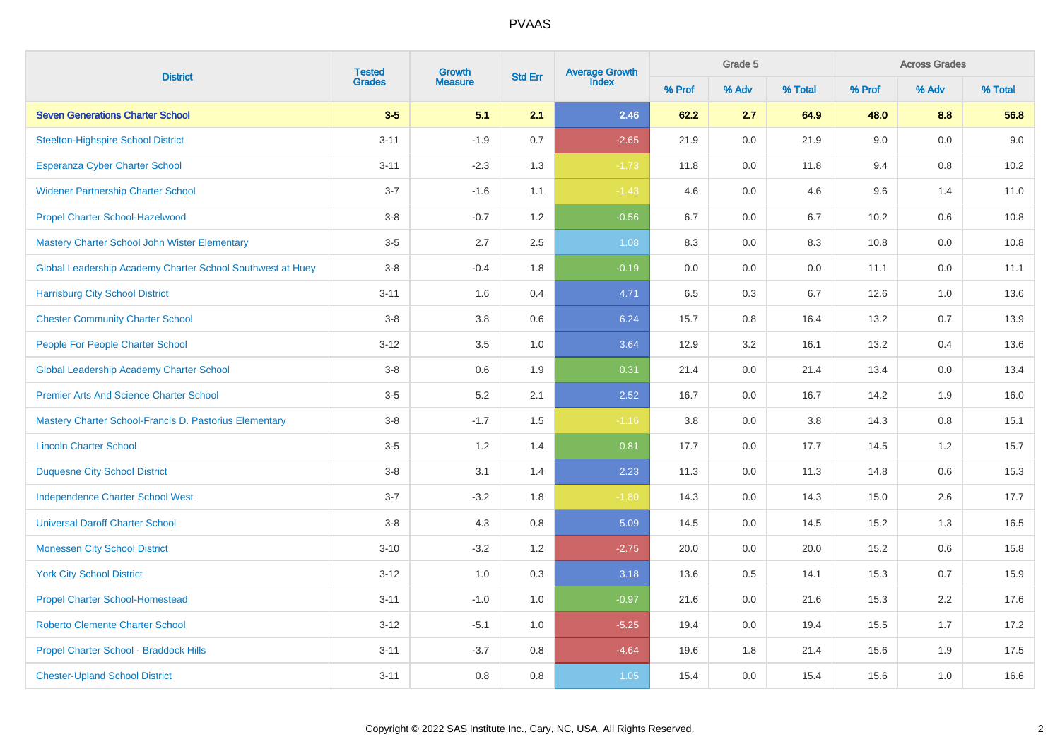| <b>District</b>                                            | <b>Tested</b><br>Growth |                |         | Average Growth<br>Index<br><b>Std Err</b> |        | Grade 5 |         |        | <b>Across Grades</b> |         |  |  |
|------------------------------------------------------------|-------------------------|----------------|---------|-------------------------------------------|--------|---------|---------|--------|----------------------|---------|--|--|
|                                                            | <b>Grades</b>           | <b>Measure</b> |         |                                           | % Prof | % Adv   | % Total | % Prof | % Adv                | % Total |  |  |
| <b>Seven Generations Charter School</b>                    | $3-5$                   | 5.1            | 2.1     | 2.46                                      | 62.2   | 2.7     | 64.9    | 48.0   | 8.8                  | 56.8    |  |  |
| <b>Steelton-Highspire School District</b>                  | $3 - 11$                | $-1.9$         | $0.7\,$ | $-2.65$                                   | 21.9   | 0.0     | 21.9    | 9.0    | $0.0\,$              | 9.0     |  |  |
| <b>Esperanza Cyber Charter School</b>                      | $3 - 11$                | $-2.3$         | 1.3     | $-1.73$                                   | 11.8   | $0.0\,$ | 11.8    | 9.4    | $0.8\,$              | 10.2    |  |  |
| <b>Widener Partnership Charter School</b>                  | $3 - 7$                 | $-1.6$         | 1.1     | $-1.43$                                   | 4.6    | 0.0     | 4.6     | 9.6    | 1.4                  | 11.0    |  |  |
| <b>Propel Charter School-Hazelwood</b>                     | $3 - 8$                 | $-0.7$         | 1.2     | $-0.56$                                   | 6.7    | 0.0     | 6.7     | 10.2   | 0.6                  | 10.8    |  |  |
| Mastery Charter School John Wister Elementary              | $3-5$                   | 2.7            | $2.5\,$ | 1.08                                      | 8.3    | 0.0     | 8.3     | 10.8   | 0.0                  | 10.8    |  |  |
| Global Leadership Academy Charter School Southwest at Huey | $3-8$                   | $-0.4$         | 1.8     | $-0.19$                                   | 0.0    | 0.0     | $0.0\,$ | 11.1   | 0.0                  | 11.1    |  |  |
| <b>Harrisburg City School District</b>                     | $3 - 11$                | 1.6            | 0.4     | 4.71                                      | 6.5    | 0.3     | 6.7     | 12.6   | 1.0                  | 13.6    |  |  |
| <b>Chester Community Charter School</b>                    | $3-8$                   | 3.8            | 0.6     | 6.24                                      | 15.7   | 0.8     | 16.4    | 13.2   | 0.7                  | 13.9    |  |  |
| People For People Charter School                           | $3 - 12$                | 3.5            | 1.0     | 3.64                                      | 12.9   | 3.2     | 16.1    | 13.2   | 0.4                  | 13.6    |  |  |
| <b>Global Leadership Academy Charter School</b>            | $3-8$                   | 0.6            | 1.9     | 0.31                                      | 21.4   | 0.0     | 21.4    | 13.4   | 0.0                  | 13.4    |  |  |
| <b>Premier Arts And Science Charter School</b>             | $3-5$                   | 5.2            | 2.1     | 2.52                                      | 16.7   | 0.0     | 16.7    | 14.2   | 1.9                  | 16.0    |  |  |
| Mastery Charter School-Francis D. Pastorius Elementary     | $3-8$                   | $-1.7$         | 1.5     | $-1.16$                                   | 3.8    | 0.0     | 3.8     | 14.3   | 0.8                  | 15.1    |  |  |
| <b>Lincoln Charter School</b>                              | $3-5$                   | 1.2            | 1.4     | 0.81                                      | 17.7   | 0.0     | 17.7    | 14.5   | 1.2                  | 15.7    |  |  |
| <b>Duquesne City School District</b>                       | $3-8$                   | 3.1            | 1.4     | 2.23                                      | 11.3   | 0.0     | 11.3    | 14.8   | 0.6                  | 15.3    |  |  |
| <b>Independence Charter School West</b>                    | $3 - 7$                 | $-3.2$         | 1.8     | $-1.80$                                   | 14.3   | 0.0     | 14.3    | 15.0   | 2.6                  | 17.7    |  |  |
| <b>Universal Daroff Charter School</b>                     | $3-8$                   | 4.3            | 0.8     | 5.09                                      | 14.5   | 0.0     | 14.5    | 15.2   | 1.3                  | 16.5    |  |  |
| <b>Monessen City School District</b>                       | $3 - 10$                | $-3.2$         | 1.2     | $-2.75$                                   | 20.0   | 0.0     | 20.0    | 15.2   | 0.6                  | 15.8    |  |  |
| <b>York City School District</b>                           | $3 - 12$                | 1.0            | 0.3     | 3.18                                      | 13.6   | 0.5     | 14.1    | 15.3   | 0.7                  | 15.9    |  |  |
| <b>Propel Charter School-Homestead</b>                     | $3 - 11$                | $-1.0$         | 1.0     | $-0.97$                                   | 21.6   | 0.0     | 21.6    | 15.3   | 2.2                  | 17.6    |  |  |
| <b>Roberto Clemente Charter School</b>                     | $3 - 12$                | $-5.1$         | 1.0     | $-5.25$                                   | 19.4   | 0.0     | 19.4    | 15.5   | 1.7                  | 17.2    |  |  |
| Propel Charter School - Braddock Hills                     | $3 - 11$                | $-3.7$         | 0.8     | $-4.64$                                   | 19.6   | 1.8     | 21.4    | 15.6   | 1.9                  | 17.5    |  |  |
| <b>Chester-Upland School District</b>                      | $3 - 11$                | 0.8            | 0.8     | 1.05                                      | 15.4   | 0.0     | 15.4    | 15.6   | 1.0                  | 16.6    |  |  |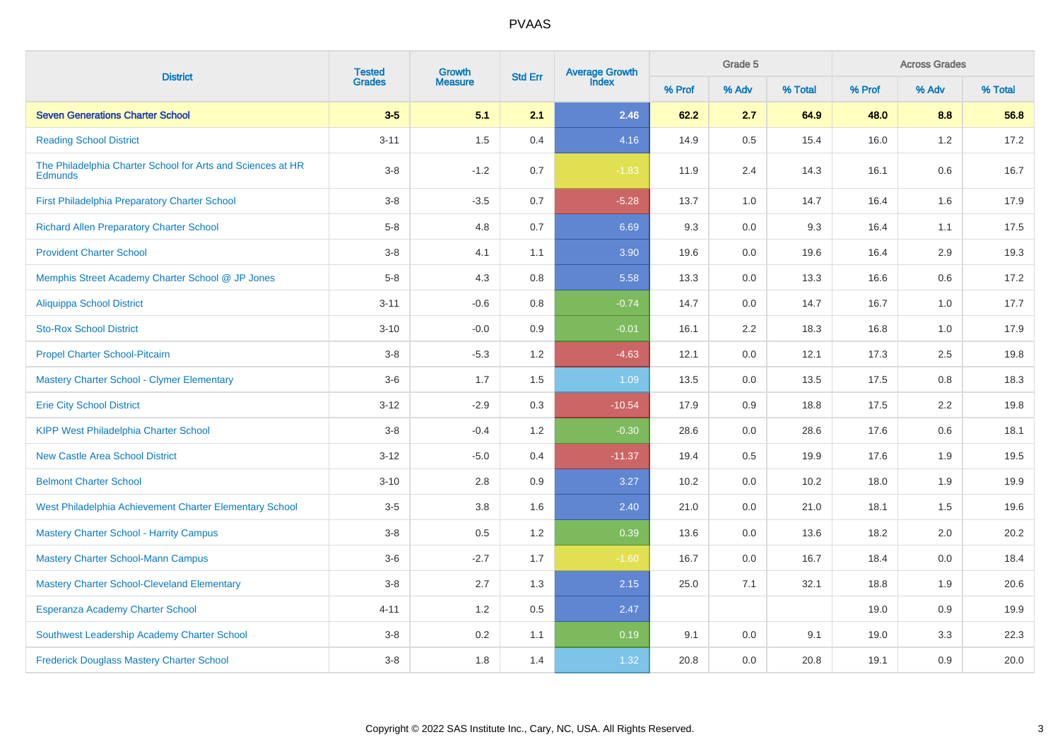| <b>District</b>                                                               | <b>Tested</b><br>Growth | <b>Std Err</b> | <b>Average Growth</b><br>Index |          | Grade 5 |                  | <b>Across Grades</b> |        |       |         |
|-------------------------------------------------------------------------------|-------------------------|----------------|--------------------------------|----------|---------|------------------|----------------------|--------|-------|---------|
|                                                                               | <b>Grades</b>           | <b>Measure</b> |                                |          | % Prof  | % Adv            | % Total              | % Prof | % Adv | % Total |
| <b>Seven Generations Charter School</b>                                       | $3-5$                   | 5.1            | 2.1                            | 2.46     | 62.2    | 2.7              | 64.9                 | 48.0   | 8.8   | 56.8    |
| <b>Reading School District</b>                                                | $3 - 11$                | 1.5            | 0.4                            | 4.16     | 14.9    | 0.5              | 15.4                 | 16.0   | 1.2   | 17.2    |
| The Philadelphia Charter School for Arts and Sciences at HR<br><b>Edmunds</b> | $3-8$                   | $-1.2$         | 0.7                            | $-1.83$  | 11.9    | 2.4              | 14.3                 | 16.1   | 0.6   | 16.7    |
| First Philadelphia Preparatory Charter School                                 | $3 - 8$                 | $-3.5$         | 0.7                            | $-5.28$  | 13.7    | 1.0              | 14.7                 | 16.4   | 1.6   | 17.9    |
| <b>Richard Allen Preparatory Charter School</b>                               | $5-8$                   | 4.8            | 0.7                            | 6.69     | 9.3     | 0.0              | 9.3                  | 16.4   | 1.1   | 17.5    |
| <b>Provident Charter School</b>                                               | $3 - 8$                 | 4.1            | 1.1                            | 3.90     | 19.6    | 0.0              | 19.6                 | 16.4   | 2.9   | 19.3    |
| Memphis Street Academy Charter School @ JP Jones                              | $5-8$                   | 4.3            | 0.8                            | 5.58     | 13.3    | 0.0              | 13.3                 | 16.6   | 0.6   | 17.2    |
| Aliquippa School District                                                     | $3 - 11$                | $-0.6$         | 0.8                            | $-0.74$  | 14.7    | 0.0              | 14.7                 | 16.7   | 1.0   | 17.7    |
| <b>Sto-Rox School District</b>                                                | $3 - 10$                | $-0.0$         | 0.9                            | $-0.01$  | 16.1    | $2.2\phantom{0}$ | 18.3                 | 16.8   | 1.0   | 17.9    |
| <b>Propel Charter School-Pitcairn</b>                                         | $3-8$                   | $-5.3$         | 1.2                            | $-4.63$  | 12.1    | 0.0              | 12.1                 | 17.3   | 2.5   | 19.8    |
| <b>Mastery Charter School - Clymer Elementary</b>                             | $3-6$                   | 1.7            | 1.5                            | 1.09     | 13.5    | 0.0              | 13.5                 | 17.5   | 0.8   | 18.3    |
| <b>Erie City School District</b>                                              | $3 - 12$                | $-2.9$         | 0.3                            | $-10.54$ | 17.9    | 0.9              | 18.8                 | 17.5   | 2.2   | 19.8    |
| <b>KIPP West Philadelphia Charter School</b>                                  | $3-8$                   | $-0.4$         | 1.2                            | $-0.30$  | 28.6    | 0.0              | 28.6                 | 17.6   | 0.6   | 18.1    |
| <b>New Castle Area School District</b>                                        | $3 - 12$                | $-5.0$         | 0.4                            | $-11.37$ | 19.4    | 0.5              | 19.9                 | 17.6   | 1.9   | 19.5    |
| <b>Belmont Charter School</b>                                                 | $3 - 10$                | 2.8            | 0.9                            | 3.27     | 10.2    | 0.0              | 10.2                 | 18.0   | 1.9   | 19.9    |
| West Philadelphia Achievement Charter Elementary School                       | $3-5$                   | 3.8            | 1.6                            | 2.40     | 21.0    | 0.0              | 21.0                 | 18.1   | 1.5   | 19.6    |
| <b>Mastery Charter School - Harrity Campus</b>                                | $3-8$                   | 0.5            | 1.2                            | 0.39     | 13.6    | 0.0              | 13.6                 | 18.2   | 2.0   | 20.2    |
| <b>Mastery Charter School-Mann Campus</b>                                     | $3-6$                   | $-2.7$         | 1.7                            | $-1.60$  | 16.7    | 0.0              | 16.7                 | 18.4   | 0.0   | 18.4    |
| <b>Mastery Charter School-Cleveland Elementary</b>                            | $3-8$                   | 2.7            | 1.3                            | 2.15     | 25.0    | 7.1              | 32.1                 | 18.8   | 1.9   | 20.6    |
| <b>Esperanza Academy Charter School</b>                                       | $4 - 11$                | 1.2            | 0.5                            | 2.47     |         |                  |                      | 19.0   | 0.9   | 19.9    |
| Southwest Leadership Academy Charter School                                   | $3-8$                   | 0.2            | 1.1                            | 0.19     | 9.1     | 0.0              | 9.1                  | 19.0   | 3.3   | 22.3    |
| <b>Frederick Douglass Mastery Charter School</b>                              | $3 - 8$                 | 1.8            | 1.4                            | 1.32     | 20.8    | 0.0              | 20.8                 | 19.1   | 0.9   | 20.0    |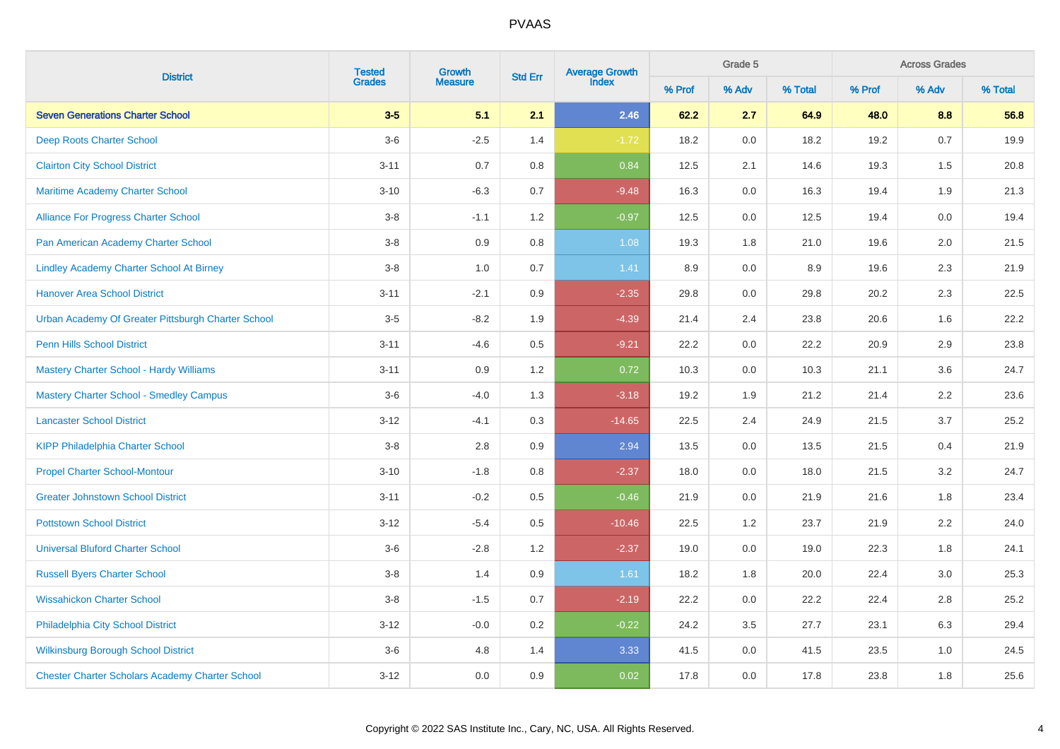|                                                        | <b>Tested</b> | Growth         | <b>Std Err</b> | Average Growth<br>Index |        | Grade 5 |         | <b>Across Grades</b> |         |         |
|--------------------------------------------------------|---------------|----------------|----------------|-------------------------|--------|---------|---------|----------------------|---------|---------|
| <b>District</b>                                        | <b>Grades</b> | <b>Measure</b> |                |                         | % Prof | % Adv   | % Total | % Prof               | % Adv   | % Total |
| <b>Seven Generations Charter School</b>                | $3-5$         | 5.1            | 2.1            | 2.46                    | 62.2   | 2.7     | 64.9    | 48.0                 | 8.8     | 56.8    |
| Deep Roots Charter School                              | $3-6$         | $-2.5$         | 1.4            | $-1.72$                 | 18.2   | 0.0     | 18.2    | 19.2                 | 0.7     | 19.9    |
| <b>Clairton City School District</b>                   | $3 - 11$      | 0.7            | 0.8            | 0.84                    | 12.5   | 2.1     | 14.6    | 19.3                 | 1.5     | 20.8    |
| Maritime Academy Charter School                        | $3 - 10$      | $-6.3$         | 0.7            | $-9.48$                 | 16.3   | 0.0     | 16.3    | 19.4                 | 1.9     | 21.3    |
| Alliance For Progress Charter School                   | $3-8$         | $-1.1$         | 1.2            | $-0.97$                 | 12.5   | 0.0     | 12.5    | 19.4                 | 0.0     | 19.4    |
| Pan American Academy Charter School                    | $3-8$         | 0.9            | 0.8            | 1.08                    | 19.3   | 1.8     | 21.0    | 19.6                 | 2.0     | 21.5    |
| <b>Lindley Academy Charter School At Birney</b>        | $3-8$         | 1.0            | $0.7\,$        | 1.41                    | 8.9    | 0.0     | 8.9     | 19.6                 | 2.3     | 21.9    |
| <b>Hanover Area School District</b>                    | $3 - 11$      | $-2.1$         | 0.9            | $-2.35$                 | 29.8   | 0.0     | 29.8    | 20.2                 | 2.3     | 22.5    |
| Urban Academy Of Greater Pittsburgh Charter School     | $3-5$         | $-8.2$         | 1.9            | $-4.39$                 | 21.4   | 2.4     | 23.8    | 20.6                 | 1.6     | 22.2    |
| Penn Hills School District                             | $3 - 11$      | $-4.6$         | 0.5            | $-9.21$                 | 22.2   | 0.0     | 22.2    | 20.9                 | 2.9     | 23.8    |
| <b>Mastery Charter School - Hardy Williams</b>         | $3 - 11$      | 0.9            | 1.2            | 0.72                    | 10.3   | $0.0\,$ | 10.3    | 21.1                 | 3.6     | 24.7    |
| <b>Mastery Charter School - Smedley Campus</b>         | $3-6$         | $-4.0$         | 1.3            | $-3.18$                 | 19.2   | 1.9     | 21.2    | 21.4                 | 2.2     | 23.6    |
| <b>Lancaster School District</b>                       | $3 - 12$      | $-4.1$         | 0.3            | $-14.65$                | 22.5   | 2.4     | 24.9    | 21.5                 | 3.7     | 25.2    |
| <b>KIPP Philadelphia Charter School</b>                | $3-8$         | 2.8            | 0.9            | 2.94                    | 13.5   | $0.0\,$ | 13.5    | 21.5                 | 0.4     | 21.9    |
| <b>Propel Charter School-Montour</b>                   | $3 - 10$      | $-1.8$         | $0.8\,$        | $-2.37$                 | 18.0   | $0.0\,$ | 18.0    | 21.5                 | 3.2     | 24.7    |
| <b>Greater Johnstown School District</b>               | $3 - 11$      | $-0.2$         | 0.5            | $-0.46$                 | 21.9   | 0.0     | 21.9    | 21.6                 | 1.8     | 23.4    |
| <b>Pottstown School District</b>                       | $3 - 12$      | $-5.4$         | $0.5\,$        | $-10.46$                | 22.5   | 1.2     | 23.7    | 21.9                 | 2.2     | 24.0    |
| <b>Universal Bluford Charter School</b>                | $3-6$         | $-2.8$         | 1.2            | $-2.37$                 | 19.0   | 0.0     | 19.0    | 22.3                 | 1.8     | 24.1    |
| <b>Russell Byers Charter School</b>                    | $3-8$         | 1.4            | $0.9\,$        | 1.61                    | 18.2   | 1.8     | 20.0    | 22.4                 | 3.0     | 25.3    |
| <b>Wissahickon Charter School</b>                      | $3-8$         | $-1.5$         | 0.7            | $-2.19$                 | 22.2   | 0.0     | 22.2    | 22.4                 | 2.8     | 25.2    |
| Philadelphia City School District                      | $3 - 12$      | $-0.0$         | 0.2            | $-0.22$                 | 24.2   | 3.5     | 27.7    | 23.1                 | $6.3\,$ | 29.4    |
| <b>Wilkinsburg Borough School District</b>             | $3-6$         | 4.8            | 1.4            | 3.33                    | 41.5   | 0.0     | 41.5    | 23.5                 | 1.0     | 24.5    |
| <b>Chester Charter Scholars Academy Charter School</b> | $3-12$        | $0.0\,$        | 0.9            | 0.02                    | 17.8   | 0.0     | 17.8    | 23.8                 | 1.8     | 25.6    |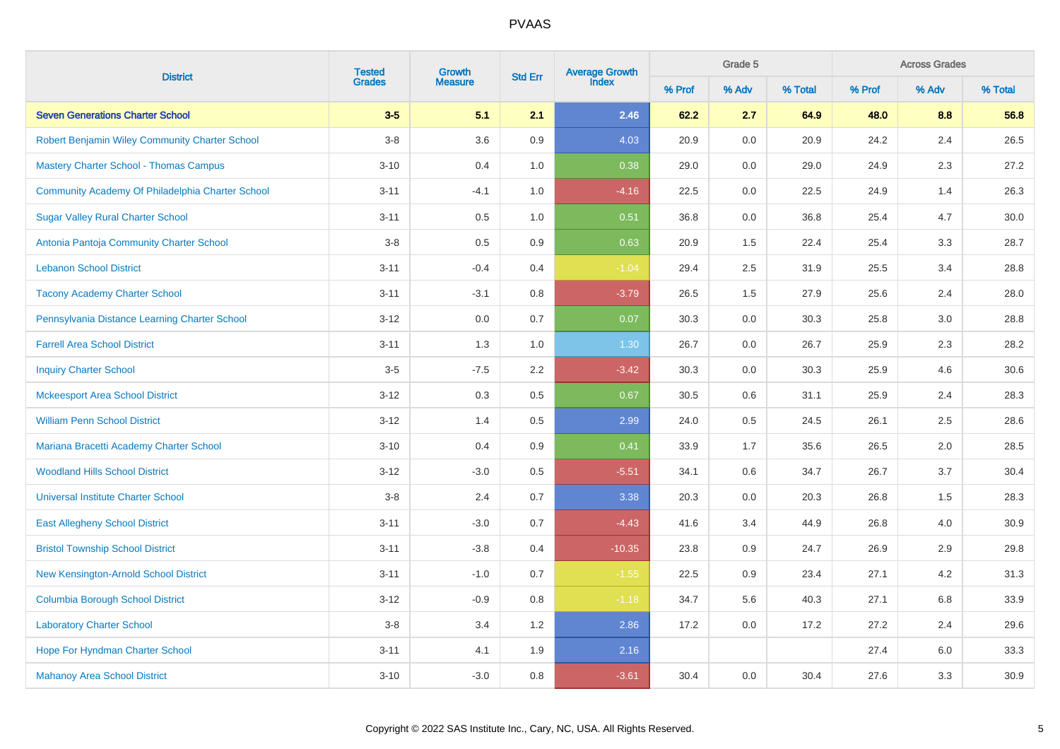| <b>District</b>                                  | <b>Tested</b> | Growth         | <b>Std Err</b> | Average Growth<br>Index |        | <b>Across Grades</b><br>Grade 5 |         |        |         |         |
|--------------------------------------------------|---------------|----------------|----------------|-------------------------|--------|---------------------------------|---------|--------|---------|---------|
|                                                  | <b>Grades</b> | <b>Measure</b> |                |                         | % Prof | % Adv                           | % Total | % Prof | % Adv   | % Total |
| <b>Seven Generations Charter School</b>          | $3-5$         | 5.1            | 2.1            | 2.46                    | 62.2   | 2.7                             | 64.9    | 48.0   | 8.8     | 56.8    |
| Robert Benjamin Wiley Community Charter School   | $3-8$         | 3.6            | 0.9            | 4.03                    | 20.9   | 0.0                             | 20.9    | 24.2   | 2.4     | 26.5    |
| <b>Mastery Charter School - Thomas Campus</b>    | $3 - 10$      | 0.4            | 1.0            | 0.38                    | 29.0   | 0.0                             | 29.0    | 24.9   | 2.3     | 27.2    |
| Community Academy Of Philadelphia Charter School | $3 - 11$      | $-4.1$         | 1.0            | $-4.16$                 | 22.5   | 0.0                             | 22.5    | 24.9   | 1.4     | 26.3    |
| <b>Sugar Valley Rural Charter School</b>         | $3 - 11$      | 0.5            | 1.0            | 0.51                    | 36.8   | 0.0                             | 36.8    | 25.4   | 4.7     | 30.0    |
| Antonia Pantoja Community Charter School         | $3-8$         | 0.5            | 0.9            | 0.63                    | 20.9   | 1.5                             | 22.4    | 25.4   | 3.3     | 28.7    |
| <b>Lebanon School District</b>                   | $3 - 11$      | $-0.4$         | 0.4            | $-1.04$                 | 29.4   | 2.5                             | 31.9    | 25.5   | 3.4     | 28.8    |
| <b>Tacony Academy Charter School</b>             | $3 - 11$      | $-3.1$         | 0.8            | $-3.79$                 | 26.5   | 1.5                             | 27.9    | 25.6   | 2.4     | 28.0    |
| Pennsylvania Distance Learning Charter School    | $3 - 12$      | 0.0            | 0.7            | 0.07                    | 30.3   | 0.0                             | 30.3    | 25.8   | $3.0\,$ | 28.8    |
| <b>Farrell Area School District</b>              | $3 - 11$      | 1.3            | 1.0            | 1.30                    | 26.7   | 0.0                             | 26.7    | 25.9   | 2.3     | 28.2    |
| <b>Inquiry Charter School</b>                    | $3-5$         | $-7.5$         | 2.2            | $-3.42$                 | 30.3   | $0.0\,$                         | 30.3    | 25.9   | 4.6     | 30.6    |
| <b>Mckeesport Area School District</b>           | $3 - 12$      | 0.3            | 0.5            | 0.67                    | 30.5   | 0.6                             | 31.1    | 25.9   | 2.4     | 28.3    |
| <b>William Penn School District</b>              | $3 - 12$      | 1.4            | 0.5            | 2.99                    | 24.0   | 0.5                             | 24.5    | 26.1   | 2.5     | 28.6    |
| Mariana Bracetti Academy Charter School          | $3 - 10$      | 0.4            | 0.9            | 0.41                    | 33.9   | 1.7                             | 35.6    | 26.5   | 2.0     | 28.5    |
| <b>Woodland Hills School District</b>            | $3 - 12$      | $-3.0$         | 0.5            | $-5.51$                 | 34.1   | 0.6                             | 34.7    | 26.7   | 3.7     | 30.4    |
| <b>Universal Institute Charter School</b>        | $3-8$         | 2.4            | 0.7            | 3.38                    | 20.3   | 0.0                             | 20.3    | 26.8   | 1.5     | 28.3    |
| <b>East Allegheny School District</b>            | $3 - 11$      | $-3.0$         | 0.7            | $-4.43$                 | 41.6   | 3.4                             | 44.9    | 26.8   | 4.0     | 30.9    |
| <b>Bristol Township School District</b>          | $3 - 11$      | $-3.8$         | 0.4            | $-10.35$                | 23.8   | 0.9                             | 24.7    | 26.9   | 2.9     | 29.8    |
| <b>New Kensington-Arnold School District</b>     | $3 - 11$      | $-1.0$         | 0.7            | $-1.55$                 | 22.5   | 0.9                             | 23.4    | 27.1   | 4.2     | 31.3    |
| <b>Columbia Borough School District</b>          | $3 - 12$      | $-0.9$         | 0.8            | $-1.18$                 | 34.7   | 5.6                             | 40.3    | 27.1   | 6.8     | 33.9    |
| <b>Laboratory Charter School</b>                 | $3-8$         | 3.4            | 1.2            | 2.86                    | 17.2   | 0.0                             | 17.2    | 27.2   | 2.4     | 29.6    |
| Hope For Hyndman Charter School                  | $3 - 11$      | 4.1            | $1.9$          | 2.16                    |        |                                 |         | 27.4   | $6.0\,$ | 33.3    |
| <b>Mahanoy Area School District</b>              | $3 - 10$      | $-3.0$         | 0.8            | $-3.61$                 | 30.4   | 0.0                             | 30.4    | 27.6   | 3.3     | 30.9    |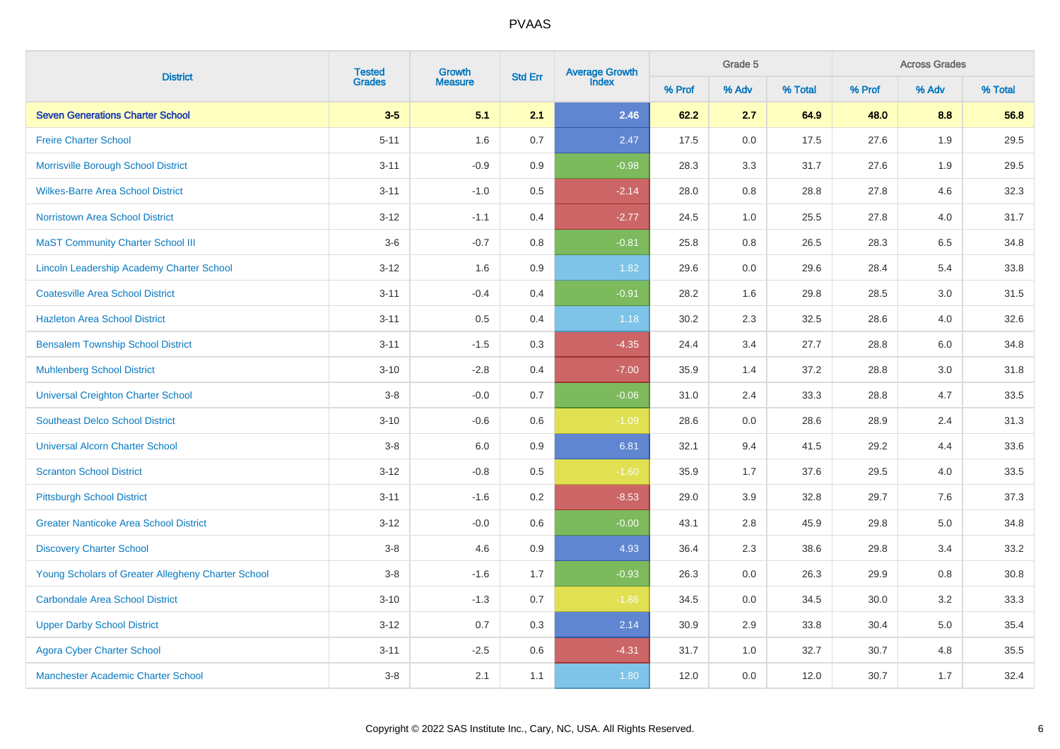|                                                    | <b>Tested</b><br>Growth | <b>Std Err</b> | Grade 5<br>Average Growth<br>Index |         |        |         | <b>Across Grades</b> |        |       |         |
|----------------------------------------------------|-------------------------|----------------|------------------------------------|---------|--------|---------|----------------------|--------|-------|---------|
| <b>District</b>                                    | <b>Grades</b>           | <b>Measure</b> |                                    |         | % Prof | % Adv   | % Total              | % Prof | % Adv | % Total |
| <b>Seven Generations Charter School</b>            | $3-5$                   | 5.1            | 2.1                                | 2.46    | 62.2   | 2.7     | 64.9                 | 48.0   | 8.8   | 56.8    |
| <b>Freire Charter School</b>                       | $5 - 11$                | 1.6            | 0.7                                | 2.47    | 17.5   | 0.0     | 17.5                 | 27.6   | 1.9   | 29.5    |
| Morrisville Borough School District                | $3 - 11$                | $-0.9$         | 0.9                                | $-0.98$ | 28.3   | 3.3     | 31.7                 | 27.6   | 1.9   | 29.5    |
| <b>Wilkes-Barre Area School District</b>           | $3 - 11$                | $-1.0$         | 0.5                                | $-2.14$ | 28.0   | 0.8     | 28.8                 | 27.8   | 4.6   | 32.3    |
| Norristown Area School District                    | $3 - 12$                | $-1.1$         | 0.4                                | $-2.77$ | 24.5   | 1.0     | 25.5                 | 27.8   | 4.0   | 31.7    |
| <b>MaST Community Charter School III</b>           | $3-6$                   | $-0.7$         | 0.8                                | $-0.81$ | 25.8   | 0.8     | 26.5                 | 28.3   | 6.5   | 34.8    |
| Lincoln Leadership Academy Charter School          | $3 - 12$                | 1.6            | 0.9                                | 1.82    | 29.6   | $0.0\,$ | 29.6                 | 28.4   | 5.4   | 33.8    |
| <b>Coatesville Area School District</b>            | $3 - 11$                | $-0.4$         | 0.4                                | $-0.91$ | 28.2   | 1.6     | 29.8                 | 28.5   | 3.0   | 31.5    |
| <b>Hazleton Area School District</b>               | $3 - 11$                | 0.5            | 0.4                                | 1.18    | 30.2   | 2.3     | 32.5                 | 28.6   | 4.0   | 32.6    |
| <b>Bensalem Township School District</b>           | $3 - 11$                | $-1.5$         | 0.3                                | $-4.35$ | 24.4   | 3.4     | 27.7                 | 28.8   | 6.0   | 34.8    |
| <b>Muhlenberg School District</b>                  | $3 - 10$                | $-2.8$         | 0.4                                | $-7.00$ | 35.9   | 1.4     | 37.2                 | 28.8   | 3.0   | 31.8    |
| <b>Universal Creighton Charter School</b>          | $3-8$                   | $-0.0$         | 0.7                                | $-0.06$ | 31.0   | 2.4     | 33.3                 | 28.8   | 4.7   | 33.5    |
| <b>Southeast Delco School District</b>             | $3 - 10$                | $-0.6$         | 0.6                                | $-1.09$ | 28.6   | 0.0     | 28.6                 | 28.9   | 2.4   | 31.3    |
| <b>Universal Alcorn Charter School</b>             | $3-8$                   | 6.0            | 0.9                                | 6.81    | 32.1   | 9.4     | 41.5                 | 29.2   | 4.4   | 33.6    |
| <b>Scranton School District</b>                    | $3 - 12$                | $-0.8$         | 0.5                                | $-1.60$ | 35.9   | 1.7     | 37.6                 | 29.5   | 4.0   | 33.5    |
| <b>Pittsburgh School District</b>                  | $3 - 11$                | $-1.6$         | 0.2                                | $-8.53$ | 29.0   | 3.9     | 32.8                 | 29.7   | 7.6   | 37.3    |
| <b>Greater Nanticoke Area School District</b>      | $3 - 12$                | $-0.0$         | 0.6                                | $-0.00$ | 43.1   | 2.8     | 45.9                 | 29.8   | 5.0   | 34.8    |
| <b>Discovery Charter School</b>                    | $3-8$                   | 4.6            | 0.9                                | 4.93    | 36.4   | 2.3     | 38.6                 | 29.8   | 3.4   | 33.2    |
| Young Scholars of Greater Allegheny Charter School | $3-8$                   | $-1.6$         | 1.7                                | $-0.93$ | 26.3   | 0.0     | 26.3                 | 29.9   | 0.8   | 30.8    |
| <b>Carbondale Area School District</b>             | $3 - 10$                | $-1.3$         | 0.7                                | $-1.86$ | 34.5   | 0.0     | 34.5                 | 30.0   | 3.2   | 33.3    |
| <b>Upper Darby School District</b>                 | $3 - 12$                | 0.7            | 0.3                                | 2.14    | 30.9   | 2.9     | 33.8                 | 30.4   | 5.0   | 35.4    |
| <b>Agora Cyber Charter School</b>                  | $3 - 11$                | $-2.5$         | 0.6                                | $-4.31$ | 31.7   | 1.0     | 32.7                 | 30.7   | 4.8   | 35.5    |
| <b>Manchester Academic Charter School</b>          | $3-8$                   | 2.1            | 1.1                                | 1.80    | 12.0   | 0.0     | 12.0                 | 30.7   | 1.7   | 32.4    |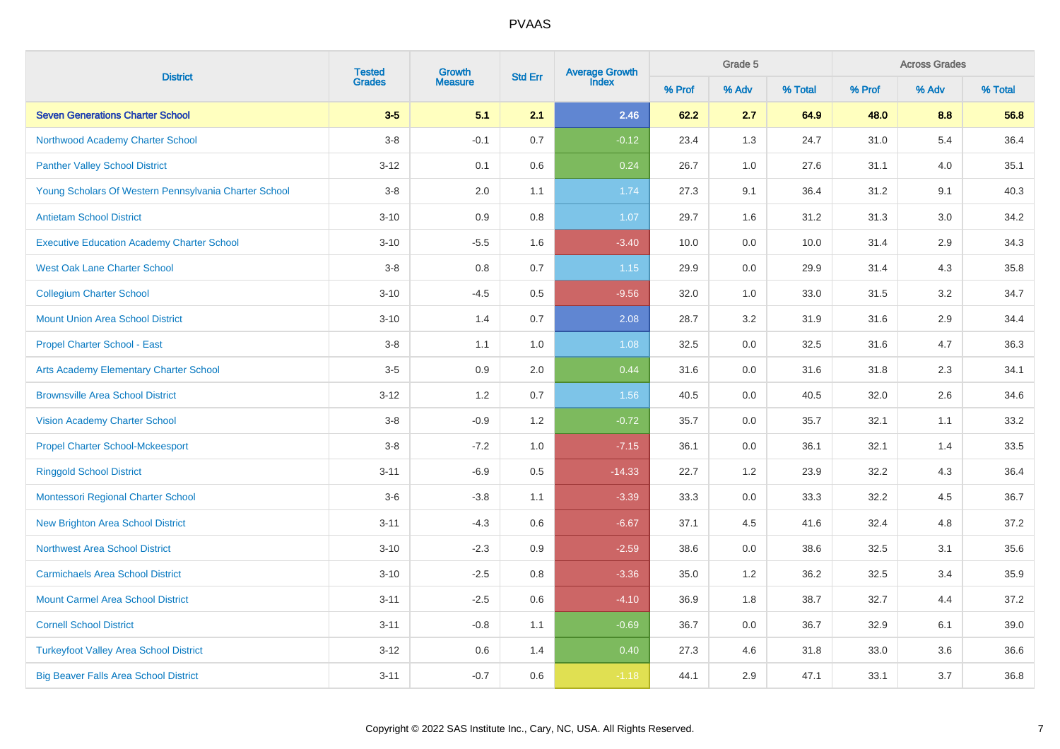| <b>District</b>                                       | <b>Tested</b><br>Growth |                | <b>Std Err</b> | Average Growth<br>Index |        | Grade 5 |         | <b>Across Grades</b> |         |         |  |
|-------------------------------------------------------|-------------------------|----------------|----------------|-------------------------|--------|---------|---------|----------------------|---------|---------|--|
|                                                       | <b>Grades</b>           | <b>Measure</b> |                |                         | % Prof | % Adv   | % Total | % Prof               | % Adv   | % Total |  |
| <b>Seven Generations Charter School</b>               | $3-5$                   | 5.1            | 2.1            | 2.46                    | 62.2   | 2.7     | 64.9    | 48.0                 | 8.8     | 56.8    |  |
| Northwood Academy Charter School                      | $3 - 8$                 | $-0.1$         | 0.7            | $-0.12$                 | 23.4   | 1.3     | 24.7    | 31.0                 | 5.4     | 36.4    |  |
| <b>Panther Valley School District</b>                 | $3 - 12$                | 0.1            | 0.6            | 0.24                    | 26.7   | $1.0\,$ | 27.6    | 31.1                 | 4.0     | 35.1    |  |
| Young Scholars Of Western Pennsylvania Charter School | $3 - 8$                 | 2.0            | 1.1            | 1.74                    | 27.3   | 9.1     | 36.4    | 31.2                 | 9.1     | 40.3    |  |
| <b>Antietam School District</b>                       | $3 - 10$                | 0.9            | 0.8            | 1.07                    | 29.7   | 1.6     | 31.2    | 31.3                 | $3.0\,$ | 34.2    |  |
| <b>Executive Education Academy Charter School</b>     | $3 - 10$                | $-5.5$         | 1.6            | $-3.40$                 | 10.0   | 0.0     | 10.0    | 31.4                 | $2.9\,$ | 34.3    |  |
| <b>West Oak Lane Charter School</b>                   | $3-8$                   | 0.8            | 0.7            | 1.15                    | 29.9   | 0.0     | 29.9    | 31.4                 | 4.3     | 35.8    |  |
| <b>Collegium Charter School</b>                       | $3 - 10$                | $-4.5$         | 0.5            | $-9.56$                 | 32.0   | 1.0     | 33.0    | 31.5                 | 3.2     | 34.7    |  |
| <b>Mount Union Area School District</b>               | $3 - 10$                | 1.4            | 0.7            | 2.08                    | 28.7   | 3.2     | 31.9    | 31.6                 | 2.9     | 34.4    |  |
| <b>Propel Charter School - East</b>                   | $3-8$                   | 1.1            | 1.0            | 1.08                    | 32.5   | 0.0     | 32.5    | 31.6                 | 4.7     | 36.3    |  |
| <b>Arts Academy Elementary Charter School</b>         | $3-5$                   | 0.9            | 2.0            | 0.44                    | 31.6   | 0.0     | 31.6    | 31.8                 | 2.3     | 34.1    |  |
| <b>Brownsville Area School District</b>               | $3 - 12$                | 1.2            | 0.7            | 1.56                    | 40.5   | 0.0     | 40.5    | 32.0                 | 2.6     | 34.6    |  |
| <b>Vision Academy Charter School</b>                  | $3-8$                   | $-0.9$         | 1.2            | $-0.72$                 | 35.7   | 0.0     | 35.7    | 32.1                 | 1.1     | 33.2    |  |
| <b>Propel Charter School-Mckeesport</b>               | $3-8$                   | $-7.2$         | 1.0            | $-7.15$                 | 36.1   | 0.0     | 36.1    | 32.1                 | 1.4     | 33.5    |  |
| <b>Ringgold School District</b>                       | $3 - 11$                | $-6.9$         | 0.5            | $-14.33$                | 22.7   | 1.2     | 23.9    | 32.2                 | 4.3     | 36.4    |  |
| Montessori Regional Charter School                    | $3-6$                   | $-3.8$         | 1.1            | $-3.39$                 | 33.3   | 0.0     | 33.3    | 32.2                 | 4.5     | 36.7    |  |
| <b>New Brighton Area School District</b>              | $3 - 11$                | $-4.3$         | 0.6            | $-6.67$                 | 37.1   | 4.5     | 41.6    | 32.4                 | 4.8     | 37.2    |  |
| <b>Northwest Area School District</b>                 | $3 - 10$                | $-2.3$         | 0.9            | $-2.59$                 | 38.6   | 0.0     | 38.6    | 32.5                 | 3.1     | 35.6    |  |
| <b>Carmichaels Area School District</b>               | $3 - 10$                | $-2.5$         | 0.8            | $-3.36$                 | 35.0   | 1.2     | 36.2    | 32.5                 | 3.4     | 35.9    |  |
| <b>Mount Carmel Area School District</b>              | $3 - 11$                | $-2.5$         | 0.6            | $-4.10$                 | 36.9   | 1.8     | 38.7    | 32.7                 | 4.4     | 37.2    |  |
| <b>Cornell School District</b>                        | $3 - 11$                | $-0.8$         | 1.1            | $-0.69$                 | 36.7   | 0.0     | 36.7    | 32.9                 | 6.1     | 39.0    |  |
| <b>Turkeyfoot Valley Area School District</b>         | $3 - 12$                | 0.6            | 1.4            | 0.40                    | 27.3   | 4.6     | 31.8    | 33.0                 | 3.6     | 36.6    |  |
| <b>Big Beaver Falls Area School District</b>          | $3 - 11$                | $-0.7$         | 0.6            | $-1.18$                 | 44.1   | 2.9     | 47.1    | 33.1                 | 3.7     | 36.8    |  |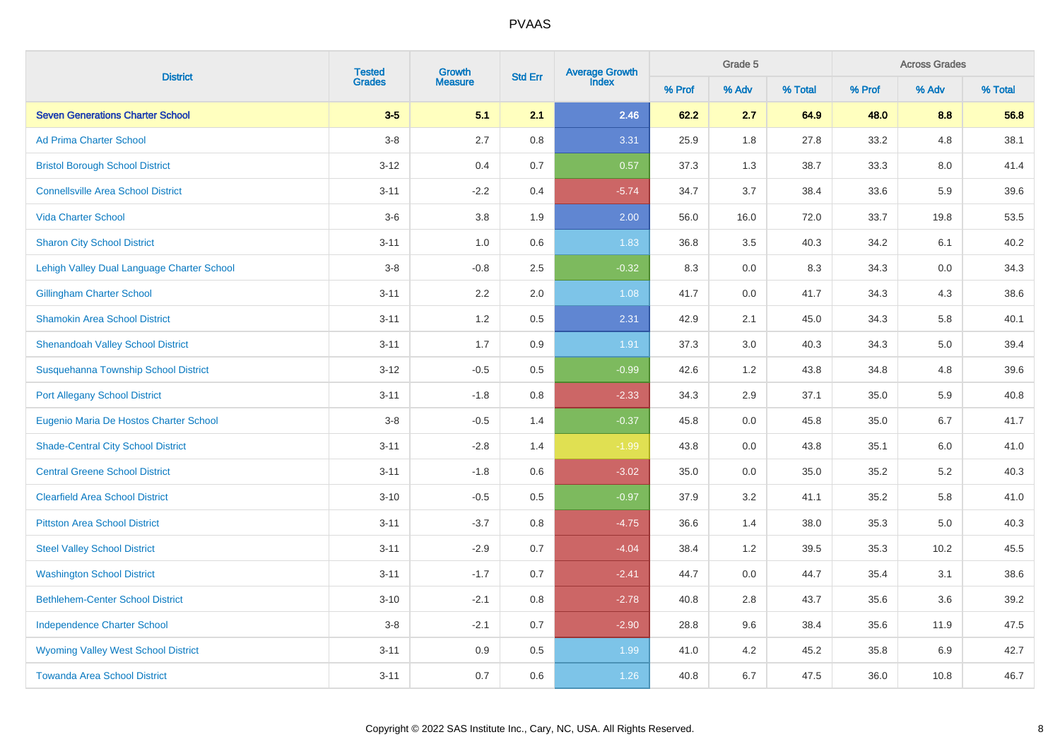|                                             | <b>Tested</b><br>Growth | <b>Std Err</b> | Average Growth<br>Index |         | Grade 5 |         | <b>Across Grades</b> |        |         |         |
|---------------------------------------------|-------------------------|----------------|-------------------------|---------|---------|---------|----------------------|--------|---------|---------|
| <b>District</b>                             | <b>Grades</b>           | <b>Measure</b> |                         |         | % Prof  | % Adv   | % Total              | % Prof | % Adv   | % Total |
| <b>Seven Generations Charter School</b>     | $3-5$                   | 5.1            | 2.1                     | 2.46    | 62.2    | 2.7     | 64.9                 | 48.0   | 8.8     | 56.8    |
| <b>Ad Prima Charter School</b>              | $3-8$                   | 2.7            | 0.8                     | 3.31    | 25.9    | 1.8     | 27.8                 | 33.2   | 4.8     | 38.1    |
| <b>Bristol Borough School District</b>      | $3 - 12$                | 0.4            | 0.7                     | 0.57    | 37.3    | 1.3     | 38.7                 | 33.3   | 8.0     | 41.4    |
| <b>Connellsville Area School District</b>   | $3 - 11$                | $-2.2$         | 0.4                     | $-5.74$ | 34.7    | 3.7     | 38.4                 | 33.6   | 5.9     | 39.6    |
| <b>Vida Charter School</b>                  | $3-6$                   | 3.8            | 1.9                     | 2.00    | 56.0    | 16.0    | 72.0                 | 33.7   | 19.8    | 53.5    |
| <b>Sharon City School District</b>          | $3 - 11$                | 1.0            | $0.6\,$                 | 1.83    | 36.8    | $3.5\,$ | 40.3                 | 34.2   | 6.1     | 40.2    |
| Lehigh Valley Dual Language Charter School  | $3-8$                   | $-0.8$         | 2.5                     | $-0.32$ | 8.3     | $0.0\,$ | 8.3                  | 34.3   | $0.0\,$ | 34.3    |
| <b>Gillingham Charter School</b>            | $3 - 11$                | 2.2            | 2.0                     | 1.08    | 41.7    | 0.0     | 41.7                 | 34.3   | 4.3     | 38.6    |
| <b>Shamokin Area School District</b>        | $3 - 11$                | 1.2            | 0.5                     | 2.31    | 42.9    | 2.1     | 45.0                 | 34.3   | 5.8     | 40.1    |
| <b>Shenandoah Valley School District</b>    | $3 - 11$                | 1.7            | 0.9                     | 1.91    | 37.3    | 3.0     | 40.3                 | 34.3   | 5.0     | 39.4    |
| <b>Susquehanna Township School District</b> | $3 - 12$                | $-0.5$         | 0.5                     | $-0.99$ | 42.6    | $1.2\,$ | 43.8                 | 34.8   | 4.8     | 39.6    |
| <b>Port Allegany School District</b>        | $3 - 11$                | $-1.8$         | 0.8                     | $-2.33$ | 34.3    | 2.9     | 37.1                 | 35.0   | 5.9     | 40.8    |
| Eugenio Maria De Hostos Charter School      | $3-8$                   | $-0.5$         | 1.4                     | $-0.37$ | 45.8    | 0.0     | 45.8                 | 35.0   | 6.7     | 41.7    |
| <b>Shade-Central City School District</b>   | $3 - 11$                | $-2.8$         | 1.4                     | $-1.99$ | 43.8    | 0.0     | 43.8                 | 35.1   | 6.0     | 41.0    |
| <b>Central Greene School District</b>       | $3 - 11$                | $-1.8$         | 0.6                     | $-3.02$ | 35.0    | 0.0     | 35.0                 | 35.2   | $5.2\,$ | 40.3    |
| <b>Clearfield Area School District</b>      | $3 - 10$                | $-0.5$         | 0.5                     | $-0.97$ | 37.9    | 3.2     | 41.1                 | 35.2   | 5.8     | 41.0    |
| <b>Pittston Area School District</b>        | $3 - 11$                | $-3.7$         | 0.8                     | $-4.75$ | 36.6    | 1.4     | 38.0                 | 35.3   | 5.0     | 40.3    |
| <b>Steel Valley School District</b>         | $3 - 11$                | $-2.9$         | 0.7                     | $-4.04$ | 38.4    | 1.2     | 39.5                 | 35.3   | 10.2    | 45.5    |
| <b>Washington School District</b>           | $3 - 11$                | $-1.7$         | 0.7                     | $-2.41$ | 44.7    | 0.0     | 44.7                 | 35.4   | 3.1     | 38.6    |
| <b>Bethlehem-Center School District</b>     | $3 - 10$                | $-2.1$         | 0.8                     | $-2.78$ | 40.8    | 2.8     | 43.7                 | 35.6   | 3.6     | 39.2    |
| <b>Independence Charter School</b>          | $3-8$                   | $-2.1$         | 0.7                     | $-2.90$ | 28.8    | 9.6     | 38.4                 | 35.6   | 11.9    | 47.5    |
| <b>Wyoming Valley West School District</b>  | $3 - 11$                | $0.9\,$        | $0.5\,$                 | 1.99    | 41.0    | $4.2\,$ | 45.2                 | 35.8   | 6.9     | 42.7    |
| <b>Towanda Area School District</b>         | $3 - 11$                | 0.7            | 0.6                     | 1.26    | 40.8    | 6.7     | 47.5                 | 36.0   | 10.8    | 46.7    |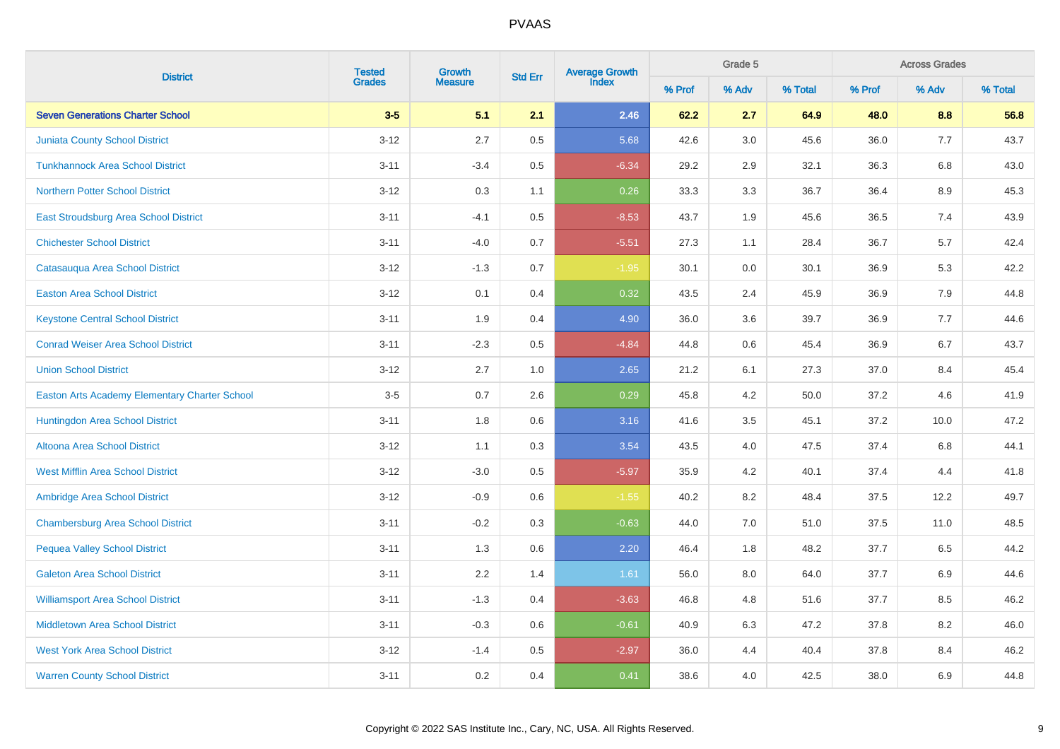|                                               | <b>Tested</b> | Growth         |         | Average Growth<br>Index<br><b>Std Err</b> |        | Grade 5 |         | <b>Across Grades</b> |         |         |
|-----------------------------------------------|---------------|----------------|---------|-------------------------------------------|--------|---------|---------|----------------------|---------|---------|
| <b>District</b>                               | <b>Grades</b> | <b>Measure</b> |         |                                           | % Prof | % Adv   | % Total | % Prof               | % Adv   | % Total |
| <b>Seven Generations Charter School</b>       | $3-5$         | 5.1            | 2.1     | 2.46                                      | 62.2   | 2.7     | 64.9    | 48.0                 | 8.8     | 56.8    |
| <b>Juniata County School District</b>         | $3 - 12$      | 2.7            | 0.5     | 5.68                                      | 42.6   | 3.0     | 45.6    | 36.0                 | 7.7     | 43.7    |
| <b>Tunkhannock Area School District</b>       | $3 - 11$      | $-3.4$         | $0.5\,$ | $-6.34$                                   | 29.2   | 2.9     | 32.1    | 36.3                 | $6.8\,$ | 43.0    |
| <b>Northern Potter School District</b>        | $3 - 12$      | 0.3            | 1.1     | 0.26                                      | 33.3   | 3.3     | 36.7    | 36.4                 | 8.9     | 45.3    |
| East Stroudsburg Area School District         | $3 - 11$      | $-4.1$         | 0.5     | $-8.53$                                   | 43.7   | 1.9     | 45.6    | 36.5                 | 7.4     | 43.9    |
| <b>Chichester School District</b>             | $3 - 11$      | $-4.0$         | 0.7     | $-5.51$                                   | 27.3   | 1.1     | 28.4    | 36.7                 | 5.7     | 42.4    |
| Catasauqua Area School District               | $3 - 12$      | $-1.3$         | 0.7     | $-1.95$                                   | 30.1   | $0.0\,$ | 30.1    | 36.9                 | 5.3     | 42.2    |
| <b>Easton Area School District</b>            | $3 - 12$      | 0.1            | 0.4     | 0.32                                      | 43.5   | 2.4     | 45.9    | 36.9                 | 7.9     | 44.8    |
| <b>Keystone Central School District</b>       | $3 - 11$      | 1.9            | 0.4     | 4.90                                      | 36.0   | 3.6     | 39.7    | 36.9                 | 7.7     | 44.6    |
| <b>Conrad Weiser Area School District</b>     | $3 - 11$      | $-2.3$         | 0.5     | $-4.84$                                   | 44.8   | 0.6     | 45.4    | 36.9                 | 6.7     | 43.7    |
| <b>Union School District</b>                  | $3 - 12$      | 2.7            | 1.0     | 2.65                                      | 21.2   | 6.1     | 27.3    | 37.0                 | 8.4     | 45.4    |
| Easton Arts Academy Elementary Charter School | $3-5$         | 0.7            | 2.6     | 0.29                                      | 45.8   | 4.2     | 50.0    | 37.2                 | 4.6     | 41.9    |
| Huntingdon Area School District               | $3 - 11$      | 1.8            | 0.6     | 3.16                                      | 41.6   | 3.5     | 45.1    | 37.2                 | 10.0    | 47.2    |
| Altoona Area School District                  | $3 - 12$      | 1.1            | 0.3     | 3.54                                      | 43.5   | 4.0     | 47.5    | 37.4                 | 6.8     | 44.1    |
| <b>West Mifflin Area School District</b>      | $3 - 12$      | $-3.0$         | 0.5     | $-5.97$                                   | 35.9   | 4.2     | 40.1    | 37.4                 | 4.4     | 41.8    |
| <b>Ambridge Area School District</b>          | $3 - 12$      | $-0.9$         | 0.6     | $-1.55$                                   | 40.2   | 8.2     | 48.4    | 37.5                 | 12.2    | 49.7    |
| <b>Chambersburg Area School District</b>      | $3 - 11$      | $-0.2$         | 0.3     | $-0.63$                                   | 44.0   | 7.0     | 51.0    | 37.5                 | 11.0    | 48.5    |
| <b>Pequea Valley School District</b>          | $3 - 11$      | 1.3            | 0.6     | 2.20                                      | 46.4   | 1.8     | 48.2    | 37.7                 | 6.5     | 44.2    |
| <b>Galeton Area School District</b>           | $3 - 11$      | 2.2            | 1.4     | 1.61                                      | 56.0   | 8.0     | 64.0    | 37.7                 | 6.9     | 44.6    |
| <b>Williamsport Area School District</b>      | $3 - 11$      | $-1.3$         | 0.4     | $-3.63$                                   | 46.8   | 4.8     | 51.6    | 37.7                 | 8.5     | 46.2    |
| <b>Middletown Area School District</b>        | $3 - 11$      | $-0.3$         | 0.6     | $-0.61$                                   | 40.9   | 6.3     | 47.2    | 37.8                 | 8.2     | 46.0    |
| <b>West York Area School District</b>         | $3 - 12$      | $-1.4$         | $0.5\,$ | $-2.97$                                   | 36.0   | 4.4     | 40.4    | 37.8                 | 8.4     | 46.2    |
| <b>Warren County School District</b>          | $3 - 11$      | 0.2            | 0.4     | 0.41                                      | 38.6   | 4.0     | 42.5    | 38.0                 | 6.9     | 44.8    |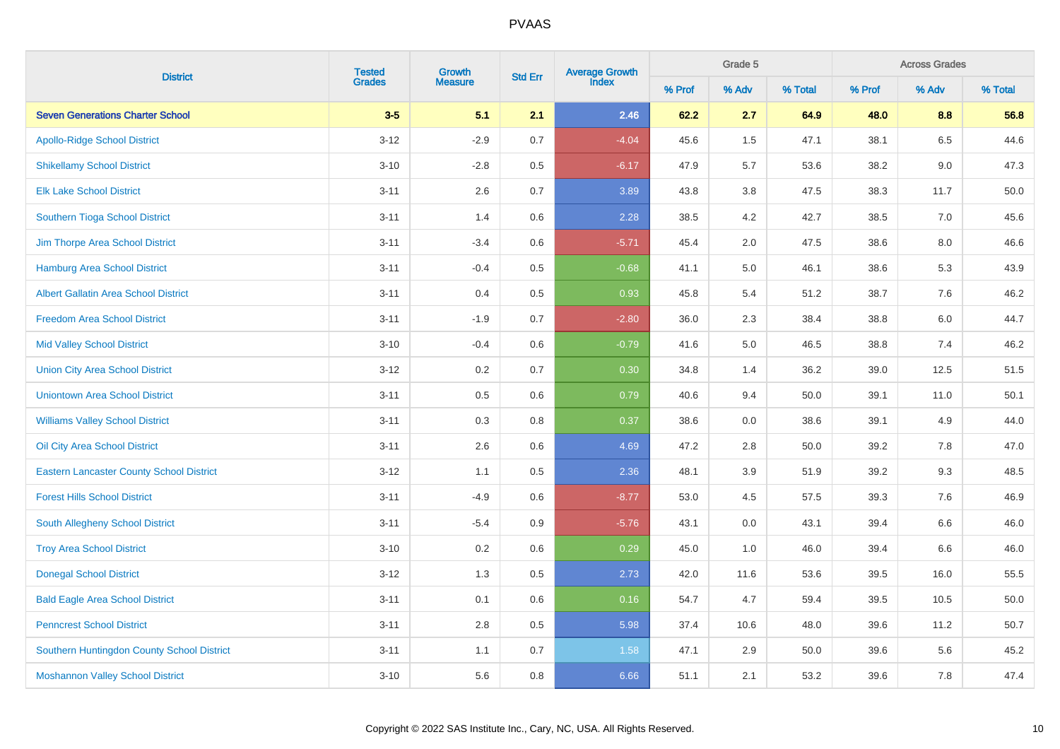| <b>District</b>                                 |               | <b>Tested</b><br>Growth | <b>Std Err</b> | Average Growth<br>Index |        | Grade 5 |         | <b>Across Grades</b> |       |         |  |
|-------------------------------------------------|---------------|-------------------------|----------------|-------------------------|--------|---------|---------|----------------------|-------|---------|--|
|                                                 | <b>Grades</b> | <b>Measure</b>          |                |                         | % Prof | % Adv   | % Total | % Prof               | % Adv | % Total |  |
| <b>Seven Generations Charter School</b>         | $3-5$         | 5.1                     | 2.1            | 2.46                    | 62.2   | 2.7     | 64.9    | 48.0                 | 8.8   | 56.8    |  |
| <b>Apollo-Ridge School District</b>             | $3 - 12$      | $-2.9$                  | 0.7            | $-4.04$                 | 45.6   | 1.5     | 47.1    | 38.1                 | 6.5   | 44.6    |  |
| <b>Shikellamy School District</b>               | $3 - 10$      | $-2.8$                  | $0.5\,$        | $-6.17$                 | 47.9   | 5.7     | 53.6    | 38.2                 | 9.0   | 47.3    |  |
| <b>Elk Lake School District</b>                 | $3 - 11$      | 2.6                     | 0.7            | 3.89                    | 43.8   | $3.8\,$ | 47.5    | 38.3                 | 11.7  | 50.0    |  |
| <b>Southern Tioga School District</b>           | $3 - 11$      | 1.4                     | 0.6            | 2.28                    | 38.5   | 4.2     | 42.7    | 38.5                 | 7.0   | 45.6    |  |
| <b>Jim Thorpe Area School District</b>          | $3 - 11$      | $-3.4$                  | 0.6            | $-5.71$                 | 45.4   | 2.0     | 47.5    | 38.6                 | 8.0   | 46.6    |  |
| <b>Hamburg Area School District</b>             | $3 - 11$      | $-0.4$                  | 0.5            | $-0.68$                 | 41.1   | 5.0     | 46.1    | 38.6                 | 5.3   | 43.9    |  |
| <b>Albert Gallatin Area School District</b>     | $3 - 11$      | 0.4                     | 0.5            | 0.93                    | 45.8   | 5.4     | 51.2    | 38.7                 | 7.6   | 46.2    |  |
| <b>Freedom Area School District</b>             | $3 - 11$      | $-1.9$                  | 0.7            | $-2.80$                 | 36.0   | 2.3     | 38.4    | 38.8                 | 6.0   | 44.7    |  |
| <b>Mid Valley School District</b>               | $3 - 10$      | $-0.4$                  | 0.6            | $-0.79$                 | 41.6   | 5.0     | 46.5    | 38.8                 | 7.4   | 46.2    |  |
| <b>Union City Area School District</b>          | $3 - 12$      | 0.2                     | 0.7            | 0.30                    | 34.8   | 1.4     | 36.2    | 39.0                 | 12.5  | 51.5    |  |
| <b>Uniontown Area School District</b>           | $3 - 11$      | 0.5                     | 0.6            | 0.79                    | 40.6   | 9.4     | 50.0    | 39.1                 | 11.0  | 50.1    |  |
| <b>Williams Valley School District</b>          | $3 - 11$      | 0.3                     | 0.8            | 0.37                    | 38.6   | 0.0     | 38.6    | 39.1                 | 4.9   | 44.0    |  |
| Oil City Area School District                   | $3 - 11$      | 2.6                     | 0.6            | 4.69                    | 47.2   | 2.8     | 50.0    | 39.2                 | 7.8   | 47.0    |  |
| <b>Eastern Lancaster County School District</b> | $3 - 12$      | 1.1                     | 0.5            | 2.36                    | 48.1   | 3.9     | 51.9    | 39.2                 | 9.3   | 48.5    |  |
| <b>Forest Hills School District</b>             | $3 - 11$      | $-4.9$                  | 0.6            | $-8.77$                 | 53.0   | 4.5     | 57.5    | 39.3                 | 7.6   | 46.9    |  |
| South Allegheny School District                 | $3 - 11$      | $-5.4$                  | 0.9            | $-5.76$                 | 43.1   | $0.0\,$ | 43.1    | 39.4                 | 6.6   | 46.0    |  |
| <b>Troy Area School District</b>                | $3 - 10$      | 0.2                     | 0.6            | 0.29                    | 45.0   | 1.0     | 46.0    | 39.4                 | 6.6   | 46.0    |  |
| <b>Donegal School District</b>                  | $3 - 12$      | 1.3                     | 0.5            | 2.73                    | 42.0   | 11.6    | 53.6    | 39.5                 | 16.0  | 55.5    |  |
| <b>Bald Eagle Area School District</b>          | $3 - 11$      | 0.1                     | 0.6            | 0.16                    | 54.7   | 4.7     | 59.4    | 39.5                 | 10.5  | 50.0    |  |
| <b>Penncrest School District</b>                | $3 - 11$      | 2.8                     | 0.5            | 5.98                    | 37.4   | 10.6    | 48.0    | 39.6                 | 11.2  | 50.7    |  |
| Southern Huntingdon County School District      | $3 - 11$      | 1.1                     | 0.7            | 1.58                    | 47.1   | 2.9     | 50.0    | 39.6                 | 5.6   | 45.2    |  |
| <b>Moshannon Valley School District</b>         | $3 - 10$      | 5.6                     | 0.8            | 6.66                    | 51.1   | 2.1     | 53.2    | 39.6                 | 7.8   | 47.4    |  |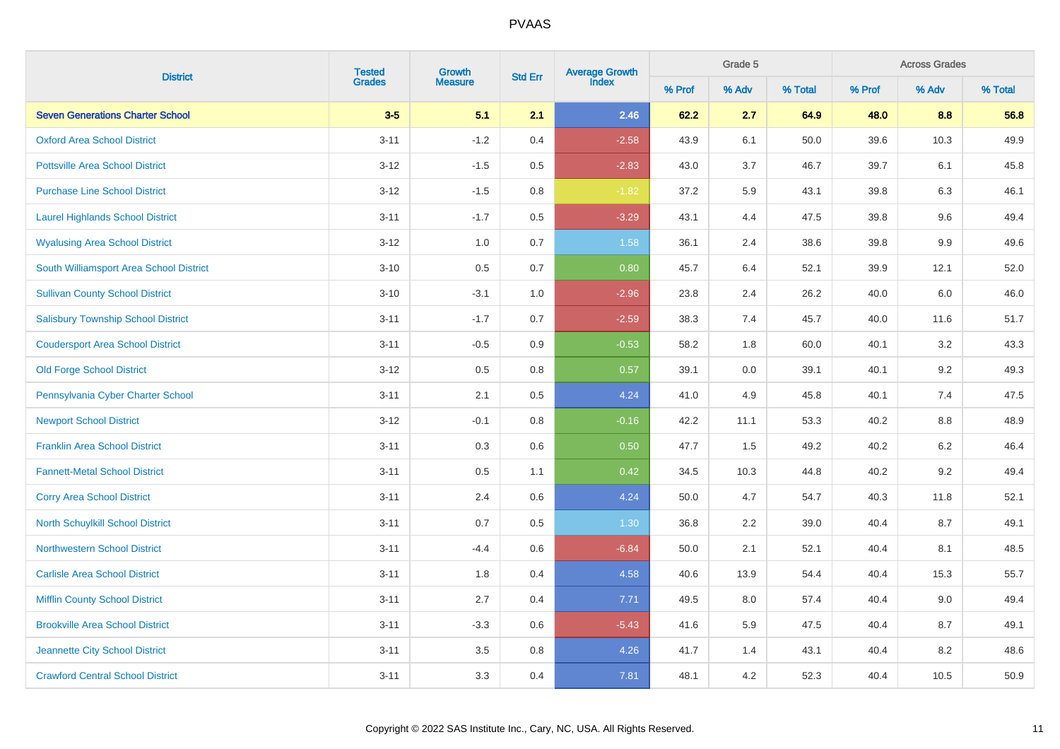|                                           | <b>Tested</b> | Growth         |         | Average Growth<br>Index<br><b>Std Err</b> |        | Grade 5 |         | <b>Across Grades</b> |         |         |  |
|-------------------------------------------|---------------|----------------|---------|-------------------------------------------|--------|---------|---------|----------------------|---------|---------|--|
| <b>District</b>                           | <b>Grades</b> | <b>Measure</b> |         |                                           | % Prof | % Adv   | % Total | % Prof               | % Adv   | % Total |  |
| <b>Seven Generations Charter School</b>   | $3-5$         | 5.1            | 2.1     | 2.46                                      | 62.2   | 2.7     | 64.9    | 48.0                 | 8.8     | 56.8    |  |
| <b>Oxford Area School District</b>        | $3 - 11$      | $-1.2$         | 0.4     | $-2.58$                                   | 43.9   | 6.1     | 50.0    | 39.6                 | 10.3    | 49.9    |  |
| <b>Pottsville Area School District</b>    | $3 - 12$      | $-1.5$         | $0.5\,$ | $-2.83$                                   | 43.0   | 3.7     | 46.7    | 39.7                 | 6.1     | 45.8    |  |
| <b>Purchase Line School District</b>      | $3 - 12$      | $-1.5$         | 0.8     | $-1.82$                                   | 37.2   | 5.9     | 43.1    | 39.8                 | 6.3     | 46.1    |  |
| <b>Laurel Highlands School District</b>   | $3 - 11$      | $-1.7$         | $0.5\,$ | $-3.29$                                   | 43.1   | 4.4     | 47.5    | 39.8                 | 9.6     | 49.4    |  |
| <b>Wyalusing Area School District</b>     | $3 - 12$      | 1.0            | 0.7     | 1.58                                      | 36.1   | 2.4     | 38.6    | 39.8                 | 9.9     | 49.6    |  |
| South Williamsport Area School District   | $3 - 10$      | $0.5\,$        | 0.7     | 0.80                                      | 45.7   | 6.4     | 52.1    | 39.9                 | 12.1    | 52.0    |  |
| <b>Sullivan County School District</b>    | $3 - 10$      | $-3.1$         | 1.0     | $-2.96$                                   | 23.8   | 2.4     | 26.2    | 40.0                 | 6.0     | 46.0    |  |
| <b>Salisbury Township School District</b> | $3 - 11$      | $-1.7$         | 0.7     | $-2.59$                                   | 38.3   | 7.4     | 45.7    | 40.0                 | 11.6    | 51.7    |  |
| <b>Coudersport Area School District</b>   | $3 - 11$      | $-0.5$         | 0.9     | $-0.53$                                   | 58.2   | 1.8     | 60.0    | 40.1                 | $3.2\,$ | 43.3    |  |
| <b>Old Forge School District</b>          | $3 - 12$      | $0.5\,$        | 0.8     | 0.57                                      | 39.1   | $0.0\,$ | 39.1    | 40.1                 | $9.2\,$ | 49.3    |  |
| Pennsylvania Cyber Charter School         | $3 - 11$      | 2.1            | 0.5     | 4.24                                      | 41.0   | 4.9     | 45.8    | 40.1                 | 7.4     | 47.5    |  |
| <b>Newport School District</b>            | $3 - 12$      | $-0.1$         | 0.8     | $-0.16$                                   | 42.2   | 11.1    | 53.3    | 40.2                 | 8.8     | 48.9    |  |
| <b>Franklin Area School District</b>      | $3 - 11$      | 0.3            | 0.6     | 0.50                                      | 47.7   | 1.5     | 49.2    | 40.2                 | 6.2     | 46.4    |  |
| <b>Fannett-Metal School District</b>      | $3 - 11$      | 0.5            | 1.1     | 0.42                                      | 34.5   | 10.3    | 44.8    | 40.2                 | 9.2     | 49.4    |  |
| <b>Corry Area School District</b>         | $3 - 11$      | 2.4            | 0.6     | 4.24                                      | 50.0   | 4.7     | 54.7    | 40.3                 | 11.8    | 52.1    |  |
| <b>North Schuylkill School District</b>   | $3 - 11$      | 0.7            | 0.5     | 1.30                                      | 36.8   | 2.2     | 39.0    | 40.4                 | 8.7     | 49.1    |  |
| <b>Northwestern School District</b>       | $3 - 11$      | $-4.4$         | 0.6     | $-6.84$                                   | 50.0   | 2.1     | 52.1    | 40.4                 | 8.1     | 48.5    |  |
| <b>Carlisle Area School District</b>      | $3 - 11$      | 1.8            | 0.4     | 4.58                                      | 40.6   | 13.9    | 54.4    | 40.4                 | 15.3    | 55.7    |  |
| <b>Mifflin County School District</b>     | $3 - 11$      | 2.7            | 0.4     | 7.71                                      | 49.5   | $8.0\,$ | 57.4    | 40.4                 | 9.0     | 49.4    |  |
| <b>Brookville Area School District</b>    | $3 - 11$      | $-3.3$         | $0.6\,$ | $-5.43$                                   | 41.6   | 5.9     | 47.5    | 40.4                 | 8.7     | 49.1    |  |
| Jeannette City School District            | $3 - 11$      | $3.5\,$        | $0.8\,$ | 4.26                                      | 41.7   | 1.4     | 43.1    | 40.4                 | $8.2\,$ | 48.6    |  |
| <b>Crawford Central School District</b>   | $3 - 11$      | 3.3            | 0.4     | 7.81                                      | 48.1   | 4.2     | 52.3    | 40.4                 | 10.5    | 50.9    |  |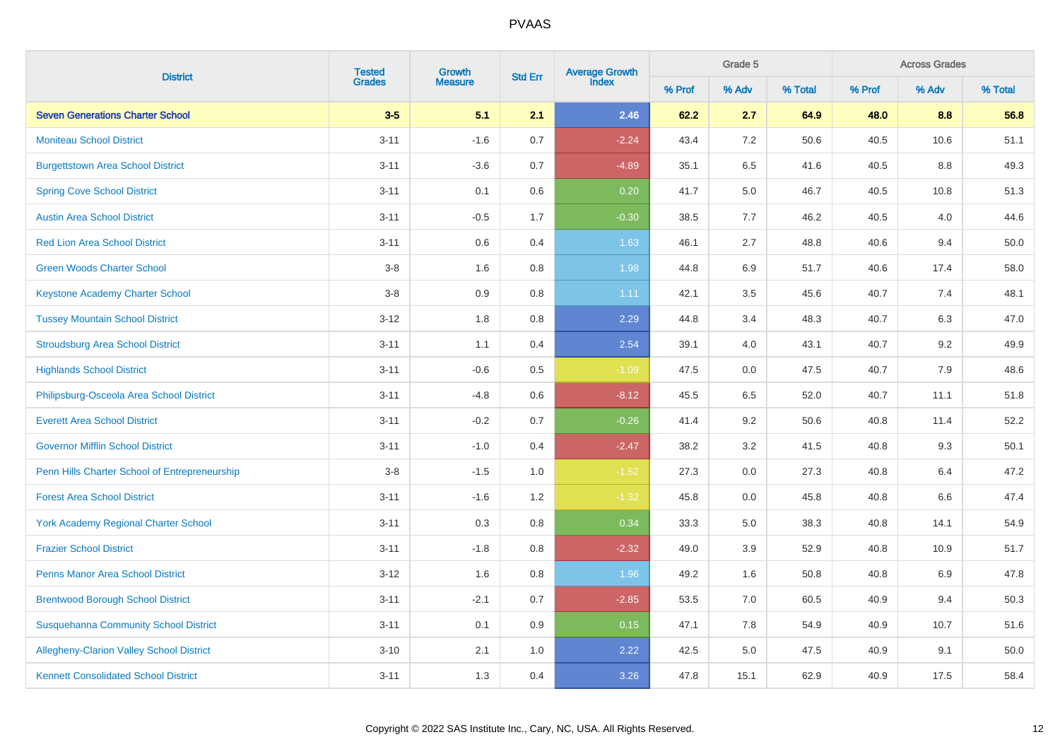|                                                 | <b>Tested</b> | Growth         |                | Average Growth<br>Index |        | Grade 5 |         |        | <b>Across Grades</b><br>% Adv |         |
|-------------------------------------------------|---------------|----------------|----------------|-------------------------|--------|---------|---------|--------|-------------------------------|---------|
| <b>District</b>                                 | <b>Grades</b> | <b>Measure</b> | <b>Std Err</b> |                         | % Prof | % Adv   | % Total | % Prof |                               | % Total |
| <b>Seven Generations Charter School</b>         | $3-5$         | 5.1            | 2.1            | 2.46                    | 62.2   | 2.7     | 64.9    | 48.0   | 8.8                           | 56.8    |
| <b>Moniteau School District</b>                 | $3 - 11$      | $-1.6$         | 0.7            | $-2.24$                 | 43.4   | 7.2     | 50.6    | 40.5   | 10.6                          | 51.1    |
| <b>Burgettstown Area School District</b>        | $3 - 11$      | $-3.6$         | 0.7            | $-4.89$                 | 35.1   | 6.5     | 41.6    | 40.5   | $8.8\,$                       | 49.3    |
| <b>Spring Cove School District</b>              | $3 - 11$      | 0.1            | $0.6\,$        | 0.20                    | 41.7   | 5.0     | 46.7    | 40.5   | 10.8                          | 51.3    |
| <b>Austin Area School District</b>              | $3 - 11$      | $-0.5$         | 1.7            | $-0.30$                 | 38.5   | 7.7     | 46.2    | 40.5   | 4.0                           | 44.6    |
| <b>Red Lion Area School District</b>            | $3 - 11$      | $0.6\,$        | 0.4            | 1.63                    | 46.1   | 2.7     | 48.8    | 40.6   | 9.4                           | 50.0    |
| <b>Green Woods Charter School</b>               | $3-8$         | 1.6            | $0.8\,$        | 1.98                    | 44.8   | 6.9     | 51.7    | 40.6   | 17.4                          | 58.0    |
| <b>Keystone Academy Charter School</b>          | $3-8$         | 0.9            | 0.8            | 1.11                    | 42.1   | 3.5     | 45.6    | 40.7   | 7.4                           | 48.1    |
| <b>Tussey Mountain School District</b>          | $3 - 12$      | 1.8            | 0.8            | 2.29                    | 44.8   | 3.4     | 48.3    | 40.7   | 6.3                           | 47.0    |
| <b>Stroudsburg Area School District</b>         | $3 - 11$      | 1.1            | 0.4            | 2.54                    | 39.1   | 4.0     | 43.1    | 40.7   | 9.2                           | 49.9    |
| <b>Highlands School District</b>                | $3 - 11$      | $-0.6$         | 0.5            | $-1.09$                 | 47.5   | $0.0\,$ | 47.5    | 40.7   | 7.9                           | 48.6    |
| Philipsburg-Osceola Area School District        | $3 - 11$      | $-4.8$         | 0.6            | $-8.12$                 | 45.5   | 6.5     | 52.0    | 40.7   | 11.1                          | 51.8    |
| <b>Everett Area School District</b>             | $3 - 11$      | $-0.2$         | 0.7            | $-0.26$                 | 41.4   | 9.2     | 50.6    | 40.8   | 11.4                          | 52.2    |
| <b>Governor Mifflin School District</b>         | $3 - 11$      | $-1.0$         | 0.4            | $-2.47$                 | 38.2   | 3.2     | 41.5    | 40.8   | 9.3                           | 50.1    |
| Penn Hills Charter School of Entrepreneurship   | $3-8$         | $-1.5$         | 1.0            | $-1.52$                 | 27.3   | 0.0     | 27.3    | 40.8   | 6.4                           | 47.2    |
| <b>Forest Area School District</b>              | $3 - 11$      | $-1.6$         | 1.2            | $-1.32$                 | 45.8   | 0.0     | 45.8    | 40.8   | 6.6                           | 47.4    |
| <b>York Academy Regional Charter School</b>     | $3 - 11$      | 0.3            | 0.8            | 0.34                    | 33.3   | 5.0     | 38.3    | 40.8   | 14.1                          | 54.9    |
| <b>Frazier School District</b>                  | $3 - 11$      | $-1.8$         | 0.8            | $-2.32$                 | 49.0   | 3.9     | 52.9    | 40.8   | 10.9                          | 51.7    |
| <b>Penns Manor Area School District</b>         | $3 - 12$      | 1.6            | 0.8            | 1.96                    | 49.2   | 1.6     | 50.8    | 40.8   | 6.9                           | 47.8    |
| <b>Brentwood Borough School District</b>        | $3 - 11$      | $-2.1$         | 0.7            | $-2.85$                 | 53.5   | 7.0     | 60.5    | 40.9   | 9.4                           | 50.3    |
| <b>Susquehanna Community School District</b>    | $3 - 11$      | 0.1            | 0.9            | 0.15                    | 47.1   | 7.8     | 54.9    | 40.9   | 10.7                          | 51.6    |
| <b>Allegheny-Clarion Valley School District</b> | $3 - 10$      | 2.1            | 1.0            | 2.22                    | 42.5   | 5.0     | 47.5    | 40.9   | 9.1                           | 50.0    |
| <b>Kennett Consolidated School District</b>     | $3 - 11$      | 1.3            | 0.4            | 3.26                    | 47.8   | 15.1    | 62.9    | 40.9   | 17.5                          | 58.4    |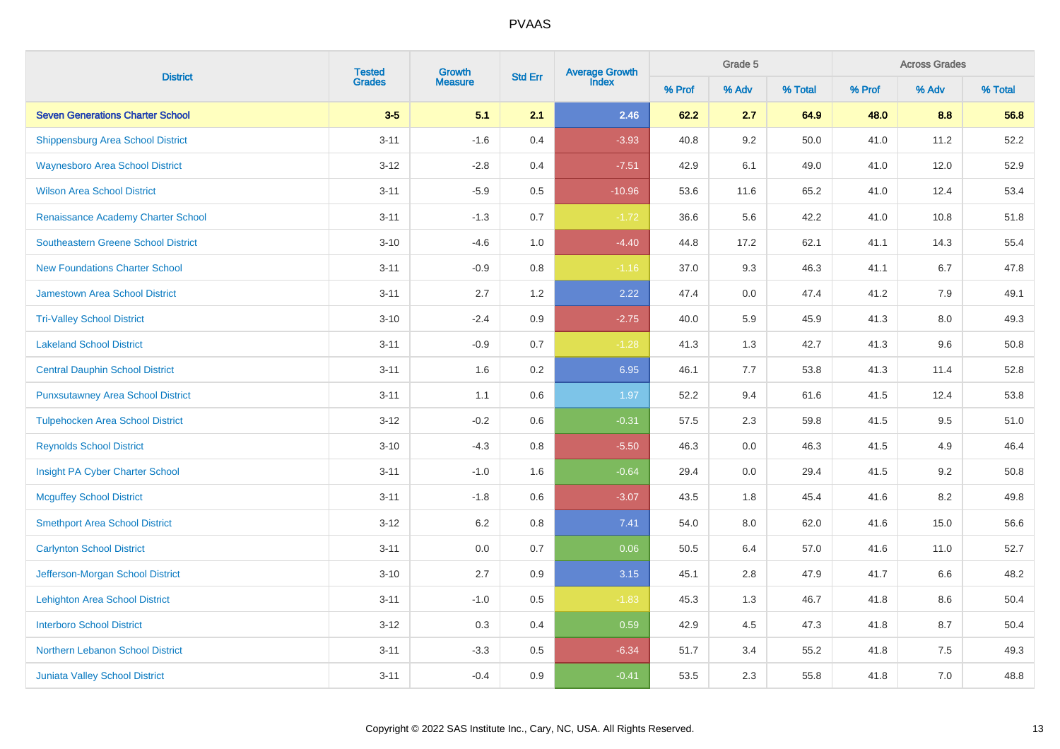|                                          | <b>Tested</b> | Growth         | <b>Std Err</b> | Average Growth<br>Index |        | Grade 5 |         |        | <b>Across Grades</b><br>% Adv |         |
|------------------------------------------|---------------|----------------|----------------|-------------------------|--------|---------|---------|--------|-------------------------------|---------|
| <b>District</b>                          | <b>Grades</b> | <b>Measure</b> |                |                         | % Prof | % Adv   | % Total | % Prof |                               | % Total |
| <b>Seven Generations Charter School</b>  | $3-5$         | 5.1            | 2.1            | 2.46                    | 62.2   | 2.7     | 64.9    | 48.0   | 8.8                           | 56.8    |
| <b>Shippensburg Area School District</b> | $3 - 11$      | $-1.6$         | 0.4            | $-3.93$                 | 40.8   | 9.2     | 50.0    | 41.0   | 11.2                          | 52.2    |
| <b>Waynesboro Area School District</b>   | $3 - 12$      | $-2.8$         | 0.4            | $-7.51$                 | 42.9   | 6.1     | 49.0    | 41.0   | 12.0                          | 52.9    |
| <b>Wilson Area School District</b>       | $3 - 11$      | $-5.9$         | 0.5            | $-10.96$                | 53.6   | 11.6    | 65.2    | 41.0   | 12.4                          | 53.4    |
| Renaissance Academy Charter School       | $3 - 11$      | $-1.3$         | 0.7            | $-1.72$                 | 36.6   | 5.6     | 42.2    | 41.0   | 10.8                          | 51.8    |
| Southeastern Greene School District      | $3 - 10$      | $-4.6$         | 1.0            | $-4.40$                 | 44.8   | 17.2    | 62.1    | 41.1   | 14.3                          | 55.4    |
| <b>New Foundations Charter School</b>    | $3 - 11$      | $-0.9$         | 0.8            | $-1.16$                 | 37.0   | 9.3     | 46.3    | 41.1   | 6.7                           | 47.8    |
| <b>Jamestown Area School District</b>    | $3 - 11$      | 2.7            | 1.2            | 2.22                    | 47.4   | 0.0     | 47.4    | 41.2   | 7.9                           | 49.1    |
| <b>Tri-Valley School District</b>        | $3 - 10$      | $-2.4$         | 0.9            | $-2.75$                 | 40.0   | 5.9     | 45.9    | 41.3   | 8.0                           | 49.3    |
| <b>Lakeland School District</b>          | $3 - 11$      | $-0.9$         | 0.7            | $-1.28$                 | 41.3   | 1.3     | 42.7    | 41.3   | 9.6                           | 50.8    |
| <b>Central Dauphin School District</b>   | $3 - 11$      | 1.6            | 0.2            | 6.95                    | 46.1   | 7.7     | 53.8    | 41.3   | 11.4                          | 52.8    |
| <b>Punxsutawney Area School District</b> | $3 - 11$      | 1.1            | 0.6            | 1.97                    | 52.2   | 9.4     | 61.6    | 41.5   | 12.4                          | 53.8    |
| <b>Tulpehocken Area School District</b>  | $3 - 12$      | $-0.2$         | 0.6            | $-0.31$                 | 57.5   | 2.3     | 59.8    | 41.5   | 9.5                           | 51.0    |
| <b>Reynolds School District</b>          | $3 - 10$      | $-4.3$         | 0.8            | $-5.50$                 | 46.3   | 0.0     | 46.3    | 41.5   | 4.9                           | 46.4    |
| Insight PA Cyber Charter School          | $3 - 11$      | $-1.0$         | 1.6            | $-0.64$                 | 29.4   | 0.0     | 29.4    | 41.5   | 9.2                           | 50.8    |
| <b>Mcguffey School District</b>          | $3 - 11$      | $-1.8$         | 0.6            | $-3.07$                 | 43.5   | 1.8     | 45.4    | 41.6   | 8.2                           | 49.8    |
| <b>Smethport Area School District</b>    | $3 - 12$      | 6.2            | 0.8            | 7.41                    | 54.0   | 8.0     | 62.0    | 41.6   | 15.0                          | 56.6    |
| <b>Carlynton School District</b>         | $3 - 11$      | 0.0            | 0.7            | 0.06                    | 50.5   | 6.4     | 57.0    | 41.6   | 11.0                          | 52.7    |
| Jefferson-Morgan School District         | $3 - 10$      | 2.7            | 0.9            | 3.15                    | 45.1   | 2.8     | 47.9    | 41.7   | 6.6                           | 48.2    |
| <b>Lehighton Area School District</b>    | $3 - 11$      | $-1.0$         | 0.5            | $-1.83$                 | 45.3   | 1.3     | 46.7    | 41.8   | 8.6                           | 50.4    |
| <b>Interboro School District</b>         | $3 - 12$      | 0.3            | 0.4            | 0.59                    | 42.9   | 4.5     | 47.3    | 41.8   | 8.7                           | 50.4    |
| Northern Lebanon School District         | $3 - 11$      | $-3.3$         | 0.5            | $-6.34$                 | 51.7   | 3.4     | 55.2    | 41.8   | 7.5                           | 49.3    |
| <b>Juniata Valley School District</b>    | $3 - 11$      | $-0.4$         | 0.9            | $-0.41$                 | 53.5   | 2.3     | 55.8    | 41.8   | 7.0                           | 48.8    |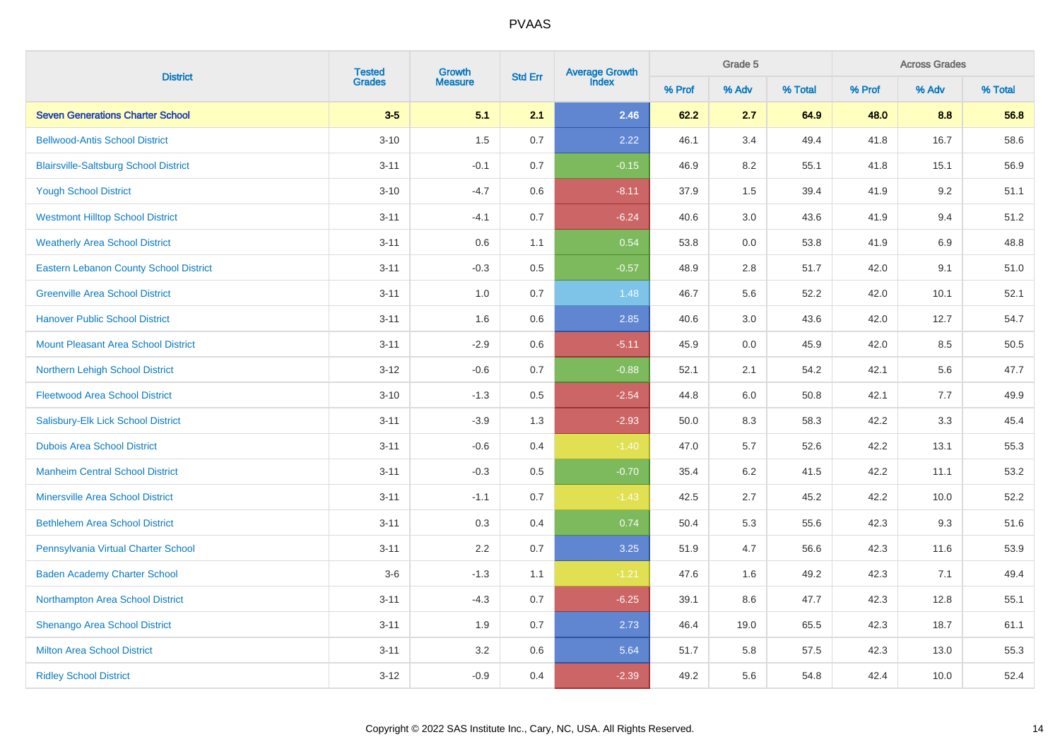|                                               | <b>Tested</b> | Growth         |                | Average Growth<br>Index |        | Grade 5 |         |        | <b>Across Grades</b><br>% Adv |         |
|-----------------------------------------------|---------------|----------------|----------------|-------------------------|--------|---------|---------|--------|-------------------------------|---------|
| <b>District</b>                               | <b>Grades</b> | <b>Measure</b> | <b>Std Err</b> |                         | % Prof | % Adv   | % Total | % Prof |                               | % Total |
| <b>Seven Generations Charter School</b>       | $3-5$         | 5.1            | 2.1            | 2.46                    | 62.2   | 2.7     | 64.9    | 48.0   | 8.8                           | 56.8    |
| <b>Bellwood-Antis School District</b>         | $3 - 10$      | 1.5            | $0.7\,$        | 2.22                    | 46.1   | 3.4     | 49.4    | 41.8   | 16.7                          | 58.6    |
| <b>Blairsville-Saltsburg School District</b>  | $3 - 11$      | $-0.1$         | 0.7            | $-0.15$                 | 46.9   | 8.2     | 55.1    | 41.8   | 15.1                          | 56.9    |
| <b>Yough School District</b>                  | $3 - 10$      | $-4.7$         | $0.6\,$        | $-8.11$                 | 37.9   | 1.5     | 39.4    | 41.9   | 9.2                           | 51.1    |
| <b>Westmont Hilltop School District</b>       | $3 - 11$      | $-4.1$         | 0.7            | $-6.24$                 | 40.6   | $3.0\,$ | 43.6    | 41.9   | 9.4                           | 51.2    |
| <b>Weatherly Area School District</b>         | $3 - 11$      | 0.6            | 1.1            | 0.54                    | 53.8   | $0.0\,$ | 53.8    | 41.9   | 6.9                           | 48.8    |
| <b>Eastern Lebanon County School District</b> | $3 - 11$      | $-0.3$         | $0.5\,$        | $-0.57$                 | 48.9   | $2.8\,$ | 51.7    | 42.0   | 9.1                           | 51.0    |
| <b>Greenville Area School District</b>        | $3 - 11$      | 1.0            | 0.7            | 1.48                    | 46.7   | 5.6     | 52.2    | 42.0   | 10.1                          | 52.1    |
| <b>Hanover Public School District</b>         | $3 - 11$      | 1.6            | 0.6            | 2.85                    | 40.6   | 3.0     | 43.6    | 42.0   | 12.7                          | 54.7    |
| <b>Mount Pleasant Area School District</b>    | $3 - 11$      | $-2.9$         | 0.6            | $-5.11$                 | 45.9   | 0.0     | 45.9    | 42.0   | 8.5                           | 50.5    |
| Northern Lehigh School District               | $3 - 12$      | $-0.6$         | 0.7            | $-0.88$                 | 52.1   | 2.1     | 54.2    | 42.1   | $5.6\,$                       | 47.7    |
| <b>Fleetwood Area School District</b>         | $3 - 10$      | $-1.3$         | 0.5            | $-2.54$                 | 44.8   | $6.0\,$ | 50.8    | 42.1   | 7.7                           | 49.9    |
| Salisbury-Elk Lick School District            | $3 - 11$      | $-3.9$         | 1.3            | $-2.93$                 | 50.0   | 8.3     | 58.3    | 42.2   | 3.3                           | 45.4    |
| <b>Dubois Area School District</b>            | $3 - 11$      | $-0.6$         | 0.4            | $-1.40$                 | 47.0   | 5.7     | 52.6    | 42.2   | 13.1                          | 55.3    |
| <b>Manheim Central School District</b>        | $3 - 11$      | $-0.3$         | 0.5            | $-0.70$                 | 35.4   | 6.2     | 41.5    | 42.2   | 11.1                          | 53.2    |
| <b>Minersville Area School District</b>       | $3 - 11$      | $-1.1$         | 0.7            | $-1.43$                 | 42.5   | 2.7     | 45.2    | 42.2   | 10.0                          | 52.2    |
| <b>Bethlehem Area School District</b>         | $3 - 11$      | 0.3            | 0.4            | 0.74                    | 50.4   | 5.3     | 55.6    | 42.3   | 9.3                           | 51.6    |
| Pennsylvania Virtual Charter School           | $3 - 11$      | 2.2            | 0.7            | 3.25                    | 51.9   | 4.7     | 56.6    | 42.3   | 11.6                          | 53.9    |
| <b>Baden Academy Charter School</b>           | $3-6$         | $-1.3$         | 1.1            | $-1.21$                 | 47.6   | 1.6     | 49.2    | 42.3   | 7.1                           | 49.4    |
| Northampton Area School District              | $3 - 11$      | $-4.3$         | 0.7            | $-6.25$                 | 39.1   | 8.6     | 47.7    | 42.3   | 12.8                          | 55.1    |
| Shenango Area School District                 | $3 - 11$      | 1.9            | 0.7            | 2.73                    | 46.4   | 19.0    | 65.5    | 42.3   | 18.7                          | 61.1    |
| <b>Milton Area School District</b>            | $3 - 11$      | 3.2            | $0.6\,$        | 5.64                    | 51.7   | 5.8     | 57.5    | 42.3   | 13.0                          | 55.3    |
| <b>Ridley School District</b>                 | $3 - 12$      | $-0.9$         | 0.4            | $-2.39$                 | 49.2   | 5.6     | 54.8    | 42.4   | 10.0                          | 52.4    |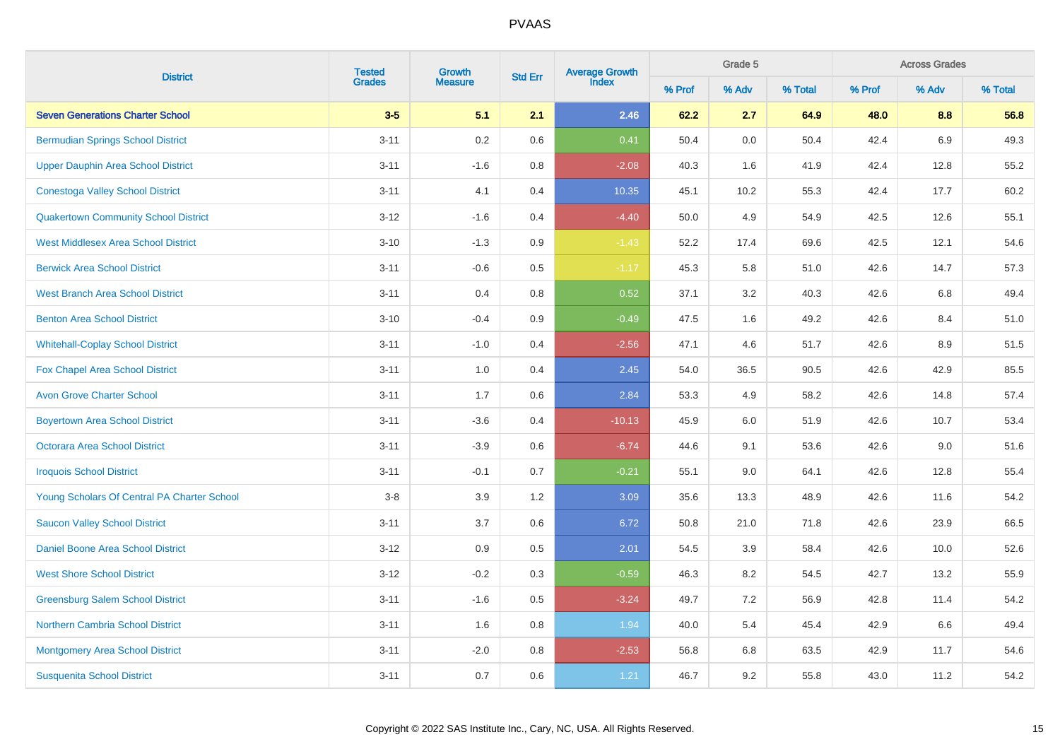|                                             | <b>Tested</b> | Growth         | <b>Std Err</b> | Average Growth<br>Index |        | Grade 5 |         |        | <b>Across Grades</b><br>% Adv |         |
|---------------------------------------------|---------------|----------------|----------------|-------------------------|--------|---------|---------|--------|-------------------------------|---------|
| <b>District</b>                             | <b>Grades</b> | <b>Measure</b> |                |                         | % Prof | % Adv   | % Total | % Prof |                               | % Total |
| <b>Seven Generations Charter School</b>     | $3-5$         | 5.1            | 2.1            | 2.46                    | 62.2   | 2.7     | 64.9    | 48.0   | 8.8                           | 56.8    |
| <b>Bermudian Springs School District</b>    | $3 - 11$      | 0.2            | 0.6            | 0.41                    | 50.4   | $0.0\,$ | 50.4    | 42.4   | 6.9                           | 49.3    |
| <b>Upper Dauphin Area School District</b>   | $3 - 11$      | $-1.6$         | 0.8            | $-2.08$                 | 40.3   | 1.6     | 41.9    | 42.4   | 12.8                          | 55.2    |
| <b>Conestoga Valley School District</b>     | $3 - 11$      | 4.1            | 0.4            | 10.35                   | 45.1   | 10.2    | 55.3    | 42.4   | 17.7                          | 60.2    |
| <b>Quakertown Community School District</b> | $3 - 12$      | $-1.6$         | 0.4            | $-4.40$                 | 50.0   | 4.9     | 54.9    | 42.5   | 12.6                          | 55.1    |
| <b>West Middlesex Area School District</b>  | $3 - 10$      | $-1.3$         | 0.9            | $-1.43$                 | 52.2   | 17.4    | 69.6    | 42.5   | 12.1                          | 54.6    |
| <b>Berwick Area School District</b>         | $3 - 11$      | $-0.6$         | 0.5            | $-1.17$                 | 45.3   | 5.8     | 51.0    | 42.6   | 14.7                          | 57.3    |
| <b>West Branch Area School District</b>     | $3 - 11$      | 0.4            | 0.8            | 0.52                    | 37.1   | 3.2     | 40.3    | 42.6   | 6.8                           | 49.4    |
| <b>Benton Area School District</b>          | $3 - 10$      | $-0.4$         | 0.9            | $-0.49$                 | 47.5   | 1.6     | 49.2    | 42.6   | 8.4                           | 51.0    |
| <b>Whitehall-Coplay School District</b>     | $3 - 11$      | $-1.0$         | 0.4            | $-2.56$                 | 47.1   | 4.6     | 51.7    | 42.6   | 8.9                           | 51.5    |
| Fox Chapel Area School District             | $3 - 11$      | 1.0            | 0.4            | 2.45                    | 54.0   | 36.5    | 90.5    | 42.6   | 42.9                          | 85.5    |
| <b>Avon Grove Charter School</b>            | $3 - 11$      | 1.7            | 0.6            | 2.84                    | 53.3   | 4.9     | 58.2    | 42.6   | 14.8                          | 57.4    |
| <b>Boyertown Area School District</b>       | $3 - 11$      | $-3.6$         | 0.4            | $-10.13$                | 45.9   | 6.0     | 51.9    | 42.6   | 10.7                          | 53.4    |
| <b>Octorara Area School District</b>        | $3 - 11$      | $-3.9$         | 0.6            | $-6.74$                 | 44.6   | 9.1     | 53.6    | 42.6   | 9.0                           | 51.6    |
| <b>Iroquois School District</b>             | $3 - 11$      | $-0.1$         | 0.7            | $-0.21$                 | 55.1   | 9.0     | 64.1    | 42.6   | 12.8                          | 55.4    |
| Young Scholars Of Central PA Charter School | $3-8$         | 3.9            | 1.2            | 3.09                    | 35.6   | 13.3    | 48.9    | 42.6   | 11.6                          | 54.2    |
| <b>Saucon Valley School District</b>        | $3 - 11$      | 3.7            | 0.6            | 6.72                    | 50.8   | 21.0    | 71.8    | 42.6   | 23.9                          | 66.5    |
| <b>Daniel Boone Area School District</b>    | $3 - 12$      | 0.9            | 0.5            | 2.01                    | 54.5   | 3.9     | 58.4    | 42.6   | 10.0                          | 52.6    |
| <b>West Shore School District</b>           | $3 - 12$      | $-0.2$         | 0.3            | $-0.59$                 | 46.3   | 8.2     | 54.5    | 42.7   | 13.2                          | 55.9    |
| <b>Greensburg Salem School District</b>     | $3 - 11$      | $-1.6$         | 0.5            | $-3.24$                 | 49.7   | 7.2     | 56.9    | 42.8   | 11.4                          | 54.2    |
| <b>Northern Cambria School District</b>     | $3 - 11$      | 1.6            | 0.8            | 1.94                    | 40.0   | 5.4     | 45.4    | 42.9   | 6.6                           | 49.4    |
| <b>Montgomery Area School District</b>      | $3 - 11$      | $-2.0$         | 0.8            | $-2.53$                 | 56.8   | 6.8     | 63.5    | 42.9   | 11.7                          | 54.6    |
| <b>Susquenita School District</b>           | $3 - 11$      | 0.7            | 0.6            | 1.21                    | 46.7   | 9.2     | 55.8    | 43.0   | 11.2                          | 54.2    |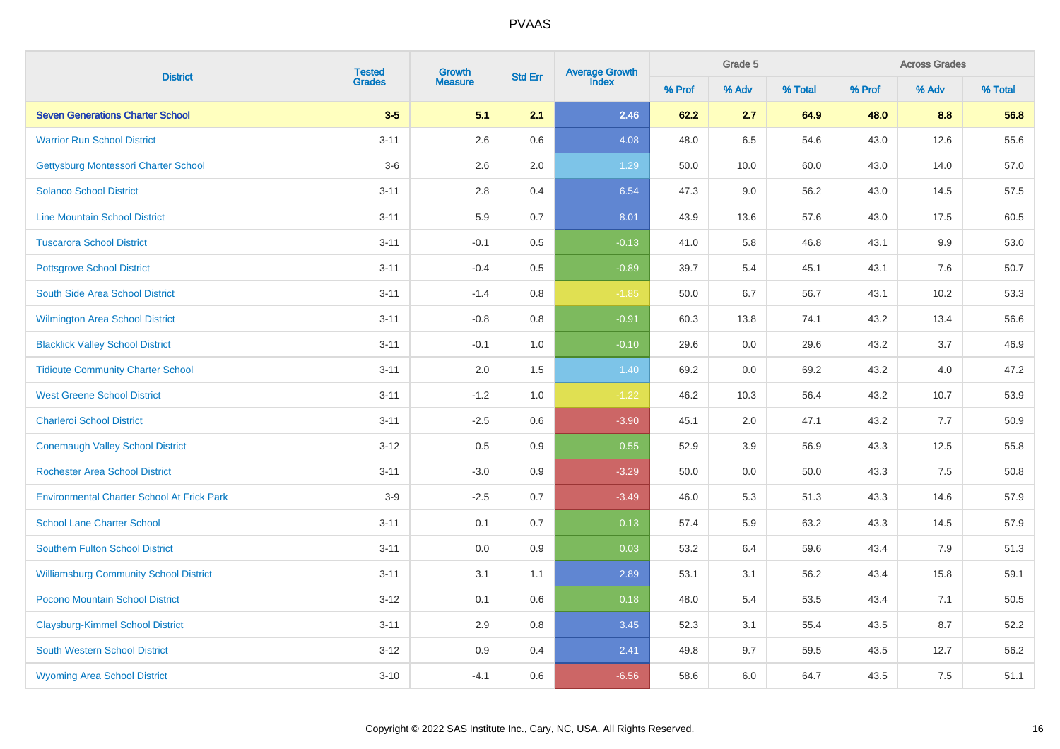|                                                   | <b>Tested</b> | Growth         |                | Average Growth<br>Index |        | Grade 5 |         |        | <b>Across Grades</b><br>% Adv |         |
|---------------------------------------------------|---------------|----------------|----------------|-------------------------|--------|---------|---------|--------|-------------------------------|---------|
| <b>District</b>                                   | <b>Grades</b> | <b>Measure</b> | <b>Std Err</b> |                         | % Prof | % Adv   | % Total | % Prof |                               | % Total |
| <b>Seven Generations Charter School</b>           | $3-5$         | 5.1            | 2.1            | 2.46                    | 62.2   | 2.7     | 64.9    | 48.0   | 8.8                           | 56.8    |
| <b>Warrior Run School District</b>                | $3 - 11$      | 2.6            | 0.6            | 4.08                    | 48.0   | 6.5     | 54.6    | 43.0   | 12.6                          | 55.6    |
| Gettysburg Montessori Charter School              | $3-6$         | 2.6            | 2.0            | 1.29                    | 50.0   | 10.0    | 60.0    | 43.0   | 14.0                          | 57.0    |
| <b>Solanco School District</b>                    | $3 - 11$      | 2.8            | 0.4            | 6.54                    | 47.3   | 9.0     | 56.2    | 43.0   | 14.5                          | 57.5    |
| <b>Line Mountain School District</b>              | $3 - 11$      | 5.9            | 0.7            | 8.01                    | 43.9   | 13.6    | 57.6    | 43.0   | 17.5                          | 60.5    |
| <b>Tuscarora School District</b>                  | $3 - 11$      | $-0.1$         | $0.5\,$        | $-0.13$                 | 41.0   | 5.8     | 46.8    | 43.1   | 9.9                           | 53.0    |
| <b>Pottsgrove School District</b>                 | $3 - 11$      | $-0.4$         | $0.5\,$        | $-0.89$                 | 39.7   | 5.4     | 45.1    | 43.1   | 7.6                           | 50.7    |
| South Side Area School District                   | $3 - 11$      | $-1.4$         | 0.8            | $-1.85$                 | 50.0   | 6.7     | 56.7    | 43.1   | 10.2                          | 53.3    |
| <b>Wilmington Area School District</b>            | $3 - 11$      | $-0.8$         | 0.8            | $-0.91$                 | 60.3   | 13.8    | 74.1    | 43.2   | 13.4                          | 56.6    |
| <b>Blacklick Valley School District</b>           | $3 - 11$      | $-0.1$         | 1.0            | $-0.10$                 | 29.6   | 0.0     | 29.6    | 43.2   | 3.7                           | 46.9    |
| <b>Tidioute Community Charter School</b>          | $3 - 11$      | $2.0\,$        | 1.5            | 1.40                    | 69.2   | $0.0\,$ | 69.2    | 43.2   | 4.0                           | 47.2    |
| <b>West Greene School District</b>                | $3 - 11$      | $-1.2$         | 1.0            | $-1.22$                 | 46.2   | 10.3    | 56.4    | 43.2   | 10.7                          | 53.9    |
| <b>Charleroi School District</b>                  | $3 - 11$      | $-2.5$         | 0.6            | $-3.90$                 | 45.1   | 2.0     | 47.1    | 43.2   | 7.7                           | 50.9    |
| <b>Conemaugh Valley School District</b>           | $3 - 12$      | 0.5            | 0.9            | 0.55                    | 52.9   | 3.9     | 56.9    | 43.3   | 12.5                          | 55.8    |
| <b>Rochester Area School District</b>             | $3 - 11$      | $-3.0$         | 0.9            | $-3.29$                 | 50.0   | 0.0     | 50.0    | 43.3   | 7.5                           | 50.8    |
| <b>Environmental Charter School At Frick Park</b> | $3-9$         | $-2.5$         | 0.7            | $-3.49$                 | 46.0   | 5.3     | 51.3    | 43.3   | 14.6                          | 57.9    |
| <b>School Lane Charter School</b>                 | $3 - 11$      | 0.1            | 0.7            | 0.13                    | 57.4   | 5.9     | 63.2    | 43.3   | 14.5                          | 57.9    |
| <b>Southern Fulton School District</b>            | $3 - 11$      | 0.0            | 0.9            | 0.03                    | 53.2   | 6.4     | 59.6    | 43.4   | 7.9                           | 51.3    |
| <b>Williamsburg Community School District</b>     | $3 - 11$      | 3.1            | 1.1            | 2.89                    | 53.1   | 3.1     | 56.2    | 43.4   | 15.8                          | 59.1    |
| Pocono Mountain School District                   | $3 - 12$      | 0.1            | 0.6            | 0.18                    | 48.0   | 5.4     | 53.5    | 43.4   | 7.1                           | 50.5    |
| <b>Claysburg-Kimmel School District</b>           | $3 - 11$      | 2.9            | 0.8            | 3.45                    | 52.3   | 3.1     | 55.4    | 43.5   | 8.7                           | 52.2    |
| <b>South Western School District</b>              | $3 - 12$      | 0.9            | 0.4            | 2.41                    | 49.8   | 9.7     | 59.5    | 43.5   | 12.7                          | 56.2    |
| <b>Wyoming Area School District</b>               | $3 - 10$      | $-4.1$         | 0.6            | $-6.56$                 | 58.6   | 6.0     | 64.7    | 43.5   | 7.5                           | 51.1    |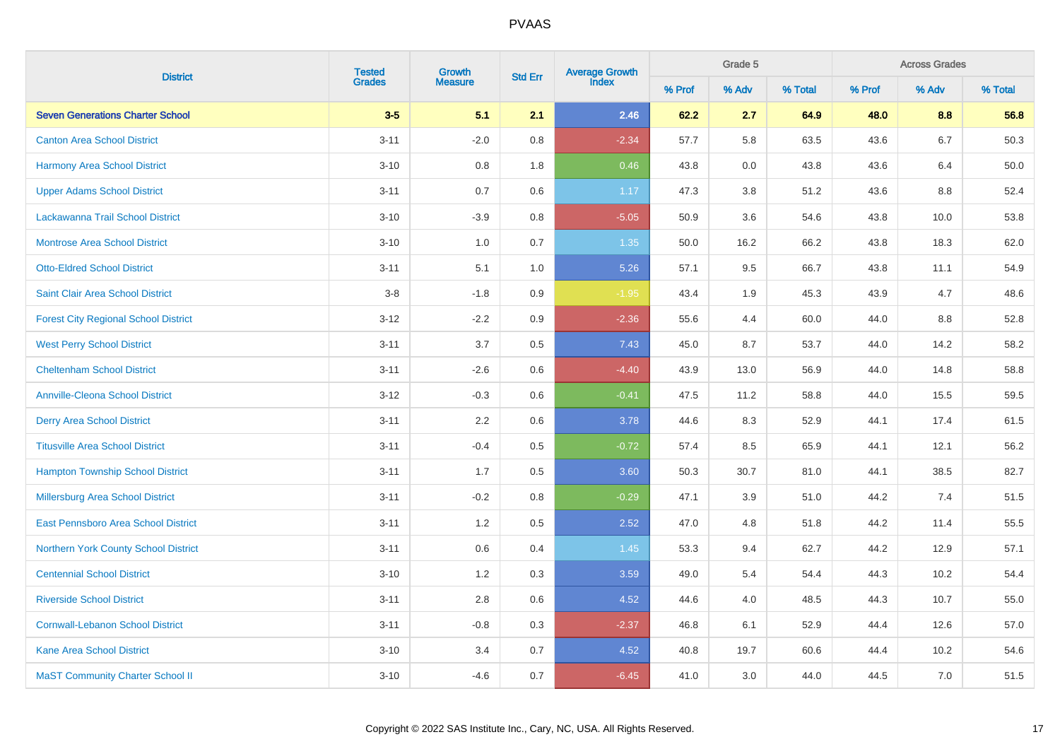|                                             | <b>Tested</b> | Growth         |                | Average Growth<br>Index |        | Grade 5 |         |        | <b>Across Grades</b><br>% Adv |         |
|---------------------------------------------|---------------|----------------|----------------|-------------------------|--------|---------|---------|--------|-------------------------------|---------|
| <b>District</b>                             | <b>Grades</b> | <b>Measure</b> | <b>Std Err</b> |                         | % Prof | % Adv   | % Total | % Prof |                               | % Total |
| <b>Seven Generations Charter School</b>     | $3-5$         | 5.1            | 2.1            | 2.46                    | 62.2   | 2.7     | 64.9    | 48.0   | 8.8                           | 56.8    |
| <b>Canton Area School District</b>          | $3 - 11$      | $-2.0$         | 0.8            | $-2.34$                 | 57.7   | 5.8     | 63.5    | 43.6   | 6.7                           | 50.3    |
| <b>Harmony Area School District</b>         | $3 - 10$      | 0.8            | 1.8            | 0.46                    | 43.8   | 0.0     | 43.8    | 43.6   | 6.4                           | 50.0    |
| <b>Upper Adams School District</b>          | $3 - 11$      | 0.7            | $0.6\,$        | 1.17                    | 47.3   | 3.8     | 51.2    | 43.6   | $8.8\,$                       | 52.4    |
| Lackawanna Trail School District            | $3 - 10$      | $-3.9$         | 0.8            | $-5.05$                 | 50.9   | 3.6     | 54.6    | 43.8   | 10.0                          | 53.8    |
| <b>Montrose Area School District</b>        | $3 - 10$      | 1.0            | 0.7            | 1.35                    | 50.0   | 16.2    | 66.2    | 43.8   | 18.3                          | 62.0    |
| <b>Otto-Eldred School District</b>          | $3 - 11$      | 5.1            | 1.0            | 5.26                    | 57.1   | 9.5     | 66.7    | 43.8   | 11.1                          | 54.9    |
| <b>Saint Clair Area School District</b>     | $3-8$         | $-1.8$         | 0.9            | $-1.95$                 | 43.4   | 1.9     | 45.3    | 43.9   | 4.7                           | 48.6    |
| <b>Forest City Regional School District</b> | $3 - 12$      | $-2.2$         | 0.9            | $-2.36$                 | 55.6   | 4.4     | 60.0    | 44.0   | 8.8                           | 52.8    |
| <b>West Perry School District</b>           | $3 - 11$      | 3.7            | 0.5            | 7.43                    | 45.0   | 8.7     | 53.7    | 44.0   | 14.2                          | 58.2    |
| <b>Cheltenham School District</b>           | $3 - 11$      | $-2.6$         | 0.6            | $-4.40$                 | 43.9   | 13.0    | 56.9    | 44.0   | 14.8                          | 58.8    |
| <b>Annville-Cleona School District</b>      | $3 - 12$      | $-0.3$         | 0.6            | $-0.41$                 | 47.5   | 11.2    | 58.8    | 44.0   | 15.5                          | 59.5    |
| <b>Derry Area School District</b>           | $3 - 11$      | 2.2            | 0.6            | 3.78                    | 44.6   | 8.3     | 52.9    | 44.1   | 17.4                          | 61.5    |
| <b>Titusville Area School District</b>      | $3 - 11$      | $-0.4$         | 0.5            | $-0.72$                 | 57.4   | 8.5     | 65.9    | 44.1   | 12.1                          | 56.2    |
| <b>Hampton Township School District</b>     | $3 - 11$      | 1.7            | 0.5            | 3.60                    | 50.3   | 30.7    | 81.0    | 44.1   | 38.5                          | 82.7    |
| Millersburg Area School District            | $3 - 11$      | $-0.2$         | 0.8            | $-0.29$                 | 47.1   | 3.9     | 51.0    | 44.2   | 7.4                           | 51.5    |
| <b>East Pennsboro Area School District</b>  | $3 - 11$      | 1.2            | 0.5            | 2.52                    | 47.0   | 4.8     | 51.8    | 44.2   | 11.4                          | 55.5    |
| <b>Northern York County School District</b> | $3 - 11$      | 0.6            | 0.4            | 1.45                    | 53.3   | 9.4     | 62.7    | 44.2   | 12.9                          | 57.1    |
| <b>Centennial School District</b>           | $3 - 10$      | 1.2            | 0.3            | 3.59                    | 49.0   | 5.4     | 54.4    | 44.3   | 10.2                          | 54.4    |
| <b>Riverside School District</b>            | $3 - 11$      | 2.8            | $0.6\,$        | 4.52                    | 44.6   | 4.0     | 48.5    | 44.3   | 10.7                          | 55.0    |
| <b>Cornwall-Lebanon School District</b>     | $3 - 11$      | $-0.8$         | 0.3            | $-2.37$                 | 46.8   | 6.1     | 52.9    | 44.4   | 12.6                          | 57.0    |
| <b>Kane Area School District</b>            | $3 - 10$      | 3.4            | 0.7            | 4.52                    | 40.8   | 19.7    | 60.6    | 44.4   | 10.2                          | 54.6    |
| <b>MaST Community Charter School II</b>     | $3 - 10$      | $-4.6$         | 0.7            | $-6.45$                 | 41.0   | 3.0     | 44.0    | 44.5   | 7.0                           | 51.5    |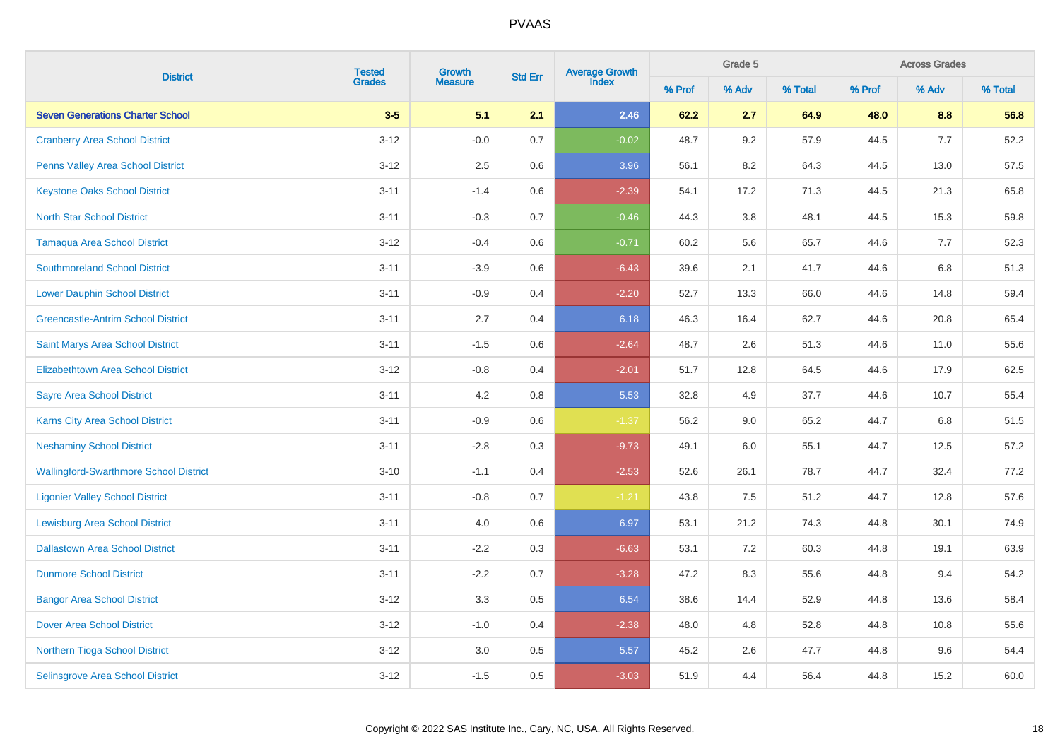|                                               | <b>Tested</b> | Growth         | <b>Std Err</b> | <b>Average Growth</b><br>Index |        | Grade 5 |         |        | <b>Across Grades</b><br>% Adv |         |
|-----------------------------------------------|---------------|----------------|----------------|--------------------------------|--------|---------|---------|--------|-------------------------------|---------|
| <b>District</b>                               | <b>Grades</b> | <b>Measure</b> |                |                                | % Prof | % Adv   | % Total | % Prof |                               | % Total |
| <b>Seven Generations Charter School</b>       | $3-5$         | 5.1            | 2.1            | 2.46                           | 62.2   | 2.7     | 64.9    | 48.0   | 8.8                           | 56.8    |
| <b>Cranberry Area School District</b>         | $3 - 12$      | $-0.0$         | $0.7\,$        | $-0.02$                        | 48.7   | 9.2     | 57.9    | 44.5   | 7.7                           | 52.2    |
| <b>Penns Valley Area School District</b>      | $3 - 12$      | 2.5            | $0.6\,$        | 3.96                           | 56.1   | 8.2     | 64.3    | 44.5   | 13.0                          | 57.5    |
| <b>Keystone Oaks School District</b>          | $3 - 11$      | $-1.4$         | 0.6            | $-2.39$                        | 54.1   | 17.2    | 71.3    | 44.5   | 21.3                          | 65.8    |
| <b>North Star School District</b>             | $3 - 11$      | $-0.3$         | 0.7            | $-0.46$                        | 44.3   | $3.8\,$ | 48.1    | 44.5   | 15.3                          | 59.8    |
| <b>Tamaqua Area School District</b>           | $3 - 12$      | $-0.4$         | $0.6\,$        | $-0.71$                        | 60.2   | 5.6     | 65.7    | 44.6   | 7.7                           | 52.3    |
| <b>Southmoreland School District</b>          | $3 - 11$      | $-3.9$         | $0.6\,$        | $-6.43$                        | 39.6   | 2.1     | 41.7    | 44.6   | $6.8\,$                       | 51.3    |
| <b>Lower Dauphin School District</b>          | $3 - 11$      | $-0.9$         | 0.4            | $-2.20$                        | 52.7   | 13.3    | 66.0    | 44.6   | 14.8                          | 59.4    |
| <b>Greencastle-Antrim School District</b>     | $3 - 11$      | 2.7            | 0.4            | 6.18                           | 46.3   | 16.4    | 62.7    | 44.6   | 20.8                          | 65.4    |
| Saint Marys Area School District              | $3 - 11$      | $-1.5$         | 0.6            | $-2.64$                        | 48.7   | 2.6     | 51.3    | 44.6   | 11.0                          | 55.6    |
| Elizabethtown Area School District            | $3-12$        | $-0.8$         | 0.4            | $-2.01$                        | 51.7   | 12.8    | 64.5    | 44.6   | 17.9                          | 62.5    |
| <b>Sayre Area School District</b>             | $3 - 11$      | 4.2            | 0.8            | 5.53                           | 32.8   | 4.9     | 37.7    | 44.6   | 10.7                          | 55.4    |
| <b>Karns City Area School District</b>        | $3 - 11$      | $-0.9$         | 0.6            | $-1.37$                        | 56.2   | 9.0     | 65.2    | 44.7   | 6.8                           | 51.5    |
| <b>Neshaminy School District</b>              | $3 - 11$      | $-2.8$         | 0.3            | $-9.73$                        | 49.1   | 6.0     | 55.1    | 44.7   | 12.5                          | 57.2    |
| <b>Wallingford-Swarthmore School District</b> | $3 - 10$      | $-1.1$         | 0.4            | $-2.53$                        | 52.6   | 26.1    | 78.7    | 44.7   | 32.4                          | 77.2    |
| <b>Ligonier Valley School District</b>        | $3 - 11$      | $-0.8$         | 0.7            | $-1.21$                        | 43.8   | 7.5     | 51.2    | 44.7   | 12.8                          | 57.6    |
| <b>Lewisburg Area School District</b>         | $3 - 11$      | 4.0            | 0.6            | 6.97                           | 53.1   | 21.2    | 74.3    | 44.8   | 30.1                          | 74.9    |
| <b>Dallastown Area School District</b>        | $3 - 11$      | $-2.2$         | 0.3            | $-6.63$                        | 53.1   | 7.2     | 60.3    | 44.8   | 19.1                          | 63.9    |
| <b>Dunmore School District</b>                | $3 - 11$      | $-2.2$         | 0.7            | $-3.28$                        | 47.2   | 8.3     | 55.6    | 44.8   | 9.4                           | 54.2    |
| <b>Bangor Area School District</b>            | $3 - 12$      | 3.3            | $0.5\,$        | 6.54                           | 38.6   | 14.4    | 52.9    | 44.8   | 13.6                          | 58.4    |
| <b>Dover Area School District</b>             | $3 - 12$      | $-1.0$         | 0.4            | $-2.38$                        | 48.0   | 4.8     | 52.8    | 44.8   | 10.8                          | 55.6    |
| Northern Tioga School District                | $3 - 12$      | $3.0\,$        | $0.5\,$        | 5.57                           | 45.2   | $2.6\,$ | 47.7    | 44.8   | $9.6\,$                       | 54.4    |
| Selinsgrove Area School District              | $3 - 12$      | $-1.5$         | 0.5            | $-3.03$                        | 51.9   | 4.4     | 56.4    | 44.8   | 15.2                          | 60.0    |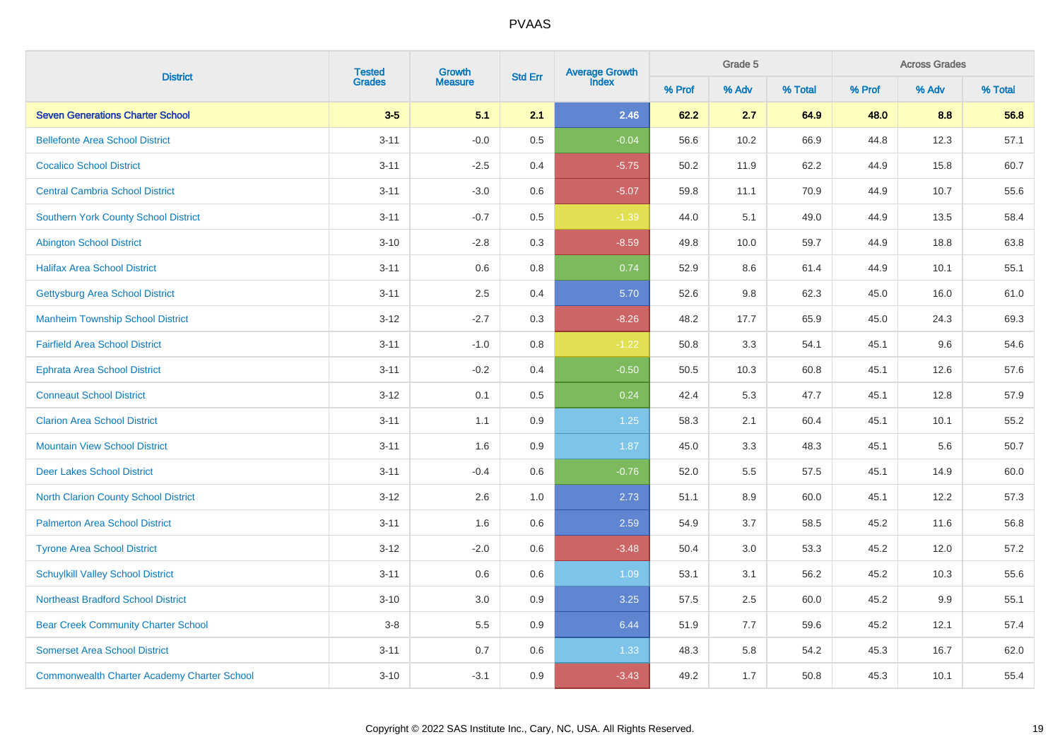|                                                    |                         | Growth         |                | Average Growth<br>Index |        | Grade 5 |         |        | <b>Across Grades</b><br>% Adv |         |
|----------------------------------------------------|-------------------------|----------------|----------------|-------------------------|--------|---------|---------|--------|-------------------------------|---------|
| <b>District</b>                                    | <b>Tested</b><br>Grades | <b>Measure</b> | <b>Std Err</b> |                         | % Prof | % Adv   | % Total | % Prof |                               | % Total |
| <b>Seven Generations Charter School</b>            | $3-5$                   | 5.1            | 2.1            | 2.46                    | 62.2   | 2.7     | 64.9    | 48.0   | 8.8                           | 56.8    |
| <b>Bellefonte Area School District</b>             | $3 - 11$                | $-0.0$         | 0.5            | $-0.04$                 | 56.6   | 10.2    | 66.9    | 44.8   | 12.3                          | 57.1    |
| <b>Cocalico School District</b>                    | $3 - 11$                | $-2.5$         | 0.4            | $-5.75$                 | 50.2   | 11.9    | 62.2    | 44.9   | 15.8                          | 60.7    |
| <b>Central Cambria School District</b>             | $3 - 11$                | $-3.0$         | 0.6            | $-5.07$                 | 59.8   | 11.1    | 70.9    | 44.9   | 10.7                          | 55.6    |
| <b>Southern York County School District</b>        | $3 - 11$                | $-0.7$         | $0.5\,$        | $-1.39$                 | 44.0   | 5.1     | 49.0    | 44.9   | 13.5                          | 58.4    |
| <b>Abington School District</b>                    | $3 - 10$                | $-2.8$         | 0.3            | $-8.59$                 | 49.8   | 10.0    | 59.7    | 44.9   | 18.8                          | 63.8    |
| <b>Halifax Area School District</b>                | $3 - 11$                | 0.6            | 0.8            | 0.74                    | 52.9   | 8.6     | 61.4    | 44.9   | 10.1                          | 55.1    |
| <b>Gettysburg Area School District</b>             | $3 - 11$                | 2.5            | 0.4            | 5.70                    | 52.6   | 9.8     | 62.3    | 45.0   | 16.0                          | 61.0    |
| <b>Manheim Township School District</b>            | $3 - 12$                | $-2.7$         | 0.3            | $-8.26$                 | 48.2   | 17.7    | 65.9    | 45.0   | 24.3                          | 69.3    |
| <b>Fairfield Area School District</b>              | $3 - 11$                | $-1.0$         | 0.8            | $-1.22$                 | 50.8   | 3.3     | 54.1    | 45.1   | 9.6                           | 54.6    |
| <b>Ephrata Area School District</b>                | $3 - 11$                | $-0.2$         | 0.4            | $-0.50$                 | 50.5   | 10.3    | 60.8    | 45.1   | 12.6                          | 57.6    |
| <b>Conneaut School District</b>                    | $3 - 12$                | 0.1            | 0.5            | 0.24                    | 42.4   | 5.3     | 47.7    | 45.1   | 12.8                          | 57.9    |
| <b>Clarion Area School District</b>                | $3 - 11$                | 1.1            | 0.9            | $1.25$                  | 58.3   | 2.1     | 60.4    | 45.1   | 10.1                          | 55.2    |
| <b>Mountain View School District</b>               | $3 - 11$                | 1.6            | $0.9\,$        | 1.87                    | 45.0   | 3.3     | 48.3    | 45.1   | 5.6                           | 50.7    |
| <b>Deer Lakes School District</b>                  | $3 - 11$                | $-0.4$         | 0.6            | $-0.76$                 | 52.0   | 5.5     | 57.5    | 45.1   | 14.9                          | 60.0    |
| <b>North Clarion County School District</b>        | $3 - 12$                | 2.6            | 1.0            | 2.73                    | 51.1   | 8.9     | 60.0    | 45.1   | 12.2                          | 57.3    |
| <b>Palmerton Area School District</b>              | $3 - 11$                | 1.6            | 0.6            | 2.59                    | 54.9   | 3.7     | 58.5    | 45.2   | 11.6                          | 56.8    |
| <b>Tyrone Area School District</b>                 | $3 - 12$                | $-2.0$         | 0.6            | $-3.48$                 | 50.4   | 3.0     | 53.3    | 45.2   | 12.0                          | 57.2    |
| <b>Schuylkill Valley School District</b>           | $3 - 11$                | 0.6            | 0.6            | 1.09                    | 53.1   | 3.1     | 56.2    | 45.2   | 10.3                          | 55.6    |
| <b>Northeast Bradford School District</b>          | $3 - 10$                | 3.0            | 0.9            | 3.25                    | 57.5   | 2.5     | 60.0    | 45.2   | 9.9                           | 55.1    |
| <b>Bear Creek Community Charter School</b>         | $3-8$                   | 5.5            | 0.9            | 6.44                    | 51.9   | 7.7     | 59.6    | 45.2   | 12.1                          | 57.4    |
| <b>Somerset Area School District</b>               | $3 - 11$                | 0.7            | 0.6            | 1.33                    | 48.3   | 5.8     | 54.2    | 45.3   | 16.7                          | 62.0    |
| <b>Commonwealth Charter Academy Charter School</b> | $3 - 10$                | $-3.1$         | 0.9            | $-3.43$                 | 49.2   | 1.7     | 50.8    | 45.3   | 10.1                          | 55.4    |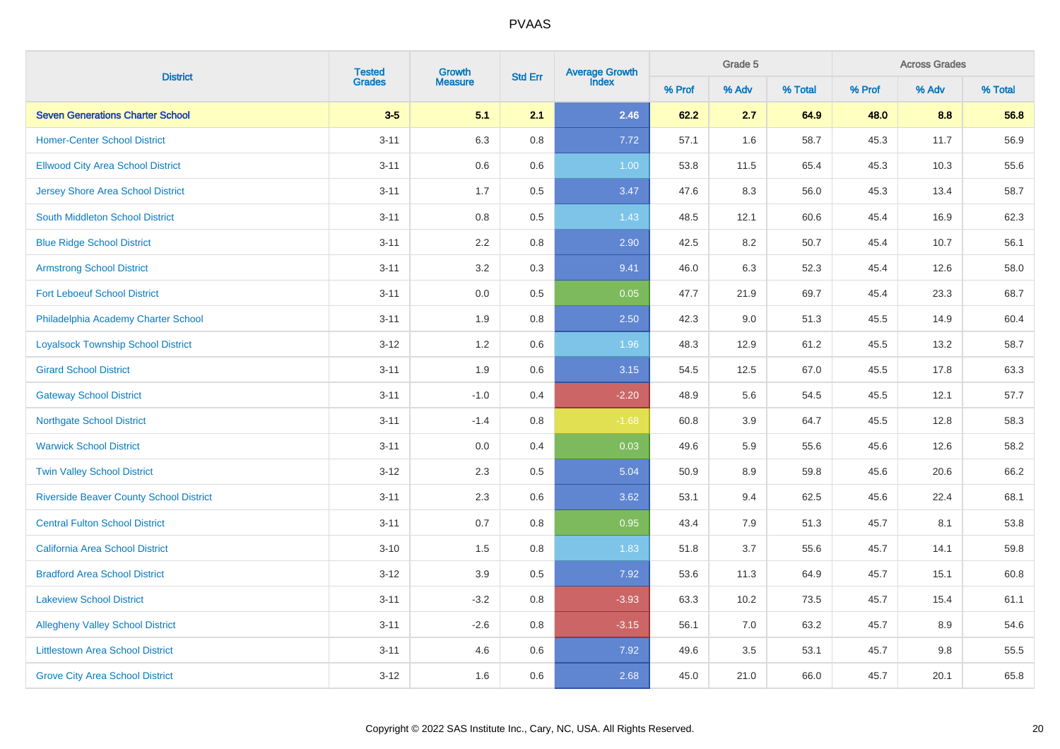|                                                | <b>Tested</b> | Growth         | <b>Std Err</b> | <b>Average Growth</b><br>Index |        | Grade 5 |         |        | <b>Across Grades</b><br>% Adv |         |
|------------------------------------------------|---------------|----------------|----------------|--------------------------------|--------|---------|---------|--------|-------------------------------|---------|
| <b>District</b>                                | <b>Grades</b> | <b>Measure</b> |                |                                | % Prof | % Adv   | % Total | % Prof |                               | % Total |
| <b>Seven Generations Charter School</b>        | $3-5$         | 5.1            | 2.1            | 2.46                           | 62.2   | 2.7     | 64.9    | 48.0   | 8.8                           | 56.8    |
| <b>Homer-Center School District</b>            | $3 - 11$      | 6.3            | 0.8            | 7.72                           | 57.1   | 1.6     | 58.7    | 45.3   | 11.7                          | 56.9    |
| <b>Ellwood City Area School District</b>       | $3 - 11$      | 0.6            | 0.6            | 1.00                           | 53.8   | 11.5    | 65.4    | 45.3   | 10.3                          | 55.6    |
| <b>Jersey Shore Area School District</b>       | $3 - 11$      | 1.7            | 0.5            | 3.47                           | 47.6   | 8.3     | 56.0    | 45.3   | 13.4                          | 58.7    |
| South Middleton School District                | $3 - 11$      | $0.8\,$        | 0.5            | 1.43                           | 48.5   | 12.1    | 60.6    | 45.4   | 16.9                          | 62.3    |
| <b>Blue Ridge School District</b>              | $3 - 11$      | 2.2            | $0.8\,$        | 2.90                           | 42.5   | 8.2     | 50.7    | 45.4   | 10.7                          | 56.1    |
| <b>Armstrong School District</b>               | $3 - 11$      | 3.2            | 0.3            | 9.41                           | 46.0   | 6.3     | 52.3    | 45.4   | 12.6                          | 58.0    |
| <b>Fort Leboeuf School District</b>            | $3 - 11$      | 0.0            | 0.5            | 0.05                           | 47.7   | 21.9    | 69.7    | 45.4   | 23.3                          | 68.7    |
| Philadelphia Academy Charter School            | $3 - 11$      | 1.9            | 0.8            | 2.50                           | 42.3   | 9.0     | 51.3    | 45.5   | 14.9                          | 60.4    |
| <b>Loyalsock Township School District</b>      | $3 - 12$      | 1.2            | $0.6\,$        | 1.96                           | 48.3   | 12.9    | 61.2    | 45.5   | 13.2                          | 58.7    |
| <b>Girard School District</b>                  | $3 - 11$      | 1.9            | $0.6\,$        | 3.15                           | 54.5   | 12.5    | 67.0    | 45.5   | 17.8                          | 63.3    |
| <b>Gateway School District</b>                 | $3 - 11$      | $-1.0$         | 0.4            | $-2.20$                        | 48.9   | 5.6     | 54.5    | 45.5   | 12.1                          | 57.7    |
| <b>Northgate School District</b>               | $3 - 11$      | $-1.4$         | 0.8            | $-1.68$                        | 60.8   | 3.9     | 64.7    | 45.5   | 12.8                          | 58.3    |
| <b>Warwick School District</b>                 | $3 - 11$      | 0.0            | 0.4            | 0.03                           | 49.6   | 5.9     | 55.6    | 45.6   | 12.6                          | 58.2    |
| <b>Twin Valley School District</b>             | $3-12$        | 2.3            | 0.5            | 5.04                           | 50.9   | 8.9     | 59.8    | 45.6   | 20.6                          | 66.2    |
| <b>Riverside Beaver County School District</b> | $3 - 11$      | 2.3            | 0.6            | 3.62                           | 53.1   | 9.4     | 62.5    | 45.6   | 22.4                          | 68.1    |
| <b>Central Fulton School District</b>          | $3 - 11$      | 0.7            | 0.8            | 0.95                           | 43.4   | 7.9     | 51.3    | 45.7   | 8.1                           | 53.8    |
| <b>California Area School District</b>         | $3 - 10$      | 1.5            | 0.8            | 1.83                           | 51.8   | 3.7     | 55.6    | 45.7   | 14.1                          | 59.8    |
| <b>Bradford Area School District</b>           | $3 - 12$      | 3.9            | 0.5            | 7.92                           | 53.6   | 11.3    | 64.9    | 45.7   | 15.1                          | 60.8    |
| <b>Lakeview School District</b>                | $3 - 11$      | $-3.2$         | $0.8\,$        | $-3.93$                        | 63.3   | 10.2    | 73.5    | 45.7   | 15.4                          | 61.1    |
| <b>Allegheny Valley School District</b>        | $3 - 11$      | $-2.6$         | 0.8            | $-3.15$                        | 56.1   | 7.0     | 63.2    | 45.7   | 8.9                           | 54.6    |
| <b>Littlestown Area School District</b>        | $3 - 11$      | 4.6            | $0.6\,$        | 7.92                           | 49.6   | 3.5     | 53.1    | 45.7   | $9.8\,$                       | 55.5    |
| <b>Grove City Area School District</b>         | $3 - 12$      | 1.6            | 0.6            | 2.68                           | 45.0   | 21.0    | 66.0    | 45.7   | 20.1                          | 65.8    |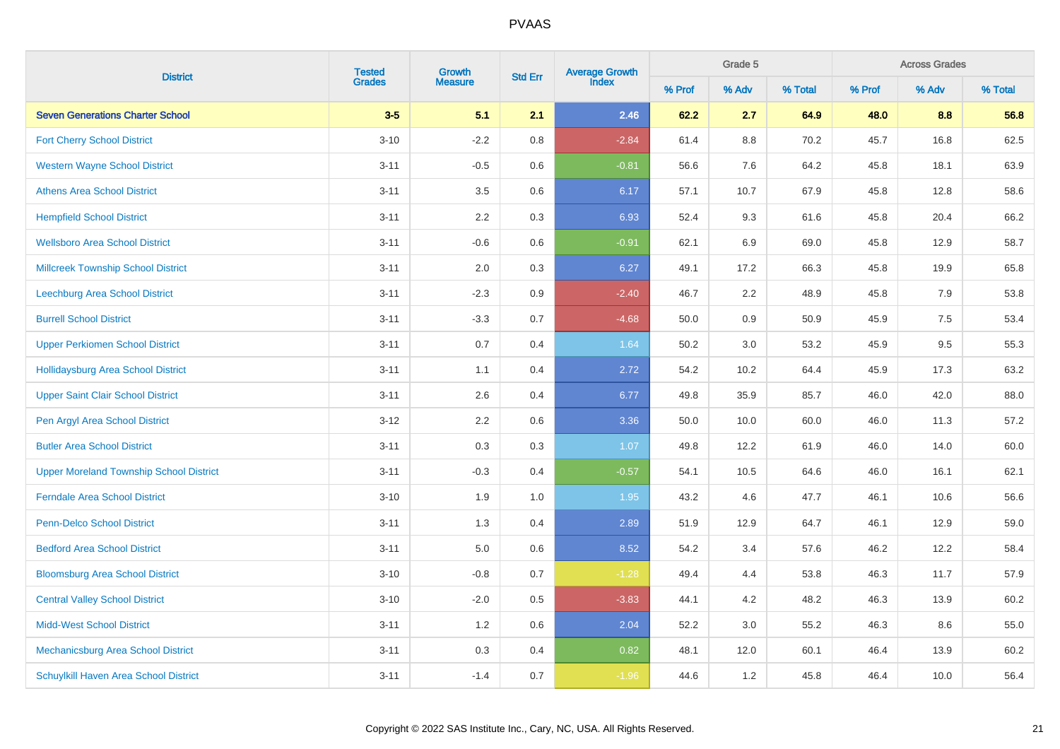|                                                | <b>Tested</b> | Growth         |                | Average Growth<br>Index |        | Grade 5 |         |        | <b>Across Grades</b><br>% Adv |         |
|------------------------------------------------|---------------|----------------|----------------|-------------------------|--------|---------|---------|--------|-------------------------------|---------|
| <b>District</b>                                | <b>Grades</b> | <b>Measure</b> | <b>Std Err</b> |                         | % Prof | % Adv   | % Total | % Prof |                               | % Total |
| <b>Seven Generations Charter School</b>        | $3-5$         | 5.1            | 2.1            | 2.46                    | 62.2   | 2.7     | 64.9    | 48.0   | 8.8                           | 56.8    |
| <b>Fort Cherry School District</b>             | $3 - 10$      | $-2.2$         | 0.8            | $-2.84$                 | 61.4   | 8.8     | 70.2    | 45.7   | 16.8                          | 62.5    |
| <b>Western Wayne School District</b>           | $3 - 11$      | $-0.5$         | 0.6            | $-0.81$                 | 56.6   | 7.6     | 64.2    | 45.8   | 18.1                          | 63.9    |
| <b>Athens Area School District</b>             | $3 - 11$      | 3.5            | $0.6\,$        | 6.17                    | 57.1   | 10.7    | 67.9    | 45.8   | 12.8                          | 58.6    |
| <b>Hempfield School District</b>               | $3 - 11$      | 2.2            | 0.3            | 6.93                    | 52.4   | 9.3     | 61.6    | 45.8   | 20.4                          | 66.2    |
| <b>Wellsboro Area School District</b>          | $3 - 11$      | $-0.6$         | $0.6\,$        | $-0.91$                 | 62.1   | 6.9     | 69.0    | 45.8   | 12.9                          | 58.7    |
| <b>Millcreek Township School District</b>      | $3 - 11$      | 2.0            | 0.3            | 6.27                    | 49.1   | 17.2    | 66.3    | 45.8   | 19.9                          | 65.8    |
| Leechburg Area School District                 | $3 - 11$      | $-2.3$         | 0.9            | $-2.40$                 | 46.7   | 2.2     | 48.9    | 45.8   | 7.9                           | 53.8    |
| <b>Burrell School District</b>                 | $3 - 11$      | $-3.3$         | 0.7            | $-4.68$                 | 50.0   | 0.9     | 50.9    | 45.9   | 7.5                           | 53.4    |
| <b>Upper Perkiomen School District</b>         | $3 - 11$      | 0.7            | 0.4            | 1.64                    | 50.2   | 3.0     | 53.2    | 45.9   | 9.5                           | 55.3    |
| <b>Hollidaysburg Area School District</b>      | $3 - 11$      | 1.1            | 0.4            | 2.72                    | 54.2   | 10.2    | 64.4    | 45.9   | 17.3                          | 63.2    |
| <b>Upper Saint Clair School District</b>       | $3 - 11$      | 2.6            | 0.4            | 6.77                    | 49.8   | 35.9    | 85.7    | 46.0   | 42.0                          | 88.0    |
| Pen Argyl Area School District                 | $3 - 12$      | 2.2            | 0.6            | 3.36                    | 50.0   | 10.0    | 60.0    | 46.0   | 11.3                          | 57.2    |
| <b>Butler Area School District</b>             | $3 - 11$      | 0.3            | 0.3            | 1.07                    | 49.8   | 12.2    | 61.9    | 46.0   | 14.0                          | 60.0    |
| <b>Upper Moreland Township School District</b> | $3 - 11$      | $-0.3$         | 0.4            | $-0.57$                 | 54.1   | 10.5    | 64.6    | 46.0   | 16.1                          | 62.1    |
| <b>Ferndale Area School District</b>           | $3 - 10$      | 1.9            | 1.0            | 1.95                    | 43.2   | 4.6     | 47.7    | 46.1   | 10.6                          | 56.6    |
| <b>Penn-Delco School District</b>              | $3 - 11$      | 1.3            | 0.4            | 2.89                    | 51.9   | 12.9    | 64.7    | 46.1   | 12.9                          | 59.0    |
| <b>Bedford Area School District</b>            | $3 - 11$      | 5.0            | 0.6            | 8.52                    | 54.2   | 3.4     | 57.6    | 46.2   | 12.2                          | 58.4    |
| <b>Bloomsburg Area School District</b>         | $3 - 10$      | $-0.8$         | 0.7            | $-1.28$                 | 49.4   | 4.4     | 53.8    | 46.3   | 11.7                          | 57.9    |
| <b>Central Valley School District</b>          | $3 - 10$      | $-2.0$         | $0.5\,$        | $-3.83$                 | 44.1   | 4.2     | 48.2    | 46.3   | 13.9                          | 60.2    |
| <b>Midd-West School District</b>               | $3 - 11$      | 1.2            | $0.6\,$        | 2.04                    | 52.2   | 3.0     | 55.2    | 46.3   | 8.6                           | 55.0    |
| Mechanicsburg Area School District             | $3 - 11$      | $0.3\,$        | 0.4            | 0.82                    | 48.1   | 12.0    | 60.1    | 46.4   | 13.9                          | 60.2    |
| Schuylkill Haven Area School District          | $3 - 11$      | $-1.4$         | 0.7            | $-1.96$                 | 44.6   | 1.2     | 45.8    | 46.4   | 10.0                          | 56.4    |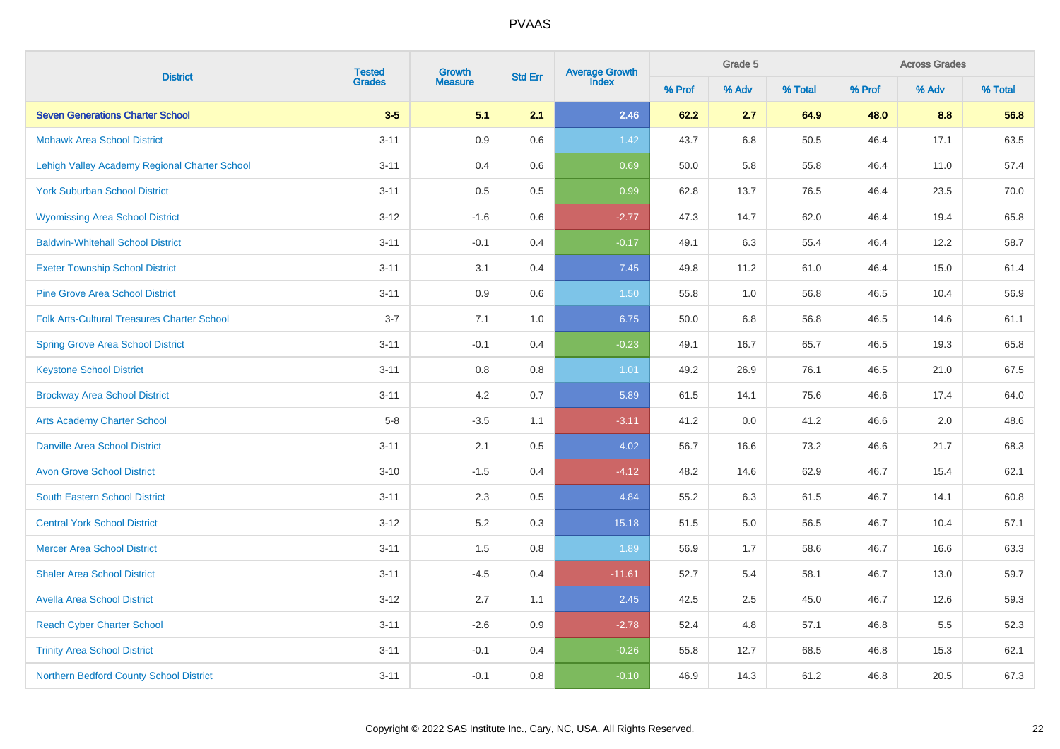|                                                    | <b>Tested</b> | Growth         |                | Average Growth<br>Index |        | Grade 5 |         |        | <b>Across Grades</b><br>% Adv |         |
|----------------------------------------------------|---------------|----------------|----------------|-------------------------|--------|---------|---------|--------|-------------------------------|---------|
| <b>District</b>                                    | <b>Grades</b> | <b>Measure</b> | <b>Std Err</b> |                         | % Prof | % Adv   | % Total | % Prof |                               | % Total |
| <b>Seven Generations Charter School</b>            | $3-5$         | 5.1            | 2.1            | 2.46                    | 62.2   | 2.7     | 64.9    | 48.0   | 8.8                           | 56.8    |
| <b>Mohawk Area School District</b>                 | $3 - 11$      | $0.9\,$        | 0.6            | 1.42                    | 43.7   | 6.8     | 50.5    | 46.4   | 17.1                          | 63.5    |
| Lehigh Valley Academy Regional Charter School      | $3 - 11$      | 0.4            | 0.6            | 0.69                    | 50.0   | 5.8     | 55.8    | 46.4   | 11.0                          | 57.4    |
| <b>York Suburban School District</b>               | $3 - 11$      | 0.5            | 0.5            | 0.99                    | 62.8   | 13.7    | 76.5    | 46.4   | 23.5                          | 70.0    |
| <b>Wyomissing Area School District</b>             | $3 - 12$      | $-1.6$         | 0.6            | $-2.77$                 | 47.3   | 14.7    | 62.0    | 46.4   | 19.4                          | 65.8    |
| <b>Baldwin-Whitehall School District</b>           | $3 - 11$      | $-0.1$         | 0.4            | $-0.17$                 | 49.1   | 6.3     | 55.4    | 46.4   | 12.2                          | 58.7    |
| <b>Exeter Township School District</b>             | $3 - 11$      | 3.1            | 0.4            | 7.45                    | 49.8   | 11.2    | 61.0    | 46.4   | 15.0                          | 61.4    |
| <b>Pine Grove Area School District</b>             | $3 - 11$      | 0.9            | 0.6            | 1.50                    | 55.8   | 1.0     | 56.8    | 46.5   | 10.4                          | 56.9    |
| <b>Folk Arts-Cultural Treasures Charter School</b> | $3 - 7$       | 7.1            | 1.0            | 6.75                    | 50.0   | 6.8     | 56.8    | 46.5   | 14.6                          | 61.1    |
| <b>Spring Grove Area School District</b>           | $3 - 11$      | $-0.1$         | 0.4            | $-0.23$                 | 49.1   | 16.7    | 65.7    | 46.5   | 19.3                          | 65.8    |
| <b>Keystone School District</b>                    | $3 - 11$      | 0.8            | 0.8            | 1.01                    | 49.2   | 26.9    | 76.1    | 46.5   | 21.0                          | 67.5    |
| <b>Brockway Area School District</b>               | $3 - 11$      | 4.2            | 0.7            | 5.89                    | 61.5   | 14.1    | 75.6    | 46.6   | 17.4                          | 64.0    |
| <b>Arts Academy Charter School</b>                 | $5-8$         | $-3.5$         | 1.1            | $-3.11$                 | 41.2   | 0.0     | 41.2    | 46.6   | 2.0                           | 48.6    |
| <b>Danville Area School District</b>               | $3 - 11$      | 2.1            | $0.5\,$        | 4.02                    | 56.7   | 16.6    | 73.2    | 46.6   | 21.7                          | 68.3    |
| <b>Avon Grove School District</b>                  | $3 - 10$      | $-1.5$         | 0.4            | $-4.12$                 | 48.2   | 14.6    | 62.9    | 46.7   | 15.4                          | 62.1    |
| <b>South Eastern School District</b>               | $3 - 11$      | 2.3            | $0.5\,$        | 4.84                    | 55.2   | 6.3     | 61.5    | 46.7   | 14.1                          | 60.8    |
| <b>Central York School District</b>                | $3 - 12$      | 5.2            | 0.3            | 15.18                   | 51.5   | $5.0\,$ | 56.5    | 46.7   | 10.4                          | 57.1    |
| <b>Mercer Area School District</b>                 | $3 - 11$      | 1.5            | $0.8\,$        | 1.89                    | 56.9   | 1.7     | 58.6    | 46.7   | 16.6                          | 63.3    |
| <b>Shaler Area School District</b>                 | $3 - 11$      | $-4.5$         | 0.4            | $-11.61$                | 52.7   | 5.4     | 58.1    | 46.7   | 13.0                          | 59.7    |
| <b>Avella Area School District</b>                 | $3 - 12$      | 2.7            | 1.1            | 2.45                    | 42.5   | $2.5\,$ | 45.0    | 46.7   | 12.6                          | 59.3    |
| <b>Reach Cyber Charter School</b>                  | $3 - 11$      | $-2.6$         | 0.9            | $-2.78$                 | 52.4   | 4.8     | 57.1    | 46.8   | $5.5\,$                       | 52.3    |
| <b>Trinity Area School District</b>                | $3 - 11$      | $-0.1$         | 0.4            | $-0.26$                 | 55.8   | 12.7    | 68.5    | 46.8   | 15.3                          | 62.1    |
| <b>Northern Bedford County School District</b>     | $3 - 11$      | $-0.1$         | 0.8            | $-0.10$                 | 46.9   | 14.3    | 61.2    | 46.8   | 20.5                          | 67.3    |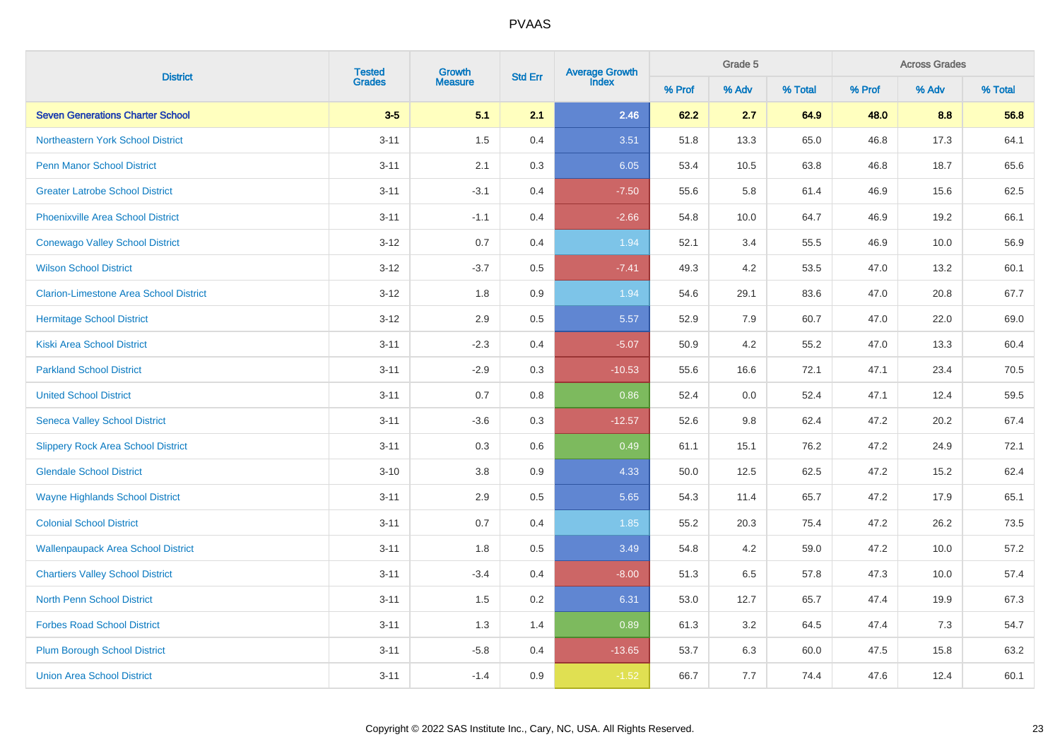|                                               | <b>Tested</b> | Growth         |                | Average Growth<br>Index |        | Grade 5 |         |        | <b>Across Grades</b><br>% Adv |         |
|-----------------------------------------------|---------------|----------------|----------------|-------------------------|--------|---------|---------|--------|-------------------------------|---------|
| <b>District</b>                               | <b>Grades</b> | <b>Measure</b> | <b>Std Err</b> |                         | % Prof | % Adv   | % Total | % Prof |                               | % Total |
| <b>Seven Generations Charter School</b>       | $3-5$         | 5.1            | 2.1            | 2.46                    | 62.2   | 2.7     | 64.9    | 48.0   | 8.8                           | 56.8    |
| Northeastern York School District             | $3 - 11$      | 1.5            | 0.4            | 3.51                    | 51.8   | 13.3    | 65.0    | 46.8   | 17.3                          | 64.1    |
| <b>Penn Manor School District</b>             | $3 - 11$      | 2.1            | 0.3            | 6.05                    | 53.4   | 10.5    | 63.8    | 46.8   | 18.7                          | 65.6    |
| <b>Greater Latrobe School District</b>        | $3 - 11$      | $-3.1$         | 0.4            | $-7.50$                 | 55.6   | 5.8     | 61.4    | 46.9   | 15.6                          | 62.5    |
| <b>Phoenixville Area School District</b>      | $3 - 11$      | $-1.1$         | 0.4            | $-2.66$                 | 54.8   | 10.0    | 64.7    | 46.9   | 19.2                          | 66.1    |
| <b>Conewago Valley School District</b>        | $3 - 12$      | 0.7            | 0.4            | 1.94                    | 52.1   | 3.4     | 55.5    | 46.9   | 10.0                          | 56.9    |
| <b>Wilson School District</b>                 | $3 - 12$      | $-3.7$         | 0.5            | $-7.41$                 | 49.3   | 4.2     | 53.5    | 47.0   | 13.2                          | 60.1    |
| <b>Clarion-Limestone Area School District</b> | $3 - 12$      | 1.8            | 0.9            | 1.94                    | 54.6   | 29.1    | 83.6    | 47.0   | 20.8                          | 67.7    |
| <b>Hermitage School District</b>              | $3 - 12$      | 2.9            | 0.5            | 5.57                    | 52.9   | 7.9     | 60.7    | 47.0   | 22.0                          | 69.0    |
| <b>Kiski Area School District</b>             | $3 - 11$      | $-2.3$         | 0.4            | $-5.07$                 | 50.9   | 4.2     | 55.2    | 47.0   | 13.3                          | 60.4    |
| <b>Parkland School District</b>               | $3 - 11$      | $-2.9$         | 0.3            | $-10.53$                | 55.6   | 16.6    | 72.1    | 47.1   | 23.4                          | 70.5    |
| <b>United School District</b>                 | $3 - 11$      | 0.7            | 0.8            | 0.86                    | 52.4   | 0.0     | 52.4    | 47.1   | 12.4                          | 59.5    |
| <b>Seneca Valley School District</b>          | $3 - 11$      | $-3.6$         | 0.3            | $-12.57$                | 52.6   | 9.8     | 62.4    | 47.2   | 20.2                          | 67.4    |
| <b>Slippery Rock Area School District</b>     | $3 - 11$      | 0.3            | 0.6            | 0.49                    | 61.1   | 15.1    | 76.2    | 47.2   | 24.9                          | 72.1    |
| <b>Glendale School District</b>               | $3 - 10$      | 3.8            | 0.9            | 4.33                    | 50.0   | 12.5    | 62.5    | 47.2   | 15.2                          | 62.4    |
| <b>Wayne Highlands School District</b>        | $3 - 11$      | 2.9            | 0.5            | 5.65                    | 54.3   | 11.4    | 65.7    | 47.2   | 17.9                          | 65.1    |
| <b>Colonial School District</b>               | $3 - 11$      | 0.7            | 0.4            | 1.85                    | 55.2   | 20.3    | 75.4    | 47.2   | 26.2                          | 73.5    |
| <b>Wallenpaupack Area School District</b>     | $3 - 11$      | 1.8            | 0.5            | 3.49                    | 54.8   | 4.2     | 59.0    | 47.2   | 10.0                          | 57.2    |
| <b>Chartiers Valley School District</b>       | $3 - 11$      | $-3.4$         | 0.4            | $-8.00$                 | 51.3   | 6.5     | 57.8    | 47.3   | 10.0                          | 57.4    |
| <b>North Penn School District</b>             | $3 - 11$      | 1.5            | 0.2            | 6.31                    | 53.0   | 12.7    | 65.7    | 47.4   | 19.9                          | 67.3    |
| <b>Forbes Road School District</b>            | $3 - 11$      | 1.3            | 1.4            | 0.89                    | 61.3   | 3.2     | 64.5    | 47.4   | 7.3                           | 54.7    |
| <b>Plum Borough School District</b>           | $3 - 11$      | $-5.8$         | 0.4            | $-13.65$                | 53.7   | 6.3     | 60.0    | 47.5   | 15.8                          | 63.2    |
| <b>Union Area School District</b>             | $3 - 11$      | $-1.4$         | 0.9            | $-1.52$                 | 66.7   | 7.7     | 74.4    | 47.6   | 12.4                          | 60.1    |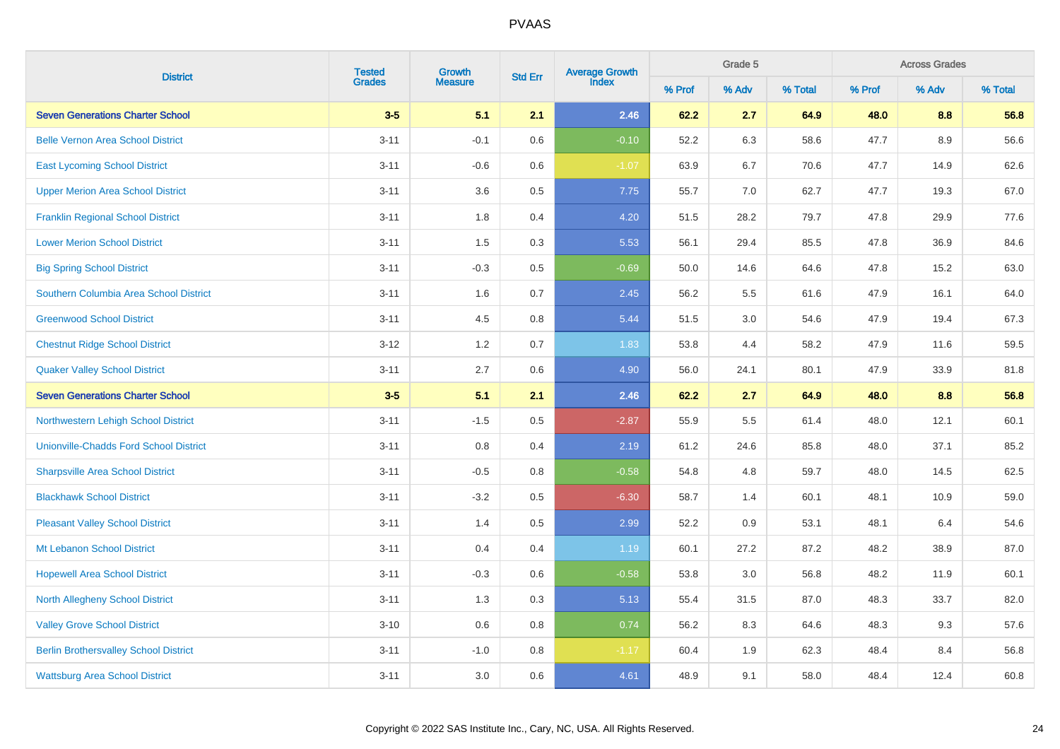| <b>District</b>                               | <b>Tested</b> | Growth         | <b>Std Err</b> | Average Growth<br>Index |        | Grade 5 |         | <b>Across Grades</b> |       |         |  |
|-----------------------------------------------|---------------|----------------|----------------|-------------------------|--------|---------|---------|----------------------|-------|---------|--|
|                                               | <b>Grades</b> | <b>Measure</b> |                |                         | % Prof | % Adv   | % Total | % Prof               | % Adv | % Total |  |
| <b>Seven Generations Charter School</b>       | $3-5$         | 5.1            | 2.1            | 2.46                    | 62.2   | 2.7     | 64.9    | 48.0                 | 8.8   | 56.8    |  |
| <b>Belle Vernon Area School District</b>      | $3 - 11$      | $-0.1$         | 0.6            | $-0.10$                 | 52.2   | 6.3     | 58.6    | 47.7                 | 8.9   | 56.6    |  |
| <b>East Lycoming School District</b>          | $3 - 11$      | $-0.6$         | 0.6            | $-1.07$                 | 63.9   | 6.7     | 70.6    | 47.7                 | 14.9  | 62.6    |  |
| <b>Upper Merion Area School District</b>      | $3 - 11$      | 3.6            | 0.5            | 7.75                    | 55.7   | 7.0     | 62.7    | 47.7                 | 19.3  | 67.0    |  |
| <b>Franklin Regional School District</b>      | $3 - 11$      | 1.8            | 0.4            | 4.20                    | 51.5   | 28.2    | 79.7    | 47.8                 | 29.9  | 77.6    |  |
| <b>Lower Merion School District</b>           | $3 - 11$      | 1.5            | $0.3\,$        | 5.53                    | 56.1   | 29.4    | 85.5    | 47.8                 | 36.9  | 84.6    |  |
| <b>Big Spring School District</b>             | $3 - 11$      | $-0.3$         | 0.5            | $-0.69$                 | 50.0   | 14.6    | 64.6    | 47.8                 | 15.2  | 63.0    |  |
| Southern Columbia Area School District        | $3 - 11$      | 1.6            | 0.7            | 2.45                    | 56.2   | 5.5     | 61.6    | 47.9                 | 16.1  | 64.0    |  |
| <b>Greenwood School District</b>              | $3 - 11$      | 4.5            | 0.8            | 5.44                    | 51.5   | 3.0     | 54.6    | 47.9                 | 19.4  | 67.3    |  |
| <b>Chestnut Ridge School District</b>         | $3 - 12$      | 1.2            | 0.7            | 1.83                    | 53.8   | 4.4     | 58.2    | 47.9                 | 11.6  | 59.5    |  |
| <b>Quaker Valley School District</b>          | $3 - 11$      | 2.7            | 0.6            | 4.90                    | 56.0   | 24.1    | 80.1    | 47.9                 | 33.9  | 81.8    |  |
| <b>Seven Generations Charter School</b>       | $3-5$         | 5.1            | 2.1            | 2.46                    | 62.2   | 2.7     | 64.9    | 48.0                 | 8.8   | 56.8    |  |
| Northwestern Lehigh School District           | $3 - 11$      | $-1.5$         | 0.5            | $-2.87$                 | 55.9   | 5.5     | 61.4    | 48.0                 | 12.1  | 60.1    |  |
| <b>Unionville-Chadds Ford School District</b> | $3 - 11$      | 0.8            | 0.4            | 2.19                    | 61.2   | 24.6    | 85.8    | 48.0                 | 37.1  | 85.2    |  |
| <b>Sharpsville Area School District</b>       | $3 - 11$      | $-0.5$         | 0.8            | $-0.58$                 | 54.8   | 4.8     | 59.7    | 48.0                 | 14.5  | 62.5    |  |
| <b>Blackhawk School District</b>              | $3 - 11$      | $-3.2$         | 0.5            | $-6.30$                 | 58.7   | 1.4     | 60.1    | 48.1                 | 10.9  | 59.0    |  |
| <b>Pleasant Valley School District</b>        | $3 - 11$      | 1.4            | 0.5            | 2.99                    | 52.2   | 0.9     | 53.1    | 48.1                 | 6.4   | 54.6    |  |
| Mt Lebanon School District                    | $3 - 11$      | 0.4            | 0.4            | 1.19                    | 60.1   | 27.2    | 87.2    | 48.2                 | 38.9  | 87.0    |  |
| <b>Hopewell Area School District</b>          | $3 - 11$      | $-0.3$         | 0.6            | $-0.58$                 | 53.8   | 3.0     | 56.8    | 48.2                 | 11.9  | 60.1    |  |
| <b>North Allegheny School District</b>        | $3 - 11$      | 1.3            | 0.3            | 5.13                    | 55.4   | 31.5    | 87.0    | 48.3                 | 33.7  | 82.0    |  |
| <b>Valley Grove School District</b>           | $3 - 10$      | 0.6            | 0.8            | 0.74                    | 56.2   | 8.3     | 64.6    | 48.3                 | 9.3   | 57.6    |  |
| <b>Berlin Brothersvalley School District</b>  | $3 - 11$      | $-1.0$         | 0.8            | $-1.17$                 | 60.4   | 1.9     | 62.3    | 48.4                 | 8.4   | 56.8    |  |
| <b>Wattsburg Area School District</b>         | $3 - 11$      | 3.0            | 0.6            | 4.61                    | 48.9   | 9.1     | 58.0    | 48.4                 | 12.4  | 60.8    |  |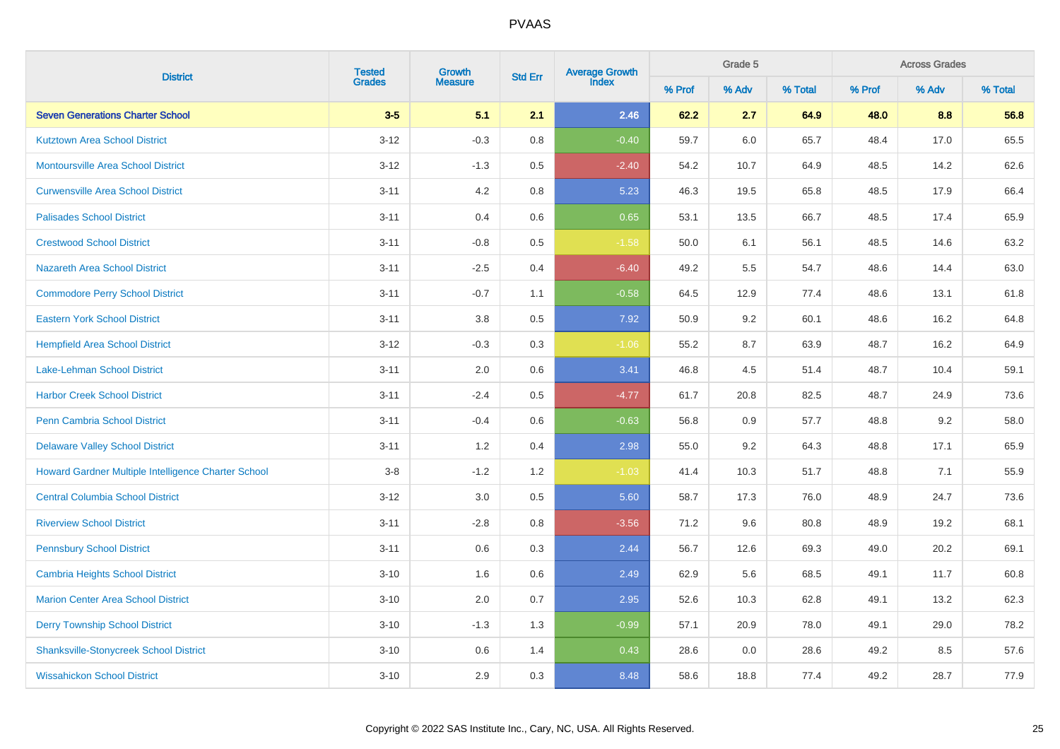| <b>District</b>                                     | <b>Tested</b> | Growth         | <b>Std Err</b> | Average Growth<br>Index |        | Grade 5 |         | <b>Across Grades</b> |       |         |  |
|-----------------------------------------------------|---------------|----------------|----------------|-------------------------|--------|---------|---------|----------------------|-------|---------|--|
|                                                     | <b>Grades</b> | <b>Measure</b> |                |                         | % Prof | % Adv   | % Total | % Prof               | % Adv | % Total |  |
| <b>Seven Generations Charter School</b>             | $3-5$         | 5.1            | 2.1            | 2.46                    | 62.2   | 2.7     | 64.9    | 48.0                 | 8.8   | 56.8    |  |
| <b>Kutztown Area School District</b>                | $3 - 12$      | $-0.3$         | 0.8            | $-0.40$                 | 59.7   | 6.0     | 65.7    | 48.4                 | 17.0  | 65.5    |  |
| <b>Montoursville Area School District</b>           | $3 - 12$      | $-1.3$         | $0.5\,$        | $-2.40$                 | 54.2   | 10.7    | 64.9    | 48.5                 | 14.2  | 62.6    |  |
| <b>Curwensville Area School District</b>            | $3 - 11$      | 4.2            | $0.8\,$        | 5.23                    | 46.3   | 19.5    | 65.8    | 48.5                 | 17.9  | 66.4    |  |
| <b>Palisades School District</b>                    | $3 - 11$      | 0.4            | 0.6            | 0.65                    | 53.1   | 13.5    | 66.7    | 48.5                 | 17.4  | 65.9    |  |
| <b>Crestwood School District</b>                    | $3 - 11$      | $-0.8$         | 0.5            | $-1.58$                 | 50.0   | 6.1     | 56.1    | 48.5                 | 14.6  | 63.2    |  |
| Nazareth Area School District                       | $3 - 11$      | $-2.5$         | 0.4            | $-6.40$                 | 49.2   | 5.5     | 54.7    | 48.6                 | 14.4  | 63.0    |  |
| <b>Commodore Perry School District</b>              | $3 - 11$      | $-0.7$         | 1.1            | $-0.58$                 | 64.5   | 12.9    | 77.4    | 48.6                 | 13.1  | 61.8    |  |
| <b>Eastern York School District</b>                 | $3 - 11$      | 3.8            | 0.5            | 7.92                    | 50.9   | 9.2     | 60.1    | 48.6                 | 16.2  | 64.8    |  |
| <b>Hempfield Area School District</b>               | $3 - 12$      | $-0.3$         | 0.3            | $-1.06$                 | 55.2   | 8.7     | 63.9    | 48.7                 | 16.2  | 64.9    |  |
| <b>Lake-Lehman School District</b>                  | $3 - 11$      | 2.0            | 0.6            | 3.41                    | 46.8   | 4.5     | 51.4    | 48.7                 | 10.4  | 59.1    |  |
| <b>Harbor Creek School District</b>                 | $3 - 11$      | $-2.4$         | 0.5            | $-4.77$                 | 61.7   | 20.8    | 82.5    | 48.7                 | 24.9  | 73.6    |  |
| <b>Penn Cambria School District</b>                 | $3 - 11$      | $-0.4$         | 0.6            | $-0.63$                 | 56.8   | 0.9     | 57.7    | 48.8                 | 9.2   | 58.0    |  |
| <b>Delaware Valley School District</b>              | $3 - 11$      | 1.2            | 0.4            | 2.98                    | 55.0   | 9.2     | 64.3    | 48.8                 | 17.1  | 65.9    |  |
| Howard Gardner Multiple Intelligence Charter School | $3-8$         | $-1.2$         | 1.2            | $-1.03$                 | 41.4   | 10.3    | 51.7    | 48.8                 | 7.1   | 55.9    |  |
| <b>Central Columbia School District</b>             | $3 - 12$      | 3.0            | 0.5            | 5.60                    | 58.7   | 17.3    | 76.0    | 48.9                 | 24.7  | 73.6    |  |
| <b>Riverview School District</b>                    | $3 - 11$      | $-2.8$         | 0.8            | $-3.56$                 | 71.2   | 9.6     | 80.8    | 48.9                 | 19.2  | 68.1    |  |
| <b>Pennsbury School District</b>                    | $3 - 11$      | 0.6            | 0.3            | 2.44                    | 56.7   | 12.6    | 69.3    | 49.0                 | 20.2  | 69.1    |  |
| <b>Cambria Heights School District</b>              | $3 - 10$      | 1.6            | 0.6            | 2.49                    | 62.9   | 5.6     | 68.5    | 49.1                 | 11.7  | 60.8    |  |
| <b>Marion Center Area School District</b>           | $3 - 10$      | 2.0            | 0.7            | 2.95                    | 52.6   | 10.3    | 62.8    | 49.1                 | 13.2  | 62.3    |  |
| <b>Derry Township School District</b>               | $3 - 10$      | $-1.3$         | 1.3            | $-0.99$                 | 57.1   | 20.9    | 78.0    | 49.1                 | 29.0  | 78.2    |  |
| <b>Shanksville-Stonycreek School District</b>       | $3 - 10$      | 0.6            | 1.4            | 0.43                    | 28.6   | 0.0     | 28.6    | 49.2                 | 8.5   | 57.6    |  |
| <b>Wissahickon School District</b>                  | $3 - 10$      | 2.9            | 0.3            | 8.48                    | 58.6   | 18.8    | 77.4    | 49.2                 | 28.7  | 77.9    |  |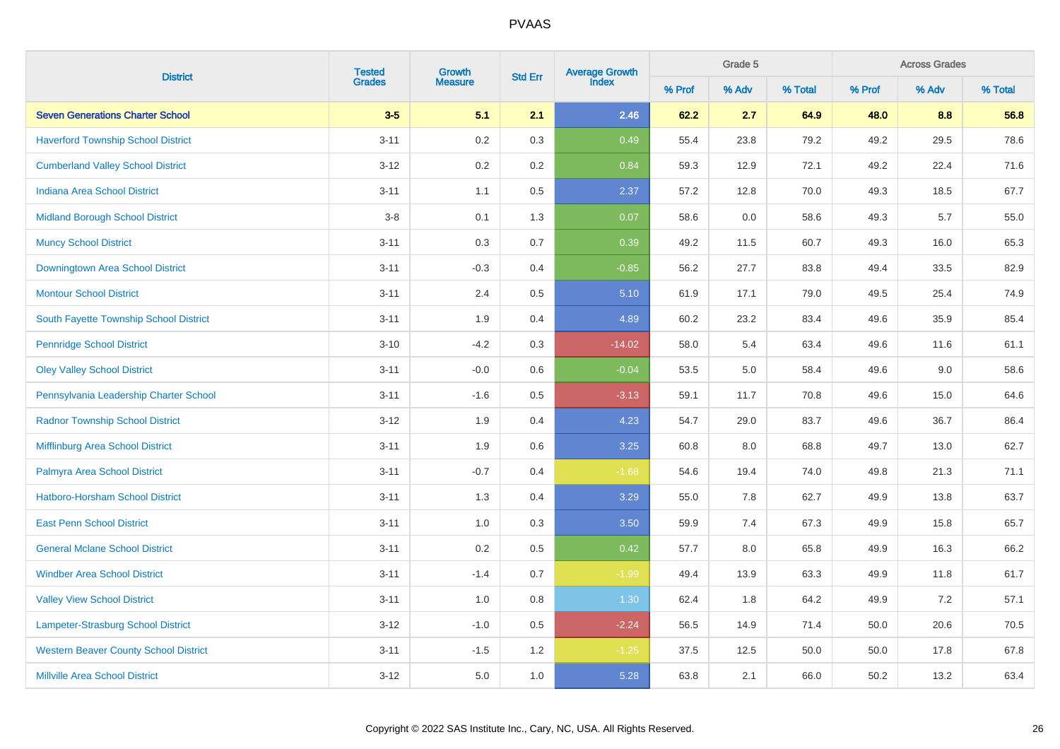| <b>District</b>                              | <b>Tested</b> | Growth         | <b>Std Err</b> | Average Growth<br>Index |        | Grade 5 |         | <b>Across Grades</b> |       |         |  |
|----------------------------------------------|---------------|----------------|----------------|-------------------------|--------|---------|---------|----------------------|-------|---------|--|
|                                              | <b>Grades</b> | <b>Measure</b> |                |                         | % Prof | % Adv   | % Total | % Prof               | % Adv | % Total |  |
| <b>Seven Generations Charter School</b>      | $3-5$         | 5.1            | 2.1            | 2.46                    | 62.2   | 2.7     | 64.9    | 48.0                 | 8.8   | 56.8    |  |
| <b>Haverford Township School District</b>    | $3 - 11$      | 0.2            | 0.3            | 0.49                    | 55.4   | 23.8    | 79.2    | 49.2                 | 29.5  | 78.6    |  |
| <b>Cumberland Valley School District</b>     | $3 - 12$      | 0.2            | 0.2            | 0.84                    | 59.3   | 12.9    | 72.1    | 49.2                 | 22.4  | 71.6    |  |
| <b>Indiana Area School District</b>          | $3 - 11$      | 1.1            | 0.5            | 2.37                    | 57.2   | 12.8    | 70.0    | 49.3                 | 18.5  | 67.7    |  |
| <b>Midland Borough School District</b>       | $3 - 8$       | 0.1            | 1.3            | 0.07                    | 58.6   | 0.0     | 58.6    | 49.3                 | 5.7   | 55.0    |  |
| <b>Muncy School District</b>                 | $3 - 11$      | 0.3            | 0.7            | 0.39                    | 49.2   | 11.5    | 60.7    | 49.3                 | 16.0  | 65.3    |  |
| Downingtown Area School District             | $3 - 11$      | $-0.3$         | 0.4            | $-0.85$                 | 56.2   | 27.7    | 83.8    | 49.4                 | 33.5  | 82.9    |  |
| <b>Montour School District</b>               | $3 - 11$      | 2.4            | 0.5            | 5.10                    | 61.9   | 17.1    | 79.0    | 49.5                 | 25.4  | 74.9    |  |
| South Fayette Township School District       | $3 - 11$      | 1.9            | 0.4            | 4.89                    | 60.2   | 23.2    | 83.4    | 49.6                 | 35.9  | 85.4    |  |
| <b>Pennridge School District</b>             | $3 - 10$      | $-4.2$         | 0.3            | $-14.02$                | 58.0   | 5.4     | 63.4    | 49.6                 | 11.6  | 61.1    |  |
| <b>Oley Valley School District</b>           | $3 - 11$      | $-0.0$         | 0.6            | $-0.04$                 | 53.5   | 5.0     | 58.4    | 49.6                 | 9.0   | 58.6    |  |
| Pennsylvania Leadership Charter School       | $3 - 11$      | $-1.6$         | 0.5            | $-3.13$                 | 59.1   | 11.7    | 70.8    | 49.6                 | 15.0  | 64.6    |  |
| <b>Radnor Township School District</b>       | $3 - 12$      | 1.9            | 0.4            | 4.23                    | 54.7   | 29.0    | 83.7    | 49.6                 | 36.7  | 86.4    |  |
| Mifflinburg Area School District             | $3 - 11$      | 1.9            | 0.6            | 3.25                    | 60.8   | 8.0     | 68.8    | 49.7                 | 13.0  | 62.7    |  |
| Palmyra Area School District                 | $3 - 11$      | $-0.7$         | 0.4            | $-1.68$                 | 54.6   | 19.4    | 74.0    | 49.8                 | 21.3  | 71.1    |  |
| <b>Hatboro-Horsham School District</b>       | $3 - 11$      | 1.3            | 0.4            | 3.29                    | 55.0   | 7.8     | 62.7    | 49.9                 | 13.8  | 63.7    |  |
| <b>East Penn School District</b>             | $3 - 11$      | 1.0            | 0.3            | 3.50                    | 59.9   | 7.4     | 67.3    | 49.9                 | 15.8  | 65.7    |  |
| <b>General Mclane School District</b>        | $3 - 11$      | 0.2            | 0.5            | 0.42                    | 57.7   | 8.0     | 65.8    | 49.9                 | 16.3  | 66.2    |  |
| <b>Windber Area School District</b>          | $3 - 11$      | $-1.4$         | 0.7            | $-1.99$                 | 49.4   | 13.9    | 63.3    | 49.9                 | 11.8  | 61.7    |  |
| <b>Valley View School District</b>           | $3 - 11$      | 1.0            | 0.8            | 1.30                    | 62.4   | 1.8     | 64.2    | 49.9                 | 7.2   | 57.1    |  |
| Lampeter-Strasburg School District           | $3 - 12$      | $-1.0$         | 0.5            | $-2.24$                 | 56.5   | 14.9    | 71.4    | 50.0                 | 20.6  | 70.5    |  |
| <b>Western Beaver County School District</b> | $3 - 11$      | $-1.5$         | 1.2            | $-1.25$                 | 37.5   | 12.5    | 50.0    | 50.0                 | 17.8  | 67.8    |  |
| <b>Millville Area School District</b>        | $3 - 12$      | 5.0            | 1.0            | 5.28                    | 63.8   | 2.1     | 66.0    | 50.2                 | 13.2  | 63.4    |  |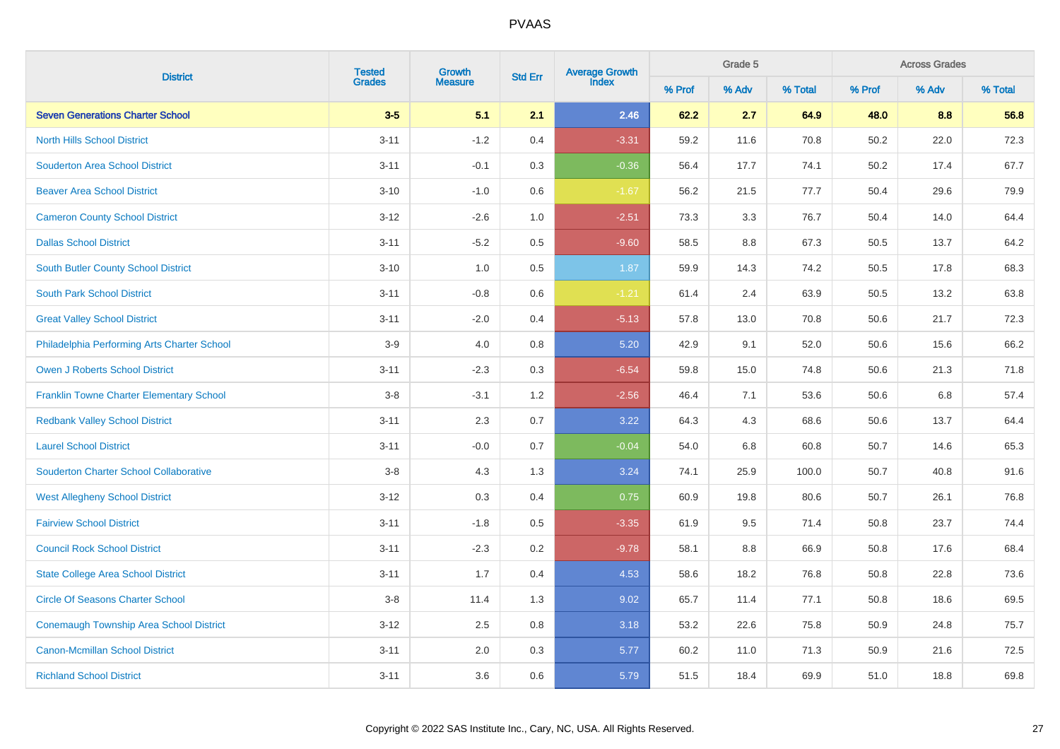| <b>District</b>                                 | <b>Tested</b><br>Growth | Average Growth<br>Index<br><b>Std Err</b> |     | Grade 5 |        | <b>Across Grades</b> |         |        |       |         |
|-------------------------------------------------|-------------------------|-------------------------------------------|-----|---------|--------|----------------------|---------|--------|-------|---------|
|                                                 | <b>Grades</b>           | <b>Measure</b>                            |     |         | % Prof | % Adv                | % Total | % Prof | % Adv | % Total |
| <b>Seven Generations Charter School</b>         | $3-5$                   | 5.1                                       | 2.1 | 2.46    | 62.2   | 2.7                  | 64.9    | 48.0   | 8.8   | 56.8    |
| <b>North Hills School District</b>              | $3 - 11$                | $-1.2$                                    | 0.4 | $-3.31$ | 59.2   | 11.6                 | 70.8    | 50.2   | 22.0  | 72.3    |
| <b>Souderton Area School District</b>           | $3 - 11$                | $-0.1$                                    | 0.3 | $-0.36$ | 56.4   | 17.7                 | 74.1    | 50.2   | 17.4  | 67.7    |
| <b>Beaver Area School District</b>              | $3 - 10$                | $-1.0$                                    | 0.6 | $-1.67$ | 56.2   | 21.5                 | 77.7    | 50.4   | 29.6  | 79.9    |
| <b>Cameron County School District</b>           | $3 - 12$                | $-2.6$                                    | 1.0 | $-2.51$ | 73.3   | 3.3                  | 76.7    | 50.4   | 14.0  | 64.4    |
| <b>Dallas School District</b>                   | $3 - 11$                | $-5.2$                                    | 0.5 | $-9.60$ | 58.5   | 8.8                  | 67.3    | 50.5   | 13.7  | 64.2    |
| South Butler County School District             | $3 - 10$                | 1.0                                       | 0.5 | 1.87    | 59.9   | 14.3                 | 74.2    | 50.5   | 17.8  | 68.3    |
| <b>South Park School District</b>               | $3 - 11$                | $-0.8$                                    | 0.6 | $-1.21$ | 61.4   | 2.4                  | 63.9    | 50.5   | 13.2  | 63.8    |
| <b>Great Valley School District</b>             | $3 - 11$                | $-2.0$                                    | 0.4 | $-5.13$ | 57.8   | 13.0                 | 70.8    | 50.6   | 21.7  | 72.3    |
| Philadelphia Performing Arts Charter School     | $3-9$                   | 4.0                                       | 0.8 | 5.20    | 42.9   | 9.1                  | 52.0    | 50.6   | 15.6  | 66.2    |
| <b>Owen J Roberts School District</b>           | $3 - 11$                | $-2.3$                                    | 0.3 | $-6.54$ | 59.8   | 15.0                 | 74.8    | 50.6   | 21.3  | 71.8    |
| <b>Franklin Towne Charter Elementary School</b> | $3-8$                   | $-3.1$                                    | 1.2 | $-2.56$ | 46.4   | 7.1                  | 53.6    | 50.6   | 6.8   | 57.4    |
| <b>Redbank Valley School District</b>           | $3 - 11$                | 2.3                                       | 0.7 | 3.22    | 64.3   | 4.3                  | 68.6    | 50.6   | 13.7  | 64.4    |
| <b>Laurel School District</b>                   | $3 - 11$                | $-0.0$                                    | 0.7 | $-0.04$ | 54.0   | 6.8                  | 60.8    | 50.7   | 14.6  | 65.3    |
| <b>Souderton Charter School Collaborative</b>   | $3-8$                   | 4.3                                       | 1.3 | 3.24    | 74.1   | 25.9                 | 100.0   | 50.7   | 40.8  | 91.6    |
| <b>West Allegheny School District</b>           | $3 - 12$                | 0.3                                       | 0.4 | 0.75    | 60.9   | 19.8                 | 80.6    | 50.7   | 26.1  | 76.8    |
| <b>Fairview School District</b>                 | $3 - 11$                | $-1.8$                                    | 0.5 | $-3.35$ | 61.9   | 9.5                  | 71.4    | 50.8   | 23.7  | 74.4    |
| <b>Council Rock School District</b>             | $3 - 11$                | $-2.3$                                    | 0.2 | $-9.78$ | 58.1   | 8.8                  | 66.9    | 50.8   | 17.6  | 68.4    |
| <b>State College Area School District</b>       | $3 - 11$                | 1.7                                       | 0.4 | 4.53    | 58.6   | 18.2                 | 76.8    | 50.8   | 22.8  | 73.6    |
| <b>Circle Of Seasons Charter School</b>         | $3-8$                   | 11.4                                      | 1.3 | 9.02    | 65.7   | 11.4                 | 77.1    | 50.8   | 18.6  | 69.5    |
| <b>Conemaugh Township Area School District</b>  | $3 - 12$                | 2.5                                       | 0.8 | 3.18    | 53.2   | 22.6                 | 75.8    | 50.9   | 24.8  | 75.7    |
| <b>Canon-Mcmillan School District</b>           | $3 - 11$                | 2.0                                       | 0.3 | 5.77    | 60.2   | 11.0                 | 71.3    | 50.9   | 21.6  | 72.5    |
| <b>Richland School District</b>                 | $3 - 11$                | 3.6                                       | 0.6 | 5.79    | 51.5   | 18.4                 | 69.9    | 51.0   | 18.8  | 69.8    |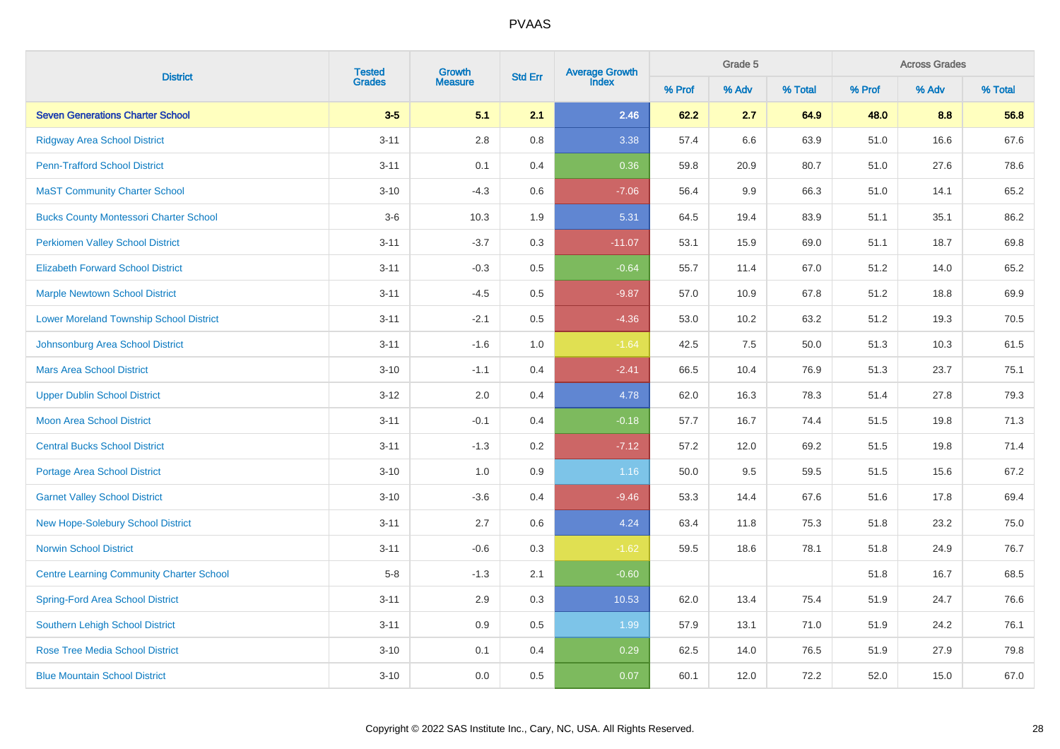| <b>District</b>                                 | <b>Tested</b> | Growth         | <b>Std Err</b> | Average Growth<br>Index |        | Grade 5 |         | <b>Across Grades</b> |       |         |  |
|-------------------------------------------------|---------------|----------------|----------------|-------------------------|--------|---------|---------|----------------------|-------|---------|--|
|                                                 | <b>Grades</b> | <b>Measure</b> |                |                         | % Prof | % Adv   | % Total | % Prof               | % Adv | % Total |  |
| <b>Seven Generations Charter School</b>         | $3-5$         | 5.1            | 2.1            | 2.46                    | 62.2   | 2.7     | 64.9    | 48.0                 | 8.8   | 56.8    |  |
| <b>Ridgway Area School District</b>             | $3 - 11$      | 2.8            | 0.8            | 3.38                    | 57.4   | 6.6     | 63.9    | 51.0                 | 16.6  | 67.6    |  |
| <b>Penn-Trafford School District</b>            | $3 - 11$      | 0.1            | 0.4            | 0.36                    | 59.8   | 20.9    | 80.7    | 51.0                 | 27.6  | 78.6    |  |
| <b>MaST Community Charter School</b>            | $3 - 10$      | $-4.3$         | 0.6            | $-7.06$                 | 56.4   | 9.9     | 66.3    | 51.0                 | 14.1  | 65.2    |  |
| <b>Bucks County Montessori Charter School</b>   | $3-6$         | 10.3           | 1.9            | 5.31                    | 64.5   | 19.4    | 83.9    | 51.1                 | 35.1  | 86.2    |  |
| <b>Perkiomen Valley School District</b>         | $3 - 11$      | $-3.7$         | $0.3\,$        | $-11.07$                | 53.1   | 15.9    | 69.0    | 51.1                 | 18.7  | 69.8    |  |
| <b>Elizabeth Forward School District</b>        | $3 - 11$      | $-0.3$         | 0.5            | $-0.64$                 | 55.7   | 11.4    | 67.0    | 51.2                 | 14.0  | 65.2    |  |
| <b>Marple Newtown School District</b>           | $3 - 11$      | $-4.5$         | 0.5            | $-9.87$                 | 57.0   | 10.9    | 67.8    | 51.2                 | 18.8  | 69.9    |  |
| <b>Lower Moreland Township School District</b>  | $3 - 11$      | $-2.1$         | 0.5            | $-4.36$                 | 53.0   | 10.2    | 63.2    | 51.2                 | 19.3  | 70.5    |  |
| Johnsonburg Area School District                | $3 - 11$      | $-1.6$         | 1.0            | $-1.64$                 | 42.5   | 7.5     | 50.0    | 51.3                 | 10.3  | 61.5    |  |
| <b>Mars Area School District</b>                | $3 - 10$      | $-1.1$         | 0.4            | $-2.41$                 | 66.5   | 10.4    | 76.9    | 51.3                 | 23.7  | 75.1    |  |
| <b>Upper Dublin School District</b>             | $3 - 12$      | 2.0            | 0.4            | 4.78                    | 62.0   | 16.3    | 78.3    | 51.4                 | 27.8  | 79.3    |  |
| <b>Moon Area School District</b>                | $3 - 11$      | $-0.1$         | 0.4            | $-0.18$                 | 57.7   | 16.7    | 74.4    | 51.5                 | 19.8  | 71.3    |  |
| <b>Central Bucks School District</b>            | $3 - 11$      | $-1.3$         | 0.2            | $-7.12$                 | 57.2   | 12.0    | 69.2    | 51.5                 | 19.8  | 71.4    |  |
| <b>Portage Area School District</b>             | $3 - 10$      | 1.0            | 0.9            | 1.16                    | 50.0   | 9.5     | 59.5    | 51.5                 | 15.6  | 67.2    |  |
| <b>Garnet Valley School District</b>            | $3 - 10$      | $-3.6$         | 0.4            | $-9.46$                 | 53.3   | 14.4    | 67.6    | 51.6                 | 17.8  | 69.4    |  |
| <b>New Hope-Solebury School District</b>        | $3 - 11$      | 2.7            | 0.6            | 4.24                    | 63.4   | 11.8    | 75.3    | 51.8                 | 23.2  | 75.0    |  |
| <b>Norwin School District</b>                   | $3 - 11$      | $-0.6$         | 0.3            | $-1.62$                 | 59.5   | 18.6    | 78.1    | 51.8                 | 24.9  | 76.7    |  |
| <b>Centre Learning Community Charter School</b> | $5-8$         | $-1.3$         | 2.1            | $-0.60$                 |        |         |         | 51.8                 | 16.7  | 68.5    |  |
| <b>Spring-Ford Area School District</b>         | $3 - 11$      | 2.9            | 0.3            | 10.53                   | 62.0   | 13.4    | 75.4    | 51.9                 | 24.7  | 76.6    |  |
| <b>Southern Lehigh School District</b>          | $3 - 11$      | 0.9            | 0.5            | 1.99                    | 57.9   | 13.1    | 71.0    | 51.9                 | 24.2  | 76.1    |  |
| <b>Rose Tree Media School District</b>          | $3 - 10$      | 0.1            | 0.4            | 0.29                    | 62.5   | 14.0    | 76.5    | 51.9                 | 27.9  | 79.8    |  |
| <b>Blue Mountain School District</b>            | $3 - 10$      | 0.0            | 0.5            | 0.07                    | 60.1   | 12.0    | 72.2    | 52.0                 | 15.0  | 67.0    |  |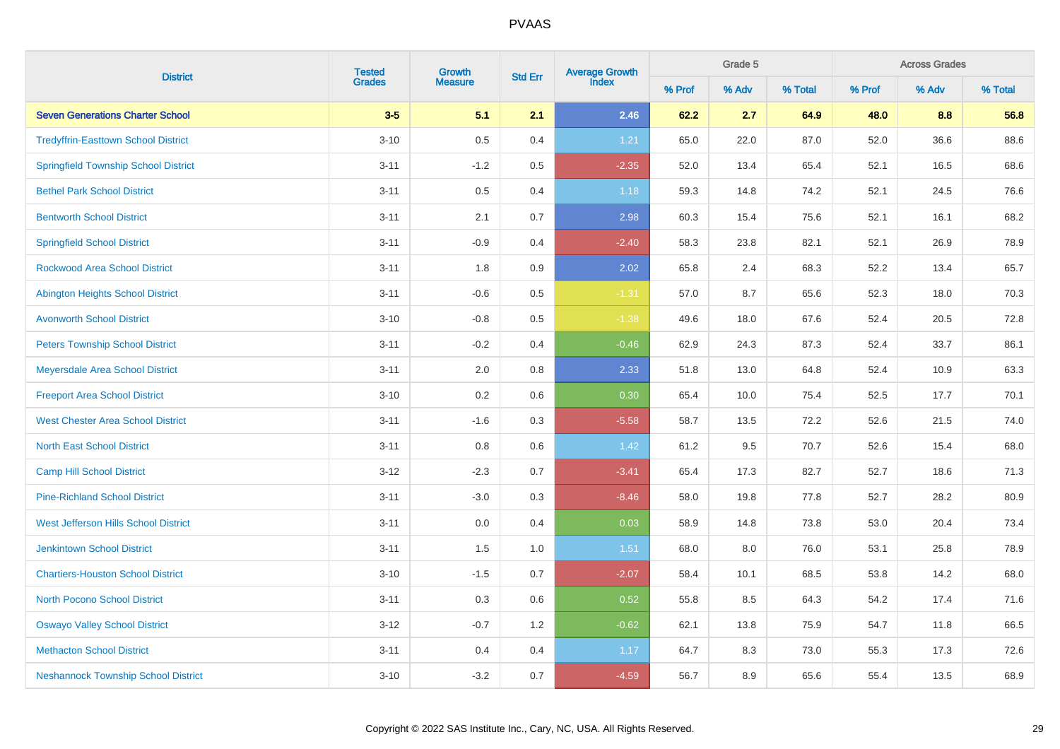| <b>District</b>                             | <b>Tested</b> | Growth         |         | <b>Average Growth</b><br>Index<br><b>Std Err</b> |        | Grade 5 |         | <b>Across Grades</b> |       |         |  |
|---------------------------------------------|---------------|----------------|---------|--------------------------------------------------|--------|---------|---------|----------------------|-------|---------|--|
|                                             | <b>Grades</b> | <b>Measure</b> |         |                                                  | % Prof | % Adv   | % Total | % Prof               | % Adv | % Total |  |
| <b>Seven Generations Charter School</b>     | $3-5$         | 5.1            | 2.1     | 2.46                                             | 62.2   | 2.7     | 64.9    | 48.0                 | 8.8   | 56.8    |  |
| <b>Tredyffrin-Easttown School District</b>  | $3 - 10$      | $0.5\,$        | 0.4     | 1.21                                             | 65.0   | 22.0    | 87.0    | 52.0                 | 36.6  | 88.6    |  |
| <b>Springfield Township School District</b> | $3 - 11$      | $-1.2$         | $0.5\,$ | $-2.35$                                          | 52.0   | 13.4    | 65.4    | 52.1                 | 16.5  | 68.6    |  |
| <b>Bethel Park School District</b>          | $3 - 11$      | $0.5\,$        | 0.4     | 1.18                                             | 59.3   | 14.8    | 74.2    | 52.1                 | 24.5  | 76.6    |  |
| <b>Bentworth School District</b>            | $3 - 11$      | 2.1            | 0.7     | 2.98                                             | 60.3   | 15.4    | 75.6    | 52.1                 | 16.1  | 68.2    |  |
| <b>Springfield School District</b>          | $3 - 11$      | $-0.9$         | 0.4     | $-2.40$                                          | 58.3   | 23.8    | 82.1    | 52.1                 | 26.9  | 78.9    |  |
| <b>Rockwood Area School District</b>        | $3 - 11$      | 1.8            | 0.9     | 2.02                                             | 65.8   | 2.4     | 68.3    | 52.2                 | 13.4  | 65.7    |  |
| <b>Abington Heights School District</b>     | $3 - 11$      | $-0.6$         | 0.5     | $-1.31$                                          | 57.0   | 8.7     | 65.6    | 52.3                 | 18.0  | 70.3    |  |
| <b>Avonworth School District</b>            | $3 - 10$      | $-0.8$         | 0.5     | $-1.38$                                          | 49.6   | 18.0    | 67.6    | 52.4                 | 20.5  | 72.8    |  |
| <b>Peters Township School District</b>      | $3 - 11$      | $-0.2$         | 0.4     | $-0.46$                                          | 62.9   | 24.3    | 87.3    | 52.4                 | 33.7  | 86.1    |  |
| Meyersdale Area School District             | $3 - 11$      | $2.0\,$        | 0.8     | 2.33                                             | 51.8   | 13.0    | 64.8    | 52.4                 | 10.9  | 63.3    |  |
| <b>Freeport Area School District</b>        | $3 - 10$      | 0.2            | 0.6     | 0.30                                             | 65.4   | 10.0    | 75.4    | 52.5                 | 17.7  | 70.1    |  |
| <b>West Chester Area School District</b>    | $3 - 11$      | $-1.6$         | 0.3     | $-5.58$                                          | 58.7   | 13.5    | 72.2    | 52.6                 | 21.5  | 74.0    |  |
| <b>North East School District</b>           | $3 - 11$      | 0.8            | 0.6     | 1.42                                             | 61.2   | 9.5     | 70.7    | 52.6                 | 15.4  | 68.0    |  |
| <b>Camp Hill School District</b>            | $3 - 12$      | $-2.3$         | 0.7     | $-3.41$                                          | 65.4   | 17.3    | 82.7    | 52.7                 | 18.6  | 71.3    |  |
| <b>Pine-Richland School District</b>        | $3 - 11$      | $-3.0$         | 0.3     | $-8.46$                                          | 58.0   | 19.8    | 77.8    | 52.7                 | 28.2  | 80.9    |  |
| <b>West Jefferson Hills School District</b> | $3 - 11$      | 0.0            | 0.4     | 0.03                                             | 58.9   | 14.8    | 73.8    | 53.0                 | 20.4  | 73.4    |  |
| <b>Jenkintown School District</b>           | $3 - 11$      | 1.5            | 1.0     | 1.51                                             | 68.0   | 8.0     | 76.0    | 53.1                 | 25.8  | 78.9    |  |
| <b>Chartiers-Houston School District</b>    | $3 - 10$      | $-1.5$         | 0.7     | $-2.07$                                          | 58.4   | 10.1    | 68.5    | 53.8                 | 14.2  | 68.0    |  |
| <b>North Pocono School District</b>         | $3 - 11$      | 0.3            | 0.6     | 0.52                                             | 55.8   | 8.5     | 64.3    | 54.2                 | 17.4  | 71.6    |  |
| <b>Oswayo Valley School District</b>        | $3 - 12$      | $-0.7$         | $1.2$   | $-0.62$                                          | 62.1   | 13.8    | 75.9    | 54.7                 | 11.8  | 66.5    |  |
| <b>Methacton School District</b>            | $3 - 11$      | 0.4            | 0.4     | 1.17                                             | 64.7   | $8.3\,$ | 73.0    | 55.3                 | 17.3  | 72.6    |  |
| <b>Neshannock Township School District</b>  | $3 - 10$      | $-3.2$         | 0.7     | $-4.59$                                          | 56.7   | 8.9     | 65.6    | 55.4                 | 13.5  | 68.9    |  |